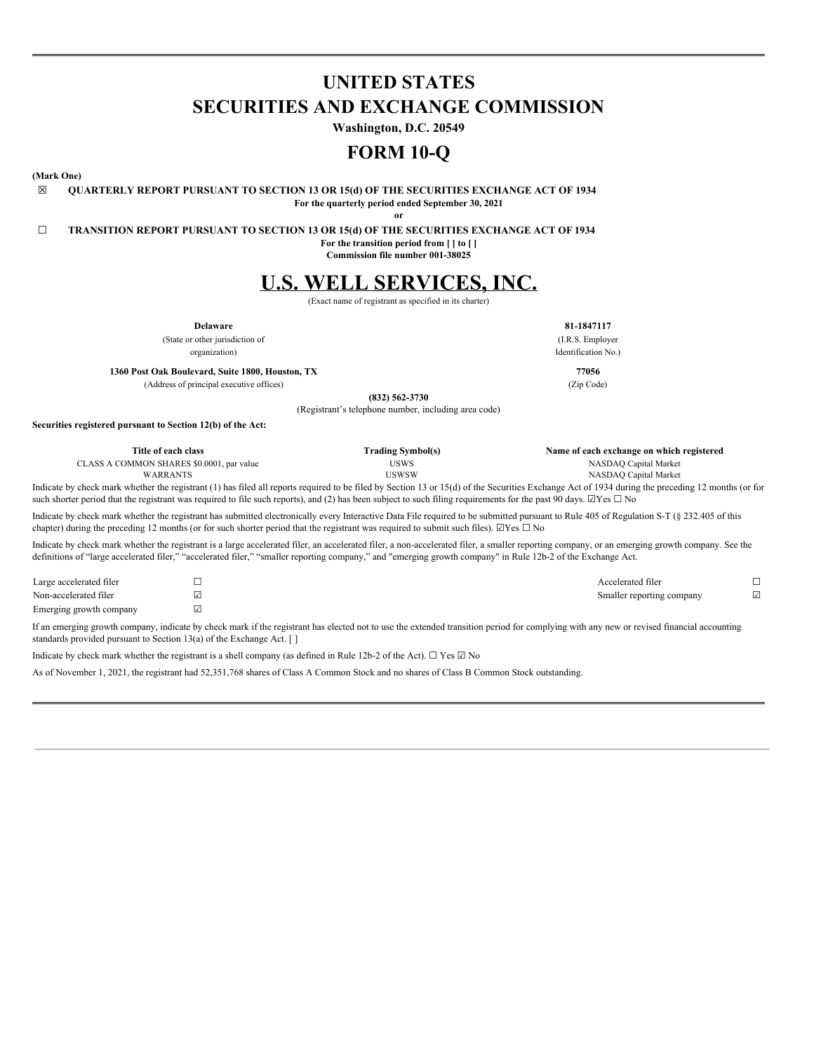# **UNITED STATES SECURITIES AND EXCHANGE COMMISSION**

**Washington, D.C. 20549**

# **FORM 10-Q**

**(Mark One)**

#### **☒ QUARTERLY REPORT PURSUANT TO SECTION 13 OR 15(d) OF THE SECURITIES EXCHANGE ACT OF 1934 For the quarterly period ended September 30, 2021**

**or**

**☐ TRANSITION REPORT PURSUANT TO SECTION 13 OR 15(d) OF THE SECURITIES EXCHANGE ACT OF 1934**

**For the transition period from [ ] to [ ] Commission file number 001-38025**

# **U.S. WELL SERVICES, INC.**

(Exact name of registrant as specified in its charter)

**Delaware 81-1847117**

(State or other jurisdiction of (I.R.S. Employer

**1360 Post Oak Boulevard, Suite 1800, Houston, TX 77056**

(Address of principal executive offices) (Zip Code)

**(832) 562-3730**

(Registrant's telephone number, including area code)

**Securities registered pursuant to Section 12(b) of the Act:**

| Title of each class                                                                                                                                                                               | <b>Trading Symbol(s)</b> | Name of each exchange on which registered |
|---------------------------------------------------------------------------------------------------------------------------------------------------------------------------------------------------|--------------------------|-------------------------------------------|
| CLASS A COMMON SHARES \$0.0001, par value                                                                                                                                                         | USWS                     | NASDAO Capital Market                     |
| <b>WARRANTS</b>                                                                                                                                                                                   | <b>USWSW</b>             | NASDAO Capital Market                     |
| Indicate by check mark whether the registrant (1) has filed all reports required to be filed by Section 13 or 15(d) of the Securities Exchange Act of 1934 during the preceding 12 months (or for |                          |                                           |
| such shorter period that the registrant was required to file such reports), and (2) has been subject to such filing requirements for the past 90 days. $\Box$ Yes $\Box$ No                       |                          |                                           |

Indicate by check mark whether the registrant has submitted electronically every Interactive Data File required to be submitted pursuant to Rule 405 of Regulation S-T (§ 232.405 of this chapter) during the preceding 12 months (or for such shorter period that the registrant was required to submit such files).  $\Box$  Yes  $\Box$  No

Indicate by check mark whether the registrant is a large accelerated filer, an accelerated filer, a non-accelerated filer, a smaller reporting company, or an emerging growth company. See the definitions of "large accelerated filer," "accelerated filer," "smaller reporting company," and "emerging growth company" in Rule 12b-2 of the Exchange Act.

| Large accelerated filer | Accelerated filer         |            |
|-------------------------|---------------------------|------------|
| Non-accelerated filer   | Smaller reporting company | $\sqrt{2}$ |
| Emerging growth company |                           |            |

If an emerging growth company, indicate by check mark if the registrant has elected not to use the extended transition period for complying with any new or revised financial accounting standards provided pursuant to Section 13(a) of the Exchange Act. [ ]

Indicate by check mark whether the registrant is a shell company (as defined in Rule 12b-2 of the Act). ☐ Yes ☑ No

As of November 1, 2021, the registrant had 52,351,768 shares of Class A Common Stock and no shares of Class B Common Stock outstanding.

organization) Identification No.)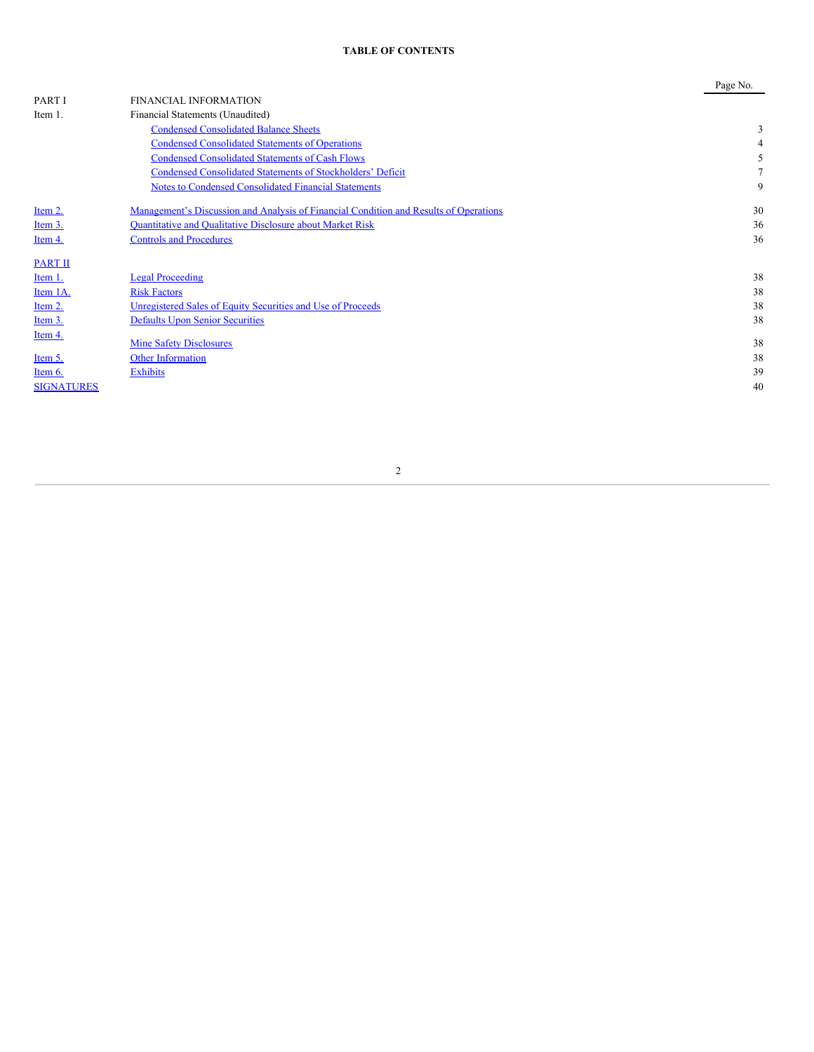# **TABLE OF CONTENTS**

|                   |                                                                                       | Page No. |
|-------------------|---------------------------------------------------------------------------------------|----------|
| PART I            | <b>FINANCIAL INFORMATION</b>                                                          |          |
| Item 1.           | Financial Statements (Unaudited)                                                      |          |
|                   | <b>Condensed Consolidated Balance Sheets</b>                                          | 3        |
|                   | <b>Condensed Consolidated Statements of Operations</b>                                | 4        |
|                   | <b>Condensed Consolidated Statements of Cash Flows</b>                                | 5        |
|                   | <b>Condensed Consolidated Statements of Stockholders' Deficit</b>                     |          |
|                   | <b>Notes to Condensed Consolidated Financial Statements</b>                           | 9        |
| Item $2.$         | Management's Discussion and Analysis of Financial Condition and Results of Operations | 30       |
| Item 3.           | Quantitative and Qualitative Disclosure about Market Risk                             | 36       |
| Item 4.           | <b>Controls and Procedures</b>                                                        | 36       |
| <b>PART II</b>    |                                                                                       |          |
| Item 1.           | <b>Legal Proceeding</b>                                                               | 38       |
| Item 1A.          | <b>Risk Factors</b>                                                                   | 38       |
| Item $2.$         | Unregistered Sales of Equity Securities and Use of Proceeds                           | 38       |
| Item 3.           | <b>Defaults Upon Senior Securities</b>                                                | 38       |
| Item 4.           | <b>Mine Safety Disclosures</b>                                                        | 38       |
| Item 5.           | <b>Other Information</b>                                                              | 38       |
| Item 6.           | Exhibits                                                                              | 39       |
| <b>SIGNATURES</b> |                                                                                       | 40       |
|                   |                                                                                       |          |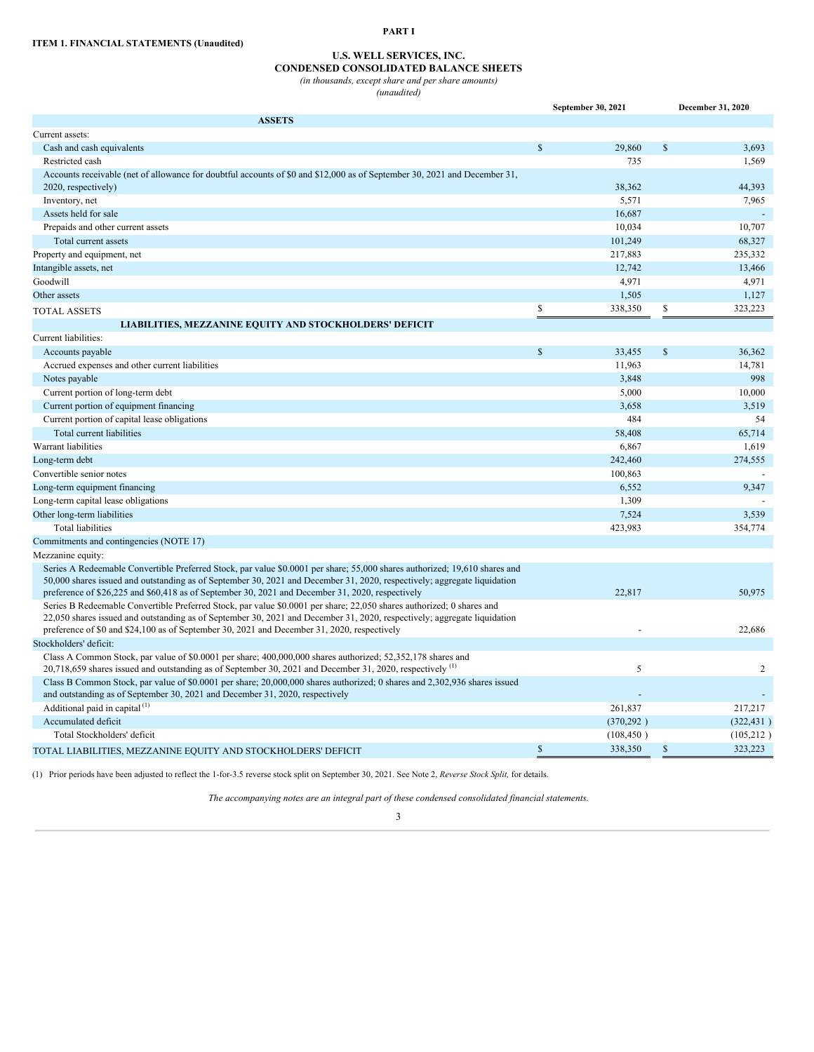#### **PART I**

# **U.S. WELL SERVICES, INC.**

**CONDENSED CONSOLIDATED BALANCE SHEETS** *(in thousands, except share and per share amounts)*

*(unaudited)*

<span id="page-2-0"></span>

|                                                                                                                                                                                                                                                                                                                                                            |               | September 30, 2021 |              | December 31, 2020 |
|------------------------------------------------------------------------------------------------------------------------------------------------------------------------------------------------------------------------------------------------------------------------------------------------------------------------------------------------------------|---------------|--------------------|--------------|-------------------|
| <b>ASSETS</b>                                                                                                                                                                                                                                                                                                                                              |               |                    |              |                   |
| Current assets:                                                                                                                                                                                                                                                                                                                                            |               |                    |              |                   |
| Cash and cash equivalents                                                                                                                                                                                                                                                                                                                                  | $\mathbb{S}$  | 29,860             | $\mathbb{S}$ | 3.693             |
| Restricted cash                                                                                                                                                                                                                                                                                                                                            |               | 735                |              | 1.569             |
| Accounts receivable (net of allowance for doubtful accounts of \$0 and \$12,000 as of September 30, 2021 and December 31,<br>2020, respectively)                                                                                                                                                                                                           |               | 38,362             |              | 44,393            |
| Inventory, net                                                                                                                                                                                                                                                                                                                                             |               | 5,571              |              | 7,965             |
| Assets held for sale                                                                                                                                                                                                                                                                                                                                       |               | 16,687             |              |                   |
| Prepaids and other current assets                                                                                                                                                                                                                                                                                                                          |               | 10,034             |              | 10,707            |
| Total current assets                                                                                                                                                                                                                                                                                                                                       |               | 101,249            |              | 68,327            |
| Property and equipment, net                                                                                                                                                                                                                                                                                                                                |               | 217,883            |              | 235,332           |
| Intangible assets, net                                                                                                                                                                                                                                                                                                                                     |               | 12.742             |              | 13,466            |
| Goodwill                                                                                                                                                                                                                                                                                                                                                   |               | 4,971              |              | 4,971             |
| Other assets                                                                                                                                                                                                                                                                                                                                               |               | 1,505              |              | 1,127             |
| <b>TOTAL ASSETS</b>                                                                                                                                                                                                                                                                                                                                        | \$            | 338,350            | \$           | 323,223           |
| <b>LIABILITIES, MEZZANINE EQUITY AND STOCKHOLDERS' DEFICIT</b>                                                                                                                                                                                                                                                                                             |               |                    |              |                   |
| Current liabilities:                                                                                                                                                                                                                                                                                                                                       |               |                    |              |                   |
| Accounts payable                                                                                                                                                                                                                                                                                                                                           | $\mathsf{\$}$ | 33,455             | $\mathbb S$  | 36,362            |
| Accrued expenses and other current liabilities                                                                                                                                                                                                                                                                                                             |               | 11,963             |              | 14,781            |
| Notes payable                                                                                                                                                                                                                                                                                                                                              |               | 3,848              |              | 998               |
| Current portion of long-term debt                                                                                                                                                                                                                                                                                                                          |               | 5,000              |              | 10,000            |
| Current portion of equipment financing                                                                                                                                                                                                                                                                                                                     |               | 3,658              |              | 3,519             |
| Current portion of capital lease obligations                                                                                                                                                                                                                                                                                                               |               | 484                |              | 54                |
| Total current liabilities                                                                                                                                                                                                                                                                                                                                  |               | 58,408             |              | 65,714            |
| Warrant liabilities                                                                                                                                                                                                                                                                                                                                        |               | 6,867              |              | 1,619             |
| Long-term debt                                                                                                                                                                                                                                                                                                                                             |               | 242,460            |              | 274,555           |
| Convertible senior notes                                                                                                                                                                                                                                                                                                                                   |               | 100,863            |              |                   |
| Long-term equipment financing                                                                                                                                                                                                                                                                                                                              |               | 6,552              |              | 9,347             |
| Long-term capital lease obligations                                                                                                                                                                                                                                                                                                                        |               | 1,309              |              |                   |
| Other long-term liabilities                                                                                                                                                                                                                                                                                                                                |               | 7,524              |              | 3,539             |
| <b>Total liabilities</b>                                                                                                                                                                                                                                                                                                                                   |               | 423,983            |              | 354,774           |
| Commitments and contingencies (NOTE 17)                                                                                                                                                                                                                                                                                                                    |               |                    |              |                   |
| Mezzanine equity:                                                                                                                                                                                                                                                                                                                                          |               |                    |              |                   |
| Series A Redeemable Convertible Preferred Stock, par value \$0.0001 per share; 55,000 shares authorized; 19,610 shares and<br>50,000 shares issued and outstanding as of September 30, 2021 and December 31, 2020, respectively; aggregate liquidation<br>preference of \$26,225 and \$60,418 as of September 30, 2021 and December 31, 2020, respectively |               | 22,817             |              | 50,975            |
| Series B Redeemable Convertible Preferred Stock, par value \$0.0001 per share; 22,050 shares authorized; 0 shares and<br>22,050 shares issued and outstanding as of September 30, 2021 and December 31, 2020, respectively; aggregate liquidation<br>preference of \$0 and \$24,100 as of September 30, 2021 and December 31, 2020, respectively           |               |                    |              | 22,686            |
| Stockholders' deficit:                                                                                                                                                                                                                                                                                                                                     |               |                    |              |                   |
| Class A Common Stock, par value of \$0.0001 per share; 400,000,000 shares authorized; 52,352,178 shares and<br>$20,718,659$ shares issued and outstanding as of September 30, 2021 and December 31, 2020, respectively $^{(1)}$                                                                                                                            |               | 5                  |              | 2                 |
| Class B Common Stock, par value of \$0.0001 per share; 20,000,000 shares authorized; 0 shares and 2,302,936 shares issued<br>and outstanding as of September 30, 2021 and December 31, 2020, respectively                                                                                                                                                  |               |                    |              |                   |
| Additional paid in capital <sup>(1)</sup>                                                                                                                                                                                                                                                                                                                  |               | 261,837            |              | 217,217           |
| Accumulated deficit                                                                                                                                                                                                                                                                                                                                        |               | (370, 292)         |              | (322, 431)        |
| Total Stockholders' deficit                                                                                                                                                                                                                                                                                                                                |               | (108, 450)         |              | (105, 212)        |
| TOTAL LIABILITIES, MEZZANINE EQUITY AND STOCKHOLDERS' DEFICIT                                                                                                                                                                                                                                                                                              | $\mathbb{S}$  | 338,350            | \$           | 323,223           |
|                                                                                                                                                                                                                                                                                                                                                            |               |                    |              |                   |

(1) Prior periods have been adjusted to reflect the 1-for-3.5 reverse stock split on September 30, 2021. See Note 2, *Reverse Stock Split,* for details.

*The accompanying notes are an integral part of these condensed consolidated financial statements.*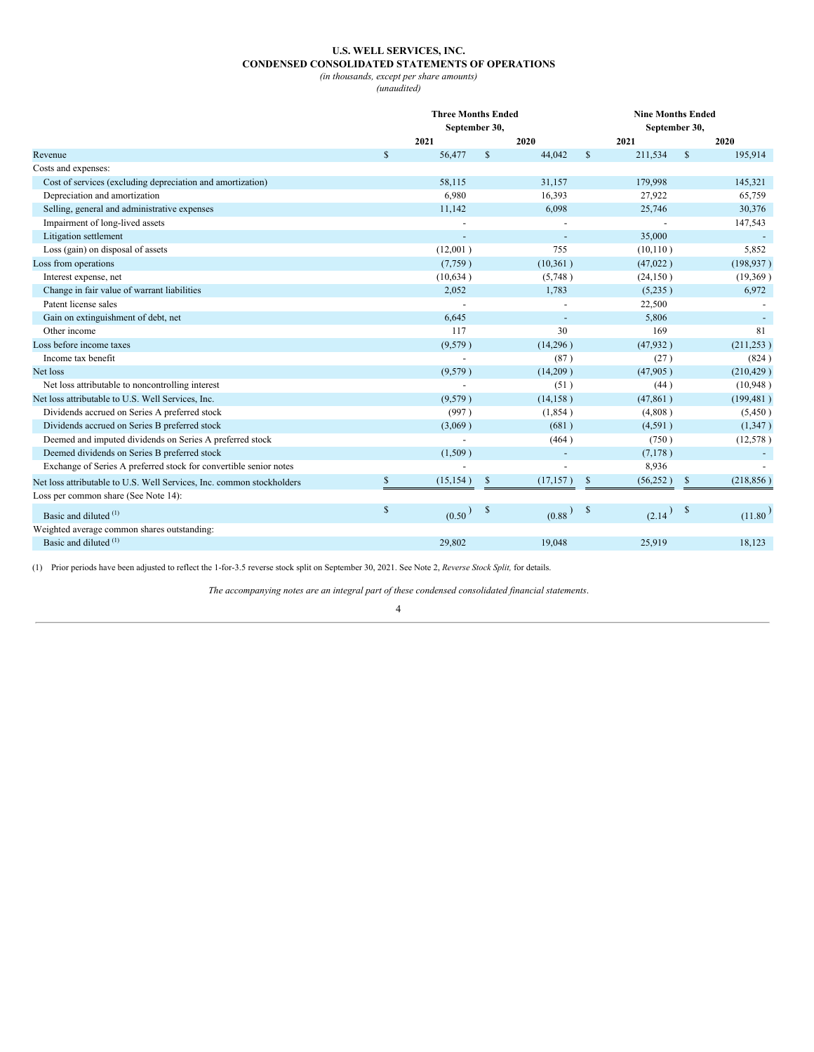### **U.S. WELL SERVICES, INC. CONDENSED CONSOLIDATED STATEMENTS OF OPERATIONS**

*(in thousands, except per share amounts)*

*(unaudited)*

<span id="page-3-0"></span>

|                                                                       |              | <b>Three Months Ended</b><br>September 30, | <b>Nine Months Ended</b><br>September 30, |           |                           |           |              |            |
|-----------------------------------------------------------------------|--------------|--------------------------------------------|-------------------------------------------|-----------|---------------------------|-----------|--------------|------------|
|                                                                       |              | 2021                                       |                                           | 2020      |                           | 2021      |              | 2020       |
| Revenue                                                               | $\mathbb{S}$ | 56,477                                     | $\mathbb{S}$                              | 44,042    | $\mathbb{S}$              | 211,534   | $\mathbb{S}$ | 195,914    |
| Costs and expenses:                                                   |              |                                            |                                           |           |                           |           |              |            |
| Cost of services (excluding depreciation and amortization)            |              | 58,115                                     |                                           | 31,157    |                           | 179,998   |              | 145,321    |
| Depreciation and amortization                                         |              | 6.980                                      |                                           | 16,393    |                           | 27,922    |              | 65,759     |
| Selling, general and administrative expenses                          |              | 11,142                                     |                                           | 6,098     |                           | 25,746    |              | 30,376     |
| Impairment of long-lived assets                                       |              |                                            |                                           |           |                           |           |              | 147,543    |
| Litigation settlement                                                 |              |                                            |                                           |           |                           | 35,000    |              |            |
| Loss (gain) on disposal of assets                                     |              | (12,001)                                   |                                           | 755       |                           | (10, 110) |              | 5,852      |
| Loss from operations                                                  |              | (7,759)                                    |                                           | (10, 361) |                           | (47,022)  |              | (198, 937) |
| Interest expense, net                                                 |              | (10, 634)                                  |                                           | (5,748)   |                           | (24, 150) |              | (19,369)   |
| Change in fair value of warrant liabilities                           |              | 2,052                                      |                                           | 1,783     |                           | (5,235)   |              | 6,972      |
| Patent license sales                                                  |              |                                            |                                           |           |                           | 22,500    |              |            |
| Gain on extinguishment of debt, net                                   |              | 6,645                                      |                                           |           |                           | 5,806     |              |            |
| Other income                                                          |              | 117                                        |                                           | 30        |                           | 169       |              | 81         |
| Loss before income taxes                                              |              | (9,579)                                    |                                           | (14,296)  |                           | (47,932)  |              | (211, 253) |
| Income tax benefit                                                    |              |                                            |                                           | (87)      |                           | (27)      |              | (824)      |
| Net loss                                                              |              | (9,579)                                    |                                           | (14,209)  |                           | (47,905)  |              | (210, 429) |
| Net loss attributable to noncontrolling interest                      |              |                                            |                                           | (51)      |                           | (44)      |              | (10,948)   |
| Net loss attributable to U.S. Well Services, Inc.                     |              | (9,579)                                    |                                           | (14, 158) |                           | (47, 861) |              | (199, 481) |
| Dividends accrued on Series A preferred stock                         |              | (997)                                      |                                           | (1,854)   |                           | (4,808)   |              | (5,450)    |
| Dividends accrued on Series B preferred stock                         |              | (3,069)                                    |                                           | (681)     |                           | (4,591)   |              | (1, 347)   |
| Deemed and imputed dividends on Series A preferred stock              |              |                                            |                                           | (464)     |                           | (750)     |              | (12,578)   |
| Deemed dividends on Series B preferred stock                          |              | (1,509)                                    |                                           | $\sim$    |                           | (7,178)   |              |            |
| Exchange of Series A preferred stock for convertible senior notes     |              |                                            |                                           |           |                           | 8,936     |              |            |
| Net loss attributable to U.S. Well Services, Inc. common stockholders | S.           | (15, 154)                                  | $\mathbb{S}$                              | (17, 157) | \$                        | (56, 252) | \$           | (218, 856) |
| Loss per common share (See Note 14):                                  |              |                                            |                                           |           |                           |           |              |            |
| Basic and diluted (1)                                                 | \$           | (0.50)                                     | $\mathbb{S}$                              | (0.88)    | $\boldsymbol{\mathsf{S}}$ | (2.14)    | -S           | (11.80)    |
| Weighted average common shares outstanding:                           |              |                                            |                                           |           |                           |           |              |            |
| Basic and diluted $(1)$                                               |              | 29.802                                     |                                           | 19,048    |                           | 25,919    |              | 18,123     |

(1) Prior periods have been adjusted to reflect the 1-for-3.5 reverse stock split on September 30, 2021. See Note 2, *Reverse Stock Split,* for details.

*The accompanying notes are an integral part of these condensed consolidated financial statements*.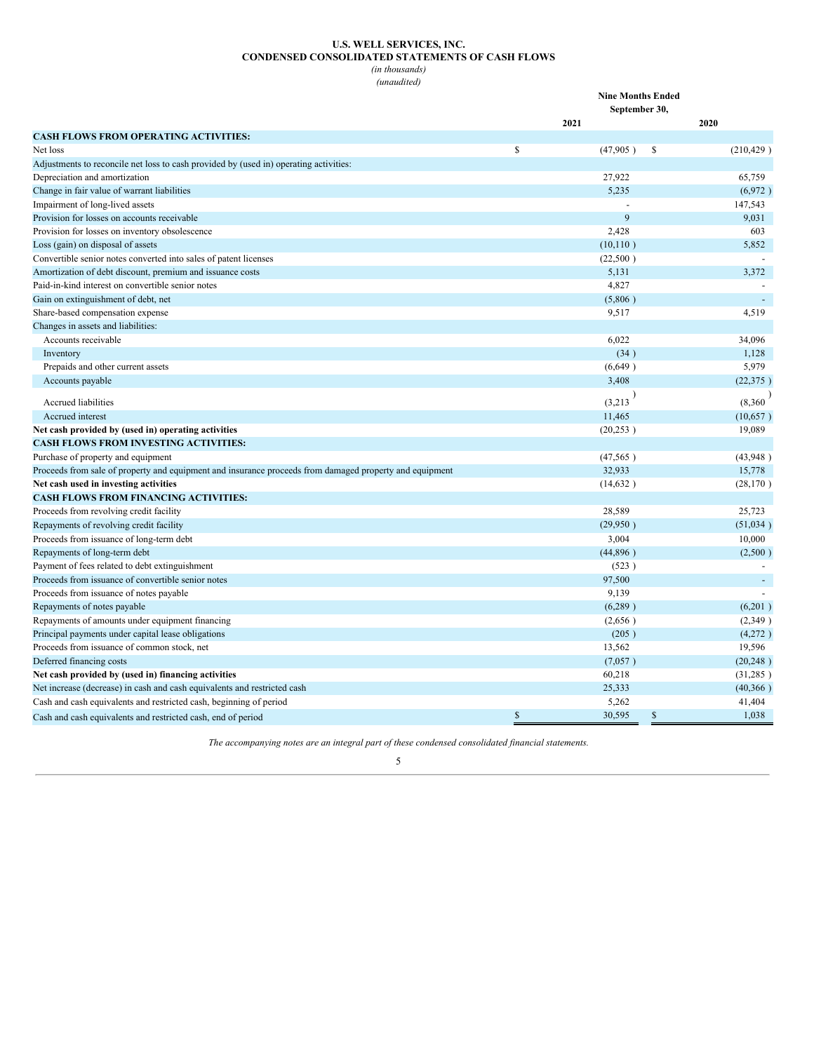### **U.S. WELL SERVICES, INC. CONDENSED CONSOLIDATED STATEMENTS OF CASH FLOWS** *(in thousands)*

*(unaudited)*

<span id="page-4-0"></span>

|                                                                                                         |              | <b>Nine Months Ended</b> |               |            |  |  |  |
|---------------------------------------------------------------------------------------------------------|--------------|--------------------------|---------------|------------|--|--|--|
|                                                                                                         |              | September 30,            |               |            |  |  |  |
|                                                                                                         | 2021         |                          |               | 2020       |  |  |  |
| <b>CASH FLOWS FROM OPERATING ACTIVITIES:</b>                                                            |              |                          |               |            |  |  |  |
| Net loss                                                                                                | \$           | (47,905)                 | <sup>\$</sup> | (210, 429) |  |  |  |
| Adjustments to reconcile net loss to cash provided by (used in) operating activities:                   |              |                          |               |            |  |  |  |
| Depreciation and amortization                                                                           |              | 27,922                   |               | 65,759     |  |  |  |
| Change in fair value of warrant liabilities                                                             |              | 5,235                    |               | (6,972)    |  |  |  |
| Impairment of long-lived assets                                                                         |              |                          |               | 147,543    |  |  |  |
| Provision for losses on accounts receivable                                                             |              | 9                        |               | 9,031      |  |  |  |
| Provision for losses on inventory obsolescence                                                          |              | 2,428                    |               | 603        |  |  |  |
| Loss (gain) on disposal of assets                                                                       |              | (10, 110)                |               | 5,852      |  |  |  |
| Convertible senior notes converted into sales of patent licenses                                        |              | (22,500)                 |               |            |  |  |  |
| Amortization of debt discount, premium and issuance costs                                               |              | 5,131                    |               | 3.372      |  |  |  |
| Paid-in-kind interest on convertible senior notes                                                       |              | 4,827                    |               |            |  |  |  |
| Gain on extinguishment of debt, net                                                                     |              | (5,806)                  |               |            |  |  |  |
| Share-based compensation expense                                                                        |              | 9,517                    |               | 4,519      |  |  |  |
| Changes in assets and liabilities:                                                                      |              |                          |               |            |  |  |  |
| Accounts receivable                                                                                     |              | 6,022                    |               | 34.096     |  |  |  |
| Inventory                                                                                               |              | (34)                     |               | 1,128      |  |  |  |
| Prepaids and other current assets                                                                       |              | (6,649)                  |               | 5,979      |  |  |  |
| Accounts payable                                                                                        |              | 3,408                    |               | (22, 375)  |  |  |  |
|                                                                                                         |              |                          |               |            |  |  |  |
| <b>Accrued</b> liabilities                                                                              |              | (3,213)                  |               | (8,360)    |  |  |  |
| Accrued interest                                                                                        |              | 11,465                   |               | (10,657)   |  |  |  |
| Net cash provided by (used in) operating activities                                                     |              | (20, 253)                |               | 19,089     |  |  |  |
| <b>CASH FLOWS FROM INVESTING ACTIVITIES:</b>                                                            |              |                          |               |            |  |  |  |
| Purchase of property and equipment                                                                      |              | (47, 565)                |               | (43,948)   |  |  |  |
| Proceeds from sale of property and equipment and insurance proceeds from damaged property and equipment |              | 32,933                   |               | 15,778     |  |  |  |
| Net cash used in investing activities                                                                   |              | (14, 632)                |               | (28, 170)  |  |  |  |
| <b>CASH FLOWS FROM FINANCING ACTIVITIES:</b>                                                            |              |                          |               |            |  |  |  |
| Proceeds from revolving credit facility                                                                 |              | 28,589                   |               | 25,723     |  |  |  |
| Repayments of revolving credit facility                                                                 |              | (29,950)                 |               | (51,034)   |  |  |  |
| Proceeds from issuance of long-term debt                                                                |              | 3,004                    |               | 10,000     |  |  |  |
| Repayments of long-term debt                                                                            |              | (44,896)                 |               | (2,500)    |  |  |  |
| Payment of fees related to debt extinguishment                                                          |              | (523)                    |               |            |  |  |  |
| Proceeds from issuance of convertible senior notes                                                      |              | 97,500                   |               |            |  |  |  |
| Proceeds from issuance of notes payable                                                                 |              | 9,139                    |               |            |  |  |  |
| Repayments of notes payable                                                                             |              | (6,289)                  |               | (6,201)    |  |  |  |
| Repayments of amounts under equipment financing                                                         |              | (2,656)                  |               | (2,349)    |  |  |  |
| Principal payments under capital lease obligations                                                      |              | (205)                    |               | (4,272)    |  |  |  |
| Proceeds from issuance of common stock, net                                                             |              | 13,562                   |               | 19,596     |  |  |  |
| Deferred financing costs                                                                                |              | (7,057)                  |               | (20, 248)  |  |  |  |
| Net cash provided by (used in) financing activities                                                     |              | 60,218                   |               | (31, 285)  |  |  |  |
| Net increase (decrease) in cash and cash equivalents and restricted cash                                |              | 25,333                   |               | (40, 366)  |  |  |  |
| Cash and cash equivalents and restricted cash, beginning of period                                      |              | 5,262                    |               | 41,404     |  |  |  |
|                                                                                                         | $\mathbb{S}$ | 30,595                   | $\$$          | 1,038      |  |  |  |
| Cash and cash equivalents and restricted cash, end of period                                            |              |                          |               |            |  |  |  |

*The accompanying notes are an integral part of these condensed consolidated financial statements.*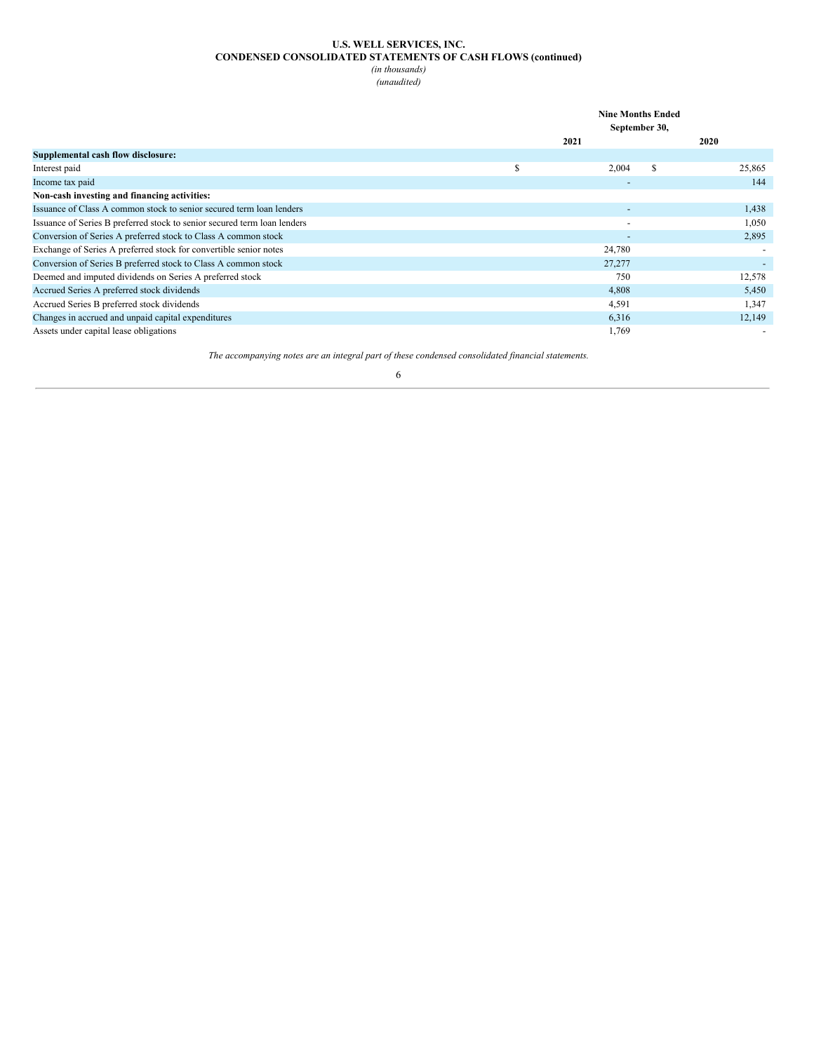# **U.S. WELL SERVICES, INC. CONDENSED CONSOLIDATED STATEMENTS OF CASH FLOWS (continued)**

*(in thousands) (unaudited)*

|                                                                          |   | <b>Nine Months Ended</b> |              |
|--------------------------------------------------------------------------|---|--------------------------|--------------|
|                                                                          |   | September 30,<br>2021    | 2020         |
|                                                                          |   |                          |              |
| Supplemental cash flow disclosure:                                       |   |                          |              |
| Interest paid                                                            | ъ | 2,004                    | \$<br>25,865 |
| Income tax paid                                                          |   | $\overline{\phantom{0}}$ | 144          |
| Non-cash investing and financing activities:                             |   |                          |              |
| Issuance of Class A common stock to senior secured term loan lenders     |   |                          | 1,438        |
| Issuance of Series B preferred stock to senior secured term loan lenders |   | $\overline{\phantom{0}}$ | 1,050        |
| Conversion of Series A preferred stock to Class A common stock           |   | $\overline{\phantom{0}}$ | 2,895        |
| Exchange of Series A preferred stock for convertible senior notes        |   | 24,780                   |              |
| Conversion of Series B preferred stock to Class A common stock           |   | 27,277                   |              |
| Deemed and imputed dividends on Series A preferred stock                 |   | 750                      | 12,578       |
| Accrued Series A preferred stock dividends                               |   | 4,808                    | 5,450        |
| Accrued Series B preferred stock dividends                               |   | 4,591                    | 1,347        |
| Changes in accrued and unpaid capital expenditures                       |   | 6,316                    | 12,149       |
| Assets under capital lease obligations                                   |   | 1,769                    |              |

*The accompanying notes are an integral part of these condensed consolidated financial statements.*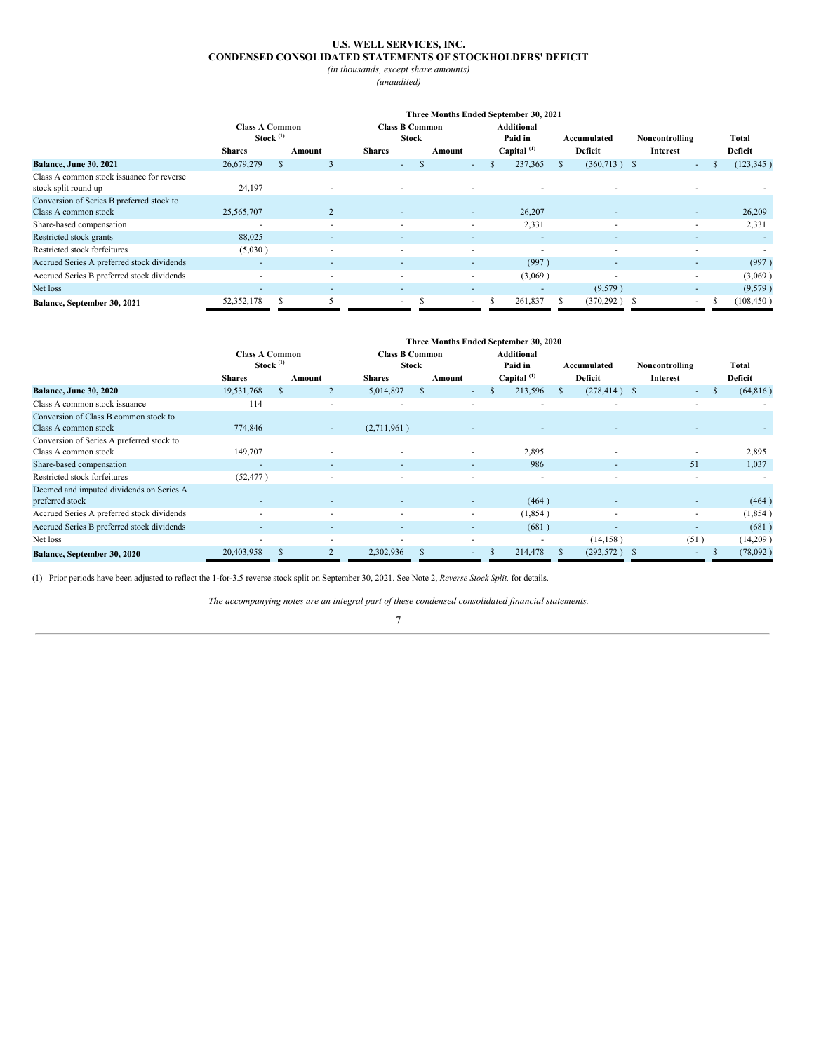### **U.S. WELL SERVICES, INC. CONDENSED CONSOLIDATED STATEMENTS OF STOCKHOLDERS' DEFICIT**

*(in thousands, except share amounts) (unaudited)*

<span id="page-6-0"></span>

|                                                                   |                                      |    |                          |                       | Three Months Ended September 30, 2021 |  |                          |          |                              |   |                 |  |                          |   |            |  |
|-------------------------------------------------------------------|--------------------------------------|----|--------------------------|-----------------------|---------------------------------------|--|--------------------------|----------|------------------------------|---|-----------------|--|--------------------------|---|------------|--|
|                                                                   | <b>Class A Common</b><br>Stock $(1)$ |    |                          | <b>Class B Common</b> | <b>Stock</b>                          |  |                          |          | <b>Additional</b><br>Paid in |   | Accumulated     |  | Noncontrolling           |   | Total      |  |
|                                                                   | <b>Shares</b>                        |    | Amount                   | <b>Shares</b>         |                                       |  | Amount                   |          | Capital $^{(1)}$             |   | Deficit         |  | <b>Interest</b>          |   | Deficit    |  |
| <b>Balance, June 30, 2021</b>                                     | 26,679,279                           | S. | 3                        |                       | $\sim$                                |  | $\sim$                   | <b>S</b> | 237,365                      | S | $(360,713)$ \$  |  | $\sim$                   |   | (123, 345) |  |
| Class A common stock issuance for reverse<br>stock split round up | 24,197                               |    |                          |                       | $\overline{\phantom{a}}$              |  | ۰                        |          | ٠                            |   |                 |  |                          |   |            |  |
| Conversion of Series B preferred stock to<br>Class A common stock | 25,565,707                           |    | 2                        |                       | $\overline{\phantom{a}}$              |  | $\sim$                   |          | 26,207                       |   |                 |  | $\overline{\phantom{a}}$ |   | 26,209     |  |
| Share-based compensation                                          | $\overline{\phantom{a}}$             |    | $\sim$                   |                       | $\sim$                                |  | ٠                        |          | 2,331                        |   |                 |  | ۰                        |   | 2,331      |  |
| Restricted stock grants                                           | 88,025                               |    | $\overline{\phantom{a}}$ |                       | $\overline{\phantom{a}}$              |  | ٠                        |          | ٠                            |   | <b>COL</b>      |  | $\overline{\phantom{a}}$ |   | $\sim$     |  |
| Restricted stock forfeitures                                      | (5,030)                              |    | $\sim$                   |                       | $\overline{\phantom{a}}$              |  |                          |          | ۰                            |   |                 |  | $\sim$                   |   |            |  |
| Accrued Series A preferred stock dividends                        | $\overline{\phantom{a}}$             |    | $\overline{\phantom{a}}$ |                       |                                       |  | $\overline{\phantom{a}}$ |          | (997)                        |   | ۰               |  | $\overline{\phantom{a}}$ |   | (997)      |  |
| Accrued Series B preferred stock dividends                        | ٠                                    |    | $\overline{\phantom{a}}$ |                       | $\overline{\phantom{a}}$              |  | ۰                        |          | (3,069)                      |   |                 |  | ۰                        |   | (3,069)    |  |
| Net loss                                                          | $\overline{\phantom{a}}$             |    | $\overline{\phantom{a}}$ |                       | $\overline{\phantom{a}}$              |  | ٠                        |          | ٠                            |   | (9,579)         |  | $\overline{\phantom{a}}$ |   | (9,579)    |  |
| Balance, September 30, 2021                                       | 52,352,178                           | S  | 5                        |                       | $\sim$                                |  | $\sim$                   | -S       | 261,837                      | S | $(370, 292)$ \$ |  | $\sim$                   | S | (108, 450) |  |

|                                            |                                      |    |                          |                          |                                       |                          |   | Three Months Ended September 30, 2020 |    |                 |  |                          |               |           |
|--------------------------------------------|--------------------------------------|----|--------------------------|--------------------------|---------------------------------------|--------------------------|---|---------------------------------------|----|-----------------|--|--------------------------|---------------|-----------|
|                                            | <b>Class A Common</b><br>Stock $(1)$ |    |                          |                          | <b>Class B Common</b><br><b>Stock</b> |                          |   | <b>Additional</b><br>Paid in          |    | Accumulated     |  | Noncontrolling           |               | Total     |
|                                            | <b>Shares</b>                        |    | Amount                   | <b>Shares</b>            |                                       | Amount                   |   | Capital <sup>(1)</sup>                |    | Deficit         |  | <b>Interest</b>          |               | Deficit   |
| Balance, June 30, 2020                     | 19,531,768                           | ъ. | $\overline{c}$           | 5,014,897                | \$.                                   | ٠                        | S | 213,596                               | S. | $(278, 414)$ \$ |  | $\sim$                   | $\mathcal{S}$ | (64, 816) |
| Class A common stock issuance              | 114                                  |    | $\sim$                   |                          |                                       | ٠                        |   | $\blacksquare$                        |    |                 |  | $\overline{\phantom{a}}$ |               |           |
| Conversion of Class B common stock to      |                                      |    |                          |                          |                                       |                          |   |                                       |    |                 |  |                          |               |           |
| Class A common stock                       | 774,846                              |    | $\sim$                   | (2,711,961)              |                                       | ٠                        |   |                                       |    | ٠               |  |                          |               |           |
| Conversion of Series A preferred stock to  |                                      |    |                          |                          |                                       |                          |   |                                       |    |                 |  |                          |               |           |
| Class A common stock                       | 149,707                              |    | $\overline{\phantom{a}}$ | $\overline{\phantom{a}}$ |                                       | $\overline{\phantom{a}}$ |   | 2,895                                 |    |                 |  |                          |               | 2,895     |
| Share-based compensation                   | $\sim$                               |    | $\overline{\phantom{a}}$ | $\sim$                   |                                       | ٠                        |   | 986                                   |    | н.              |  | 51                       |               | 1,037     |
| Restricted stock forfeitures               | (52, 477)                            |    | $\sim$                   | $\sim$                   |                                       | ۰                        |   | $\overline{\phantom{a}}$              |    | ÷.              |  | $\overline{\phantom{a}}$ |               |           |
| Deemed and imputed dividends on Series A   |                                      |    |                          |                          |                                       |                          |   |                                       |    |                 |  |                          |               |           |
| preferred stock                            | $\overline{\phantom{a}}$             |    | $\overline{\phantom{a}}$ | $\overline{\phantom{a}}$ |                                       | ٠                        |   | (464)                                 |    |                 |  | $\overline{\phantom{a}}$ |               | (464)     |
| Accrued Series A preferred stock dividends |                                      |    | ٠                        | $\overline{\phantom{a}}$ |                                       | ۰                        |   | (1, 854)                              |    |                 |  | $\overline{\phantom{a}}$ |               | (1,854)   |
| Accrued Series B preferred stock dividends | $\overline{\phantom{a}}$             |    | $\sim$                   | $\overline{\phantom{a}}$ |                                       | ٠                        |   | (681)                                 |    |                 |  | $\overline{\phantom{a}}$ |               | (681)     |
| Net loss                                   | $\overline{\phantom{a}}$             |    | $\overline{\phantom{a}}$ | $\overline{\phantom{a}}$ |                                       | ٠                        |   | ٠                                     |    | (14, 158)       |  | (51)                     |               | (14,209)  |
| Balance, September 30, 2020                | 20,403,958                           |    |                          | 2,302,936                |                                       | ٠                        |   | 214,478                               |    | $(292,572)$ \$  |  |                          |               | (78,092)  |

(1) Prior periods have been adjusted to reflect the 1-for-3.5 reverse stock split on September 30, 2021. See Note 2, *Reverse Stock Split,* for details.

*The accompanying notes are an integral part of these condensed consolidated financial statements.*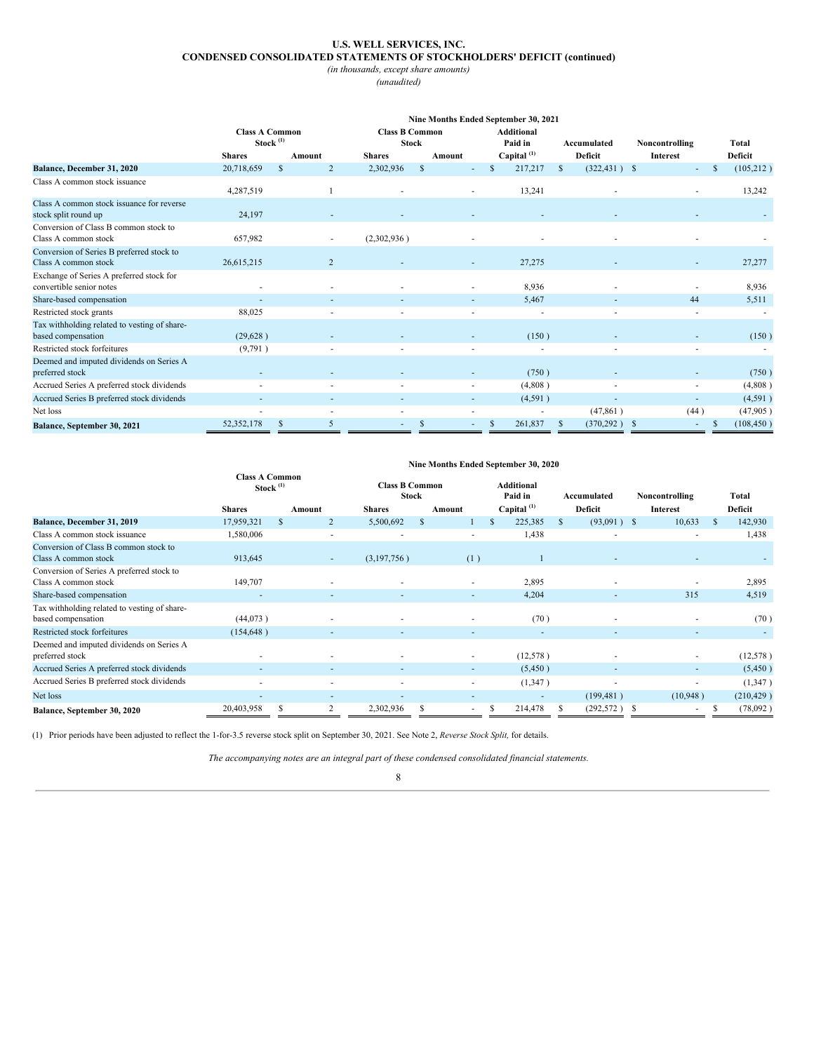# **U.S. WELL SERVICES, INC. CONDENSED CONSOLIDATED STATEMENTS OF STOCKHOLDERS' DEFICIT (continued)**

*(in thousands, except share amounts) (unaudited)*

|                                                                      |                          |                          |                          |               |                          |               | Nine Months Ended September 30, 2021 |              |                 |                          |               |                |
|----------------------------------------------------------------------|--------------------------|--------------------------|--------------------------|---------------|--------------------------|---------------|--------------------------------------|--------------|-----------------|--------------------------|---------------|----------------|
|                                                                      | <b>Class A Common</b>    |                          | <b>Class B Common</b>    |               |                          |               | Additional                           |              |                 |                          |               |                |
|                                                                      | Stock $^{(1)}$           |                          | <b>Stock</b>             |               |                          |               | Paid in                              |              | Accumulated     | Noncontrolling           |               | Total          |
|                                                                      | <b>Shares</b>            | Amount                   | <b>Shares</b>            |               | Amount                   |               | Capital $^{(1)}$                     |              | <b>Deficit</b>  | <b>Interest</b>          |               | <b>Deficit</b> |
| Balance, December 31, 2020                                           | 20,718,659               | \$<br>2                  | 2,302,936                | $\mathcal{S}$ |                          |               | 217,217<br>$\mathbb{S}$              | $\mathbb{S}$ | $(322, 431)$ \$ | $\sim$                   | <sup>\$</sup> | (105, 212)     |
| Class A common stock issuance                                        | 4,287,519                |                          |                          |               |                          |               | 13,241                               |              |                 |                          |               | 13,242         |
| Class A common stock issuance for reverse                            |                          |                          |                          |               |                          |               |                                      |              |                 |                          |               |                |
| stock split round up                                                 | 24,197                   |                          |                          |               |                          |               |                                      |              |                 |                          |               |                |
| Conversion of Class B common stock to                                |                          |                          |                          |               |                          |               |                                      |              |                 |                          |               |                |
| Class A common stock                                                 | 657,982                  | $\overline{\phantom{a}}$ | (2,302,936)              |               |                          |               |                                      |              |                 |                          |               |                |
| Conversion of Series B preferred stock to                            |                          |                          |                          |               |                          |               |                                      |              |                 |                          |               |                |
| Class A common stock                                                 | 26,615,215               | $\overline{2}$           |                          |               |                          |               | 27,275                               |              |                 |                          |               | 27,277         |
| Exchange of Series A preferred stock for<br>convertible senior notes | $\overline{\phantom{a}}$ |                          |                          |               |                          |               | 8,936                                |              |                 |                          |               | 8,936          |
| Share-based compensation                                             |                          |                          |                          |               |                          |               | 5,467                                |              |                 | 44                       |               | 5,511          |
| Restricted stock grants                                              | 88,025                   |                          |                          |               |                          |               |                                      |              |                 |                          |               |                |
| Tax withholding related to vesting of share-                         |                          |                          |                          |               |                          |               |                                      |              |                 |                          |               |                |
| based compensation                                                   | (29,628)                 |                          |                          |               |                          |               | (150)                                |              |                 | ٠                        |               | (150)          |
| Restricted stock forfeitures                                         | (9,791)                  |                          | ٠                        |               | ٠                        |               | ä,                                   |              |                 |                          |               |                |
| Deemed and imputed dividends on Series A                             |                          |                          |                          |               |                          |               |                                      |              |                 |                          |               |                |
| preferred stock                                                      |                          |                          |                          |               |                          |               | (750)                                |              |                 |                          |               | (750)          |
| Accrued Series A preferred stock dividends                           | $\sim$                   | $\blacksquare$           | $\sim$                   |               | $\overline{\phantom{a}}$ |               | (4,808)                              |              | ٠               | $\overline{\phantom{a}}$ |               | (4,808)        |
| Accrued Series B preferred stock dividends                           | ٠                        |                          | $\overline{\phantom{a}}$ |               | ٠                        |               | (4,591)                              |              | ٠               | $\overline{\phantom{a}}$ |               | (4,591)        |
| Net loss                                                             | $\overline{\phantom{a}}$ | ٠                        |                          |               | ٠                        |               | ٠                                    |              | (47, 861)       | (44)                     |               | (47,905)       |
| Balance, September 30, 2021                                          | 52,352,178               | \$<br>5                  |                          | <sup>\$</sup> | ٠                        | <sup>\$</sup> | 261,837                              | S            | $(370,292)$ \$  |                          |               | (108, 450)     |

### **Nine Months Ended September 30, 2020**

|                                                                    | <b>Class A Common</b><br>Stock $(1)$ |                          | <b>Class B Common</b><br><b>Stock</b> |                          | <b>Additional</b><br>Paid in | Accumulated              | Noncontrolling                           | Total          |
|--------------------------------------------------------------------|--------------------------------------|--------------------------|---------------------------------------|--------------------------|------------------------------|--------------------------|------------------------------------------|----------------|
|                                                                    | <b>Shares</b>                        | Amount                   | <b>Shares</b>                         | Amount                   | Capital $(1)$                | Deficit                  | Interest                                 | Deficit        |
| Balance, December 31, 2019                                         | 17,959,321                           | $\overline{c}$<br>-S     | 5,500,692                             | \$.                      | 225,385                      | $(93,091)$ \$<br>S       | 10,633                                   | 142,930<br>\$. |
| Class A common stock issuance                                      | 1,580,006                            | $\overline{\phantom{a}}$ |                                       | ۰                        | 1,438                        |                          |                                          | 1,438          |
| Conversion of Class B common stock to<br>Class A common stock      | 913,645                              | $\sim$                   | (3,197,756)                           | (1)                      |                              | $\overline{\phantom{a}}$ | $\sim$                                   |                |
| Conversion of Series A preferred stock to<br>Class A common stock  | 149,707                              |                          |                                       |                          | 2,895                        |                          |                                          | 2,895          |
| Share-based compensation                                           | $\overline{\phantom{a}}$             |                          | $\sim$                                |                          | 4,204                        |                          | 315                                      | 4,519          |
| Tax withholding related to vesting of share-<br>based compensation | (44,073)                             |                          |                                       | $\overline{\phantom{a}}$ | (70)                         |                          |                                          | (70)           |
| Restricted stock forfeitures                                       | (154, 648)                           | $\overline{\phantom{a}}$ |                                       |                          | $\overline{\phantom{a}}$     |                          |                                          |                |
| Deemed and imputed dividends on Series A<br>preferred stock        |                                      |                          |                                       |                          | (12, 578)                    |                          |                                          | (12,578)       |
| Accrued Series A preferred stock dividends                         | $\sim$                               | $\overline{\phantom{a}}$ | $\sim$                                |                          | (5,450)                      |                          | $\overline{\phantom{a}}$                 | (5,450)        |
| Accrued Series B preferred stock dividends                         | $\overline{\phantom{a}}$             | $\blacksquare$           | $\overline{\phantom{a}}$              | ٠                        | (1, 347)                     | $\overline{\phantom{a}}$ |                                          | (1, 347)       |
| Net loss                                                           | $\overline{\phantom{a}}$             | $\overline{\phantom{a}}$ | $\overline{\phantom{a}}$              | ٠                        | $\overline{\phantom{a}}$     | (199, 481)               | (10,948)                                 | (210, 429)     |
| Balance, September 30, 2020                                        | 20,403,958                           | 2<br><b>S</b>            | 2,302,936                             | -S<br>٠                  | 214,478<br><b>S</b>          | (292,572)<br>S           | $^{\circ}$ S<br>$\overline{\phantom{a}}$ | (78,092)<br>S  |

(1) Prior periods have been adjusted to reflect the 1-for-3.5 reverse stock split on September 30, 2021. See Note 2, *Reverse Stock Split,* for details.

*The accompanying notes are an integral part of these condensed consolidated financial statements.*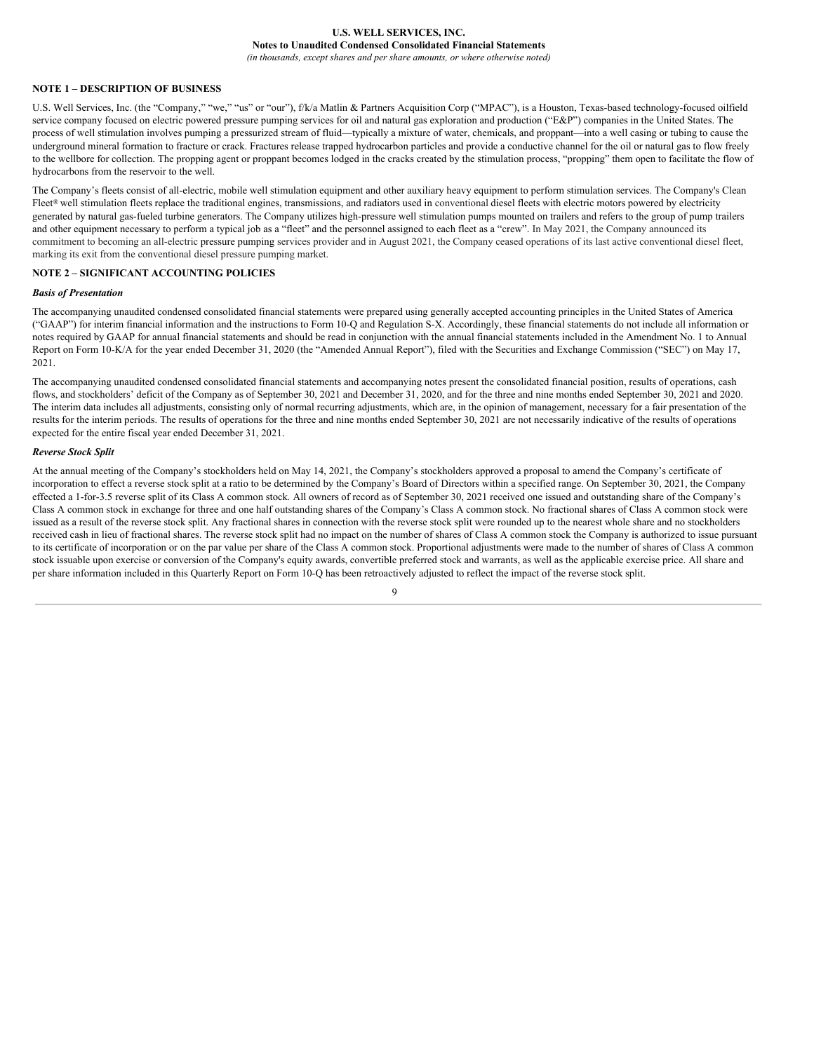*(in thousands, except shares and per share amounts, or where otherwise noted)*

### <span id="page-8-0"></span>**NOTE 1 – DESCRIPTION OF BUSINESS**

U.S. Well Services, Inc. (the "Company," "we," "us" or "our"), f/k/a Matlin & Partners Acquisition Corp ("MPAC"), is a Houston, Texas-based technology-focused oilfield service company focused on electric powered pressure pumping services for oil and natural gas exploration and production ("E&P") companies in the United States. The process of well stimulation involves pumping a pressurized stream of fluid—typically a mixture of water, chemicals, and proppant—into a well casing or tubing to cause the underground mineral formation to fracture or crack. Fractures release trapped hydrocarbon particles and provide a conductive channel for the oil or natural gas to flow freely to the wellbore for collection. The propping agent or proppant becomes lodged in the cracks created by the stimulation process, "propping" them open to facilitate the flow of hydrocarbons from the reservoir to the well.

The Company's fleets consist of all-electric, mobile well stimulation equipment and other auxiliary heavy equipment to perform stimulation services. The Company's Clean Fleet® well stimulation fleets replace the traditional engines, transmissions, and radiators used in conventional diesel fleets with electric motors powered by electricity generated by natural gas-fueled turbine generators. The Company utilizes high-pressure well stimulation pumps mounted on trailers and refers to the group of pump trailers and other equipment necessary to perform a typical job as a "fleet" and the personnel assigned to each fleet as a "crew". In May 2021, the Company announced its commitment to becoming an all-electric pressure pumping services provider and in August 2021, the Company ceased operations of its last active conventional diesel fleet, marking its exit from the conventional diesel pressure pumping market.

### **NOTE 2 – SIGNIFICANT ACCOUNTING POLICIES**

### *Basis of Presentation*

The accompanying unaudited condensed consolidated financial statements were prepared using generally accepted accounting principles in the United States of America ("GAAP") for interim financial information and the instructions to Form 10-Q and Regulation S-X. Accordingly, these financial statements do not include all information or notes required by GAAP for annual financial statements and should be read in conjunction with the annual financial statements included in the Amendment No. 1 to Annual Report on Form 10-K/A for the year ended December 31, 2020 (the "Amended Annual Report"), filed with the Securities and Exchange Commission ("SEC") on May 17, 2021.

The accompanying unaudited condensed consolidated financial statements and accompanying notes present the consolidated financial position, results of operations, cash flows, and stockholders' deficit of the Company as of September 30, 2021 and December 31, 2020, and for the three and nine months ended September 30, 2021 and 2020. The interim data includes all adjustments, consisting only of normal recurring adjustments, which are, in the opinion of management, necessary for a fair presentation of the results for the interim periods. The results of operations for the three and nine months ended September 30, 2021 are not necessarily indicative of the results of operations expected for the entire fiscal year ended December 31, 2021.

#### *Reverse Stock Split*

At the annual meeting of the Company's stockholders held on May 14, 2021, the Company's stockholders approved a proposal to amend the Company's certificate of incorporation to effect a reverse stock split at a ratio to be determined by the Company's Board of Directors within a specified range. On September 30, 2021, the Company effected a 1-for-3.5 reverse split of its Class A common stock. All owners of record as of September 30, 2021 received one issued and outstanding share of the Company's Class A common stock in exchange for three and one half outstanding shares of the Company's Class A common stock. No fractional shares of Class A common stock were issued as a result of the reverse stock split. Any fractional shares in connection with the reverse stock split were rounded up to the nearest whole share and no stockholders received cash in lieu of fractional shares. The reverse stock split had no impact on the number of shares of Class A common stock the Company is authorized to issue pursuant to its certificate of incorporation or on the par value per share of the Class A common stock. Proportional adjustments were made to the number of shares of Class A common stock issuable upon exercise or conversion of the Company's equity awards, convertible preferred stock and warrants, as well as the applicable exercise price. All share and per share information included in this Quarterly Report on Form 10-Q has been retroactively adjusted to reflect the impact of the reverse stock split.

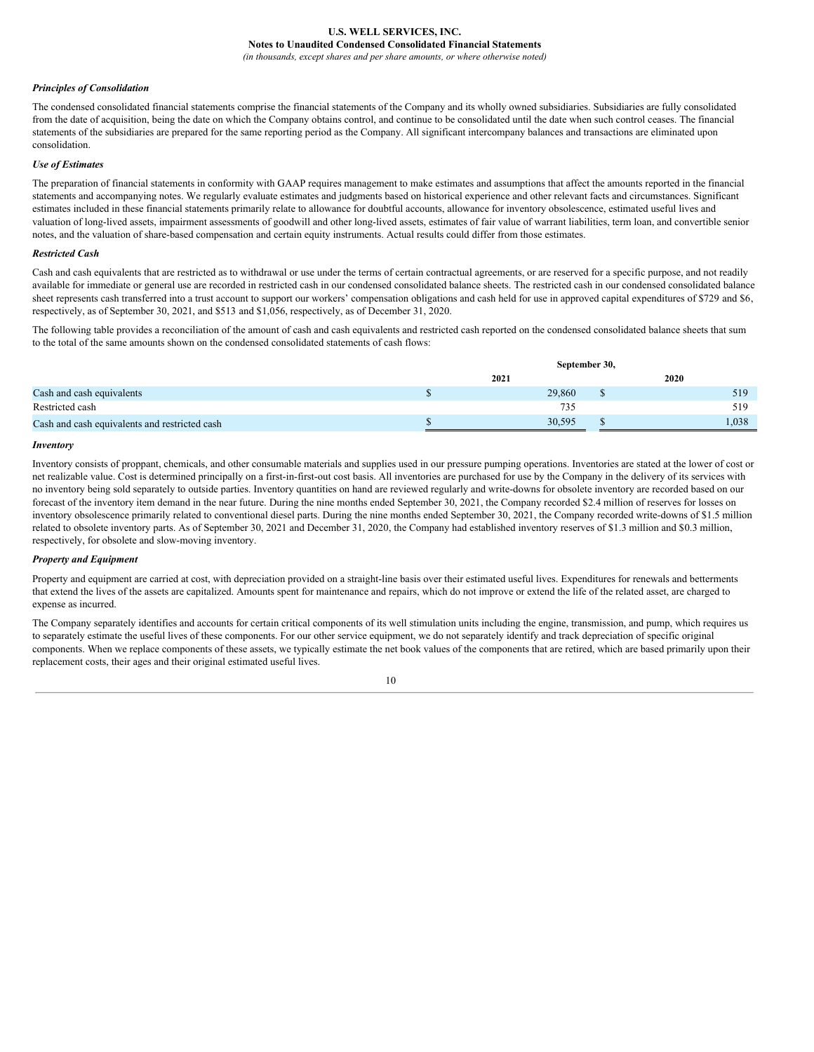*(in thousands, except shares and per share amounts, or where otherwise noted)*

### *Principles of Consolidation*

The condensed consolidated financial statements comprise the financial statements of the Company and its wholly owned subsidiaries. Subsidiaries are fully consolidated from the date of acquisition, being the date on which the Company obtains control, and continue to be consolidated until the date when such control ceases. The financial statements of the subsidiaries are prepared for the same reporting period as the Company. All significant intercompany balances and transactions are eliminated upon consolidation.

### *Use of Estimates*

The preparation of financial statements in conformity with GAAP requires management to make estimates and assumptions that affect the amounts reported in the financial statements and accompanying notes. We regularly evaluate estimates and judgments based on historical experience and other relevant facts and circumstances. Significant estimates included in these financial statements primarily relate to allowance for doubtful accounts, allowance for inventory obsolescence, estimated useful lives and valuation of long-lived assets, impairment assessments of goodwill and other long-lived assets, estimates of fair value of warrant liabilities, term loan, and convertible senior notes, and the valuation of share-based compensation and certain equity instruments. Actual results could differ from those estimates.

### *Restricted Cash*

Cash and cash equivalents that are restricted as to withdrawal or use under the terms of certain contractual agreements, or are reserved for a specific purpose, and not readily available for immediate or general use are recorded in restricted cash in our condensed consolidated balance sheets. The restricted cash in our condensed consolidated balance sheet represents cash transferred into a trust account to support our workers' compensation obligations and cash held for use in approved capital expenditures of \$729 and \$6, respectively, as of September 30, 2021, and \$513 and \$1,056, respectively, as of December 31, 2020.

The following table provides a reconciliation of the amount of cash and cash equivalents and restricted cash reported on the condensed consolidated balance sheets that sum to the total of the same amounts shown on the condensed consolidated statements of cash flows:

|                                               | September 30, |  |      |  |  |  |  |  |  |
|-----------------------------------------------|---------------|--|------|--|--|--|--|--|--|
|                                               | 2021          |  | 2020 |  |  |  |  |  |  |
| Cash and cash equivalents                     | 29,860        |  | 519  |  |  |  |  |  |  |
| Restricted cash                               | 735           |  | 519  |  |  |  |  |  |  |
| Cash and cash equivalents and restricted cash | 30.595        |  | .038 |  |  |  |  |  |  |

#### *Inventory*

Inventory consists of proppant, chemicals, and other consumable materials and supplies used in our pressure pumping operations. Inventories are stated at the lower of cost or net realizable value. Cost is determined principally on a first-in-first-out cost basis. All inventories are purchased for use by the Company in the delivery of its services with no inventory being sold separately to outside parties. Inventory quantities on hand are reviewed regularly and write-downs for obsolete inventory are recorded based on our forecast of the inventory item demand in the near future. During the nine months ended September 30, 2021, the Company recorded \$2.4 million of reserves for losses on inventory obsolescence primarily related to conventional diesel parts. During the nine months ended September 30, 2021, the Company recorded write-downs of \$1.5 million related to obsolete inventory parts. As of September 30, 2021 and December 31, 2020, the Company had established inventory reserves of \$1.3 million and \$0.3 million, respectively, for obsolete and slow-moving inventory.

#### *Property and Equipment*

Property and equipment are carried at cost, with depreciation provided on a straight-line basis over their estimated useful lives. Expenditures for renewals and betterments that extend the lives of the assets are capitalized. Amounts spent for maintenance and repairs, which do not improve or extend the life of the related asset, are charged to expense as incurred.

The Company separately identifies and accounts for certain critical components of its well stimulation units including the engine, transmission, and pump, which requires us to separately estimate the useful lives of these components. For our other service equipment, we do not separately identify and track depreciation of specific original components. When we replace components of these assets, we typically estimate the net book values of the components that are retired, which are based primarily upon their replacement costs, their ages and their original estimated useful lives.

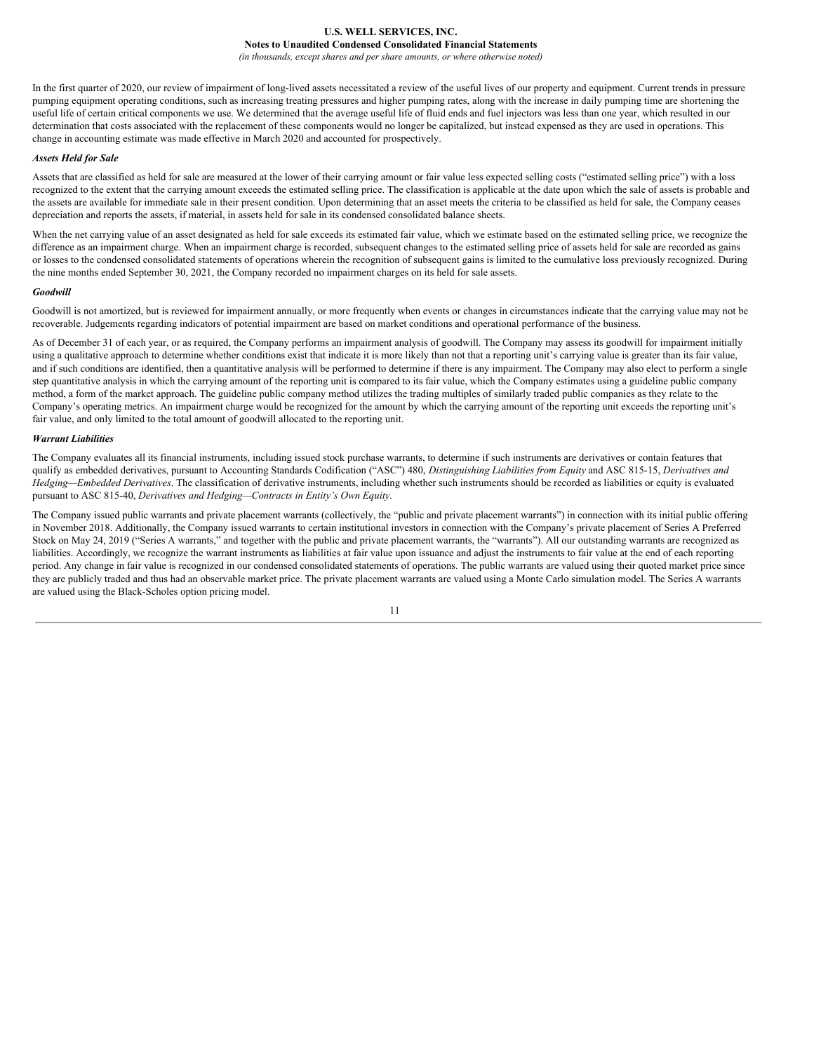**Notes to Unaudited Condensed Consolidated Financial Statements**

*(in thousands, except shares and per share amounts, or where otherwise noted)*

In the first quarter of 2020, our review of impairment of long-lived assets necessitated a review of the useful lives of our property and equipment. Current trends in pressure pumping equipment operating conditions, such as increasing treating pressures and higher pumping rates, along with the increase in daily pumping time are shortening the useful life of certain critical components we use. We determined that the average useful life of fluid ends and fuel injectors was less than one year, which resulted in our determination that costs associated with the replacement of these components would no longer be capitalized, but instead expensed as they are used in operations. This change in accounting estimate was made effective in March 2020 and accounted for prospectively.

#### *Assets Held for Sale*

Assets that are classified as held for sale are measured at the lower of their carrying amount or fair value less expected selling costs ("estimated selling price") with a loss recognized to the extent that the carrying amount exceeds the estimated selling price. The classification is applicable at the date upon which the sale of assets is probable and the assets are available for immediate sale in their present condition. Upon determining that an asset meets the criteria to be classified as held for sale, the Company ceases depreciation and reports the assets, if material, in assets held for sale in its condensed consolidated balance sheets.

When the net carrying value of an asset designated as held for sale exceeds its estimated fair value, which we estimate based on the estimated selling price, we recognize the difference as an impairment charge. When an impairment charge is recorded, subsequent changes to the estimated selling price of assets held for sale are recorded as gains or losses to the condensed consolidated statements of operations wherein the recognition of subsequent gains is limited to the cumulative loss previously recognized. During the nine months ended September 30, 2021, the Company recorded no impairment charges on its held for sale assets.

#### *Goodwill*

Goodwill is not amortized, but is reviewed for impairment annually, or more frequently when events or changes in circumstances indicate that the carrying value may not be recoverable. Judgements regarding indicators of potential impairment are based on market conditions and operational performance of the business.

As of December 31 of each year, or as required, the Company performs an impairment analysis of goodwill. The Company may assess its goodwill for impairment initially using a qualitative approach to determine whether conditions exist that indicate it is more likely than not that a reporting unit's carrying value is greater than its fair value, and if such conditions are identified, then a quantitative analysis will be performed to determine if there is any impairment. The Company may also elect to perform a single step quantitative analysis in which the carrying amount of the reporting unit is compared to its fair value, which the Company estimates using a guideline public company method, a form of the market approach. The guideline public company method utilizes the trading multiples of similarly traded public companies as they relate to the Company's operating metrics. An impairment charge would be recognized for the amount by which the carrying amount of the reporting unit exceeds the reporting unit's fair value, and only limited to the total amount of goodwill allocated to the reporting unit.

#### *Warrant Liabilities*

The Company evaluates all its financial instruments, including issued stock purchase warrants, to determine if such instruments are derivatives or contain features that qualify as embedded derivatives, pursuant to Accounting Standards Codification ("ASC") 480, *Distinguishing Liabilities from Equity* and ASC 815-15, *Derivatives and Hedging—Embedded Derivatives*. The classification of derivative instruments, including whether such instruments should be recorded as liabilities or equity is evaluated pursuant to ASC 815-40, *Derivatives and Hedging—Contracts in Entity's Own Equity*.

The Company issued public warrants and private placement warrants (collectively, the "public and private placement warrants") in connection with its initial public offering in November 2018. Additionally, the Company issued warrants to certain institutional investors in connection with the Company's private placement of Series A Preferred Stock on May 24, 2019 ("Series A warrants," and together with the public and private placement warrants, the "warrants"). All our outstanding warrants are recognized as liabilities. Accordingly, we recognize the warrant instruments as liabilities at fair value upon issuance and adjust the instruments to fair value at the end of each reporting period. Any change in fair value is recognized in our condensed consolidated statements of operations. The public warrants are valued using their quoted market price since they are publicly traded and thus had an observable market price. The private placement warrants are valued using a Monte Carlo simulation model. The Series A warrants are valued using the Black-Scholes option pricing model.

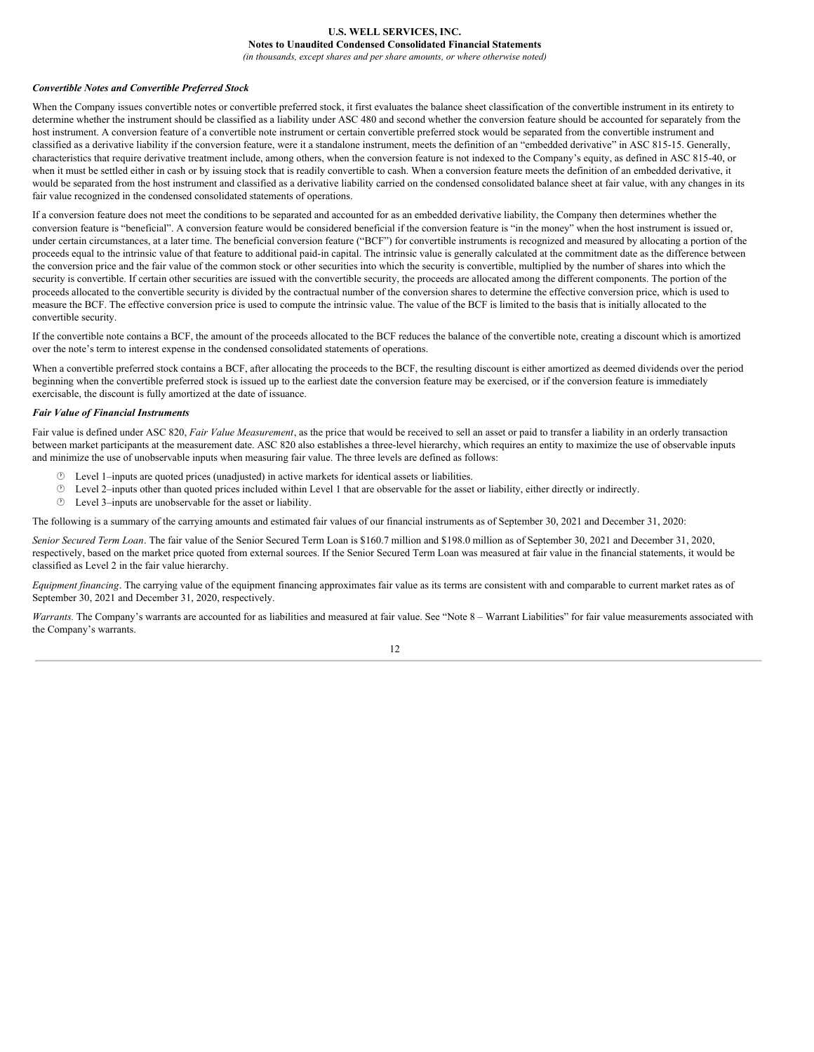**Notes to Unaudited Condensed Consolidated Financial Statements**

*(in thousands, except shares and per share amounts, or where otherwise noted)*

#### *Convertible Notes and Convertible Preferred Stock*

When the Company issues convertible notes or convertible preferred stock, it first evaluates the balance sheet classification of the convertible instrument in its entirety to determine whether the instrument should be classified as a liability under ASC 480 and second whether the conversion feature should be accounted for separately from the host instrument. A conversion feature of a convertible note instrument or certain convertible preferred stock would be separated from the convertible instrument and classified as a derivative liability if the conversion feature, were it a standalone instrument, meets the definition of an "embedded derivative" in ASC 815-15. Generally, characteristics that require derivative treatment include, among others, when the conversion feature is not indexed to the Company's equity, as defined in ASC 815-40, or when it must be settled either in cash or by issuing stock that is readily convertible to cash. When a conversion feature meets the definition of an embedded derivative, it would be separated from the host instrument and classified as a derivative liability carried on the condensed consolidated balance sheet at fair value, with any changes in its fair value recognized in the condensed consolidated statements of operations.

If a conversion feature does not meet the conditions to be separated and accounted for as an embedded derivative liability, the Company then determines whether the conversion feature is "beneficial". A conversion feature would be considered beneficial if the conversion feature is "in the money" when the host instrument is issued or, under certain circumstances, at a later time. The beneficial conversion feature ("BCF") for convertible instruments is recognized and measured by allocating a portion of the proceeds equal to the intrinsic value of that feature to additional paid-in capital. The intrinsic value is generally calculated at the commitment date as the difference between the conversion price and the fair value of the common stock or other securities into which the security is convertible, multiplied by the number of shares into which the security is convertible. If certain other securities are issued with the convertible security, the proceeds are allocated among the different components. The portion of the proceeds allocated to the convertible security is divided by the contractual number of the conversion shares to determine the effective conversion price, which is used to measure the BCF. The effective conversion price is used to compute the intrinsic value. The value of the BCF is limited to the basis that is initially allocated to the convertible security.

If the convertible note contains a BCF, the amount of the proceeds allocated to the BCF reduces the balance of the convertible note, creating a discount which is amortized over the note's term to interest expense in the condensed consolidated statements of operations.

When a convertible preferred stock contains a BCF, after allocating the proceeds to the BCF, the resulting discount is either amortized as deemed dividends over the period beginning when the convertible preferred stock is issued up to the earliest date the conversion feature may be exercised, or if the conversion feature is immediately exercisable, the discount is fully amortized at the date of issuance.

#### *Fair Value of Financial Instruments*

Fair value is defined under ASC 820, *Fair Value Measurement*, as the price that would be received to sell an asset or paid to transfer a liability in an orderly transaction between market participants at the measurement date. ASC 820 also establishes a three-level hierarchy, which requires an entity to maximize the use of observable inputs and minimize the use of unobservable inputs when measuring fair value. The three levels are defined as follows:

- · Level 1–inputs are quoted prices (unadjusted) in active markets for identical assets or liabilities.
- · Level 2–inputs other than quoted prices included within Level 1 that are observable for the asset or liability, either directly or indirectly.
- · Level 3–inputs are unobservable for the asset or liability.

The following is a summary of the carrying amounts and estimated fair values of our financial instruments as of September 30, 2021 and December 31, 2020:

*Senior Secured Term Loan*. The fair value of the Senior Secured Term Loan is \$160.7 million and \$198.0 million as of September 30, 2021 and December 31, 2020, respectively, based on the market price quoted from external sources. If the Senior Secured Term Loan was measured at fair value in the financial statements, it would be classified as Level 2 in the fair value hierarchy.

*Equipment financing*. The carrying value of the equipment financing approximates fair value as its terms are consistent with and comparable to current market rates as of September 30, 2021 and December 31, 2020, respectively.

Warrants. The Company's warrants are accounted for as liabilities and measured at fair value. See "Note 8 - Warrant Liabilities" for fair value measurements associated with the Company's warrants.

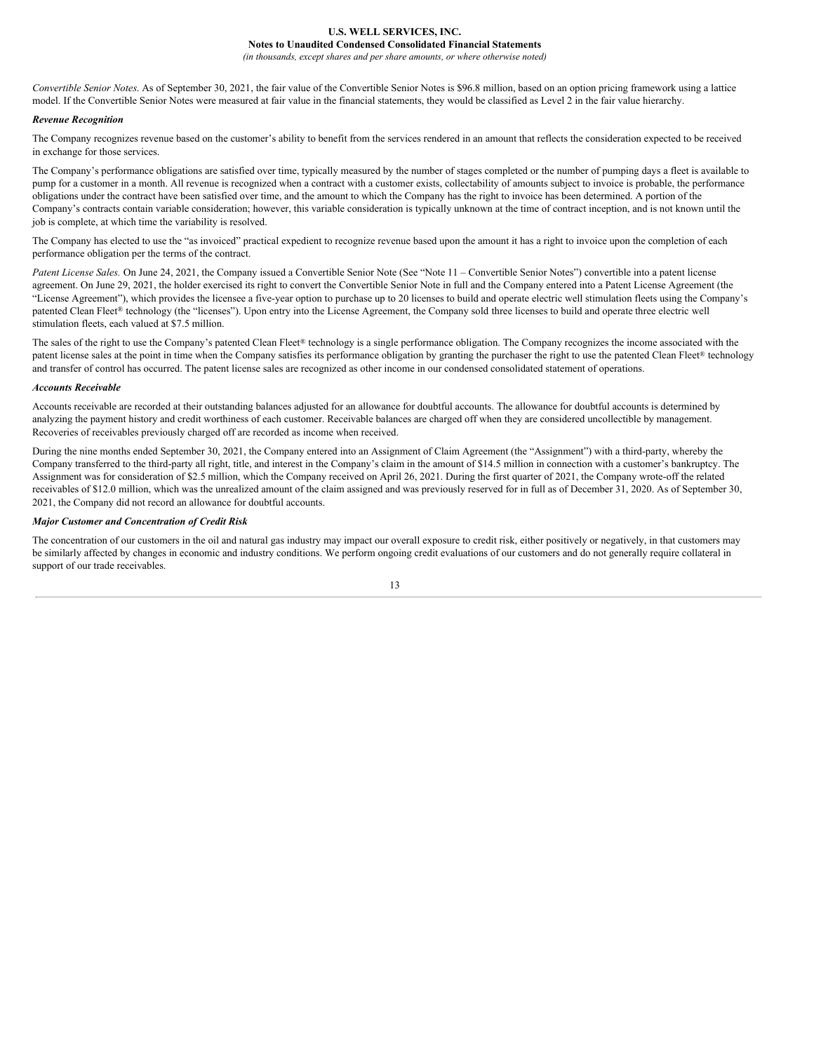#### **Notes to Unaudited Condensed Consolidated Financial Statements** *(in thousands, except shares and per share amounts, or where otherwise noted)*

*Convertible Senior Notes*. As of September 30, 2021, the fair value of the Convertible Senior Notes is \$96.8 million, based on an option pricing framework using a lattice model. If the Convertible Senior Notes were measured at fair value in the financial statements, they would be classified as Level 2 in the fair value hierarchy.

#### *Revenue Recognition*

The Company recognizes revenue based on the customer's ability to benefit from the services rendered in an amount that reflects the consideration expected to be received in exchange for those services.

The Company's performance obligations are satisfied over time, typically measured by the number of stages completed or the number of pumping days a fleet is available to pump for a customer in a month. All revenue is recognized when a contract with a customer exists, collectability of amounts subject to invoice is probable, the performance obligations under the contract have been satisfied over time, and the amount to which the Company has the right to invoice has been determined. A portion of the Company's contracts contain variable consideration; however, this variable consideration is typically unknown at the time of contract inception, and is not known until the job is complete, at which time the variability is resolved.

The Company has elected to use the "as invoiced" practical expedient to recognize revenue based upon the amount it has a right to invoice upon the completion of each performance obligation per the terms of the contract.

*Patent License Sales.* On June 24, 2021, the Company issued a Convertible Senior Note (See "Note 11 – Convertible Senior Notes") convertible into a patent license agreement. On June 29, 2021, the holder exercised its right to convert the Convertible Senior Note in full and the Company entered into a Patent License Agreement (the "License Agreement"), which provides the licensee a five-year option to purchase up to 20 licenses to build and operate electric well stimulation fleets using the Company's patented Clean Fleet® technology (the "licenses"). Upon entry into the License Agreement, the Company sold three licenses to build and operate three electric well stimulation fleets, each valued at \$7.5 million.

The sales of the right to use the Company's patented Clean Fleet® technology is a single performance obligation. The Company recognizes the income associated with the patent license sales at the point in time when the Company satisfies its performance obligation by granting the purchaser the right to use the patented Clean Fleet® technology and transfer of control has occurred. The patent license sales are recognized as other income in our condensed consolidated statement of operations.

#### *Accounts Receivable*

Accounts receivable are recorded at their outstanding balances adjusted for an allowance for doubtful accounts. The allowance for doubtful accounts is determined by analyzing the payment history and credit worthiness of each customer. Receivable balances are charged off when they are considered uncollectible by management. Recoveries of receivables previously charged off are recorded as income when received.

During the nine months ended September 30, 2021, the Company entered into an Assignment of Claim Agreement (the "Assignment") with a third-party, whereby the Company transferred to the third-party all right, title, and interest in the Company's claim in the amount of \$14.5 million in connection with a customer's bankruptcy. The Assignment was for consideration of \$2.5 million, which the Company received on April 26, 2021. During the first quarter of 2021, the Company wrote-off the related receivables of \$12.0 million, which was the unrealized amount of the claim assigned and was previously reserved for in full as of December 31, 2020. As of September 30, 2021, the Company did not record an allowance for doubtful accounts.

#### *Major Customer and Concentration of Credit Risk*

The concentration of our customers in the oil and natural gas industry may impact our overall exposure to credit risk, either positively or negatively, in that customers may be similarly affected by changes in economic and industry conditions. We perform ongoing credit evaluations of our customers and do not generally require collateral in support of our trade receivables.

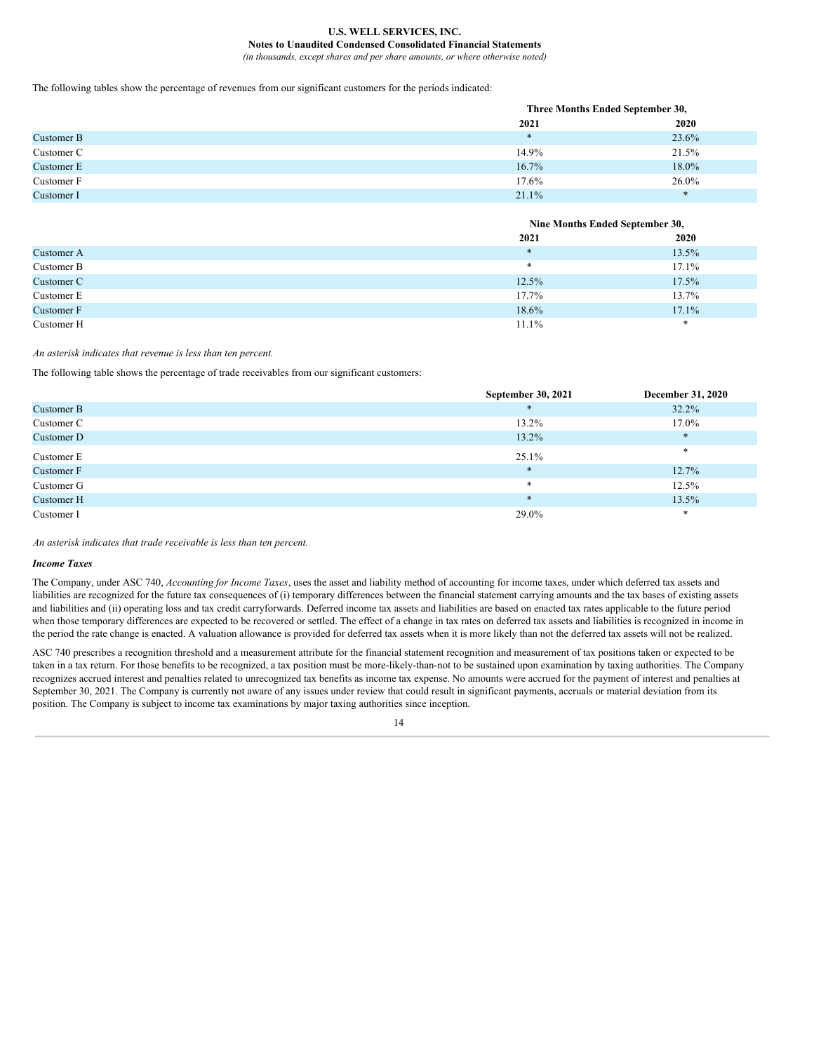**Notes to Unaudited Condensed Consolidated Financial Statements** *(in thousands, except shares and per share amounts, or where otherwise noted)*

The following tables show the percentage of revenues from our significant customers for the periods indicated:

|            | Three Months Ended September 30, |          |  |
|------------|----------------------------------|----------|--|
|            | 2021                             | 2020     |  |
| Customer B | $*$                              | 23.6%    |  |
| Customer C | 14.9%                            | 21.5%    |  |
| Customer E | 16.7%                            | 18.0%    |  |
| Customer F | 17.6%                            | $26.0\%$ |  |
| Customer I | $21.1\%$                         | $\ast$   |  |

|            |          | Nine Months Ended September 30, |  |  |
|------------|----------|---------------------------------|--|--|
|            | 2021     | 2020                            |  |  |
| Customer A | $\ast$   | 13.5%                           |  |  |
| Customer B | $\ast$   | 17.1%                           |  |  |
| Customer C | $12.5\%$ | 17.5%                           |  |  |
| Customer E | $17.7\%$ | 13.7%                           |  |  |
| Customer F | 18.6%    | 17.1%                           |  |  |
| Customer H | $11.1\%$ | $\ast$                          |  |  |

*An asterisk indicates that revenue is less than ten percent.*

The following table shows the percentage of trade receivables from our significant customers:

|            | September 30, 2021 | December 31, 2020 |
|------------|--------------------|-------------------|
| Customer B | $\ast$             | $32.2\%$          |
| Customer C | 13.2%              | 17.0%             |
| Customer D | 13.2%              | $*$               |
| Customer E | 25.1%              | $\ast$            |
| Customer F | $\star$            | 12.7%             |
| Customer G | $*$                | 12.5%             |
| Customer H | $\ast$             | 13.5%             |
| Customer I | 29.0%              | $\ast$            |

*An asterisk indicates that trade receivable is less than ten percent.*

*Income Taxes*

The Company, under ASC 740, *Accounting for Income Taxes*, uses the asset and liability method of accounting for income taxes, under which deferred tax assets and liabilities are recognized for the future tax consequences of (i) temporary differences between the financial statement carrying amounts and the tax bases of existing assets and liabilities and (ii) operating loss and tax credit carryforwards. Deferred income tax assets and liabilities are based on enacted tax rates applicable to the future period when those temporary differences are expected to be recovered or settled. The effect of a change in tax rates on deferred tax assets and liabilities is recognized in income in the period the rate change is enacted. A valuation allowance is provided for deferred tax assets when it is more likely than not the deferred tax assets will not be realized.

ASC 740 prescribes a recognition threshold and a measurement attribute for the financial statement recognition and measurement of tax positions taken or expected to be taken in a tax return. For those benefits to be recognized, a tax position must be more-likely-than-not to be sustained upon examination by taxing authorities. The Company recognizes accrued interest and penalties related to unrecognized tax benefits as income tax expense. No amounts were accrued for the payment of interest and penalties at September 30, 2021. The Company is currently not aware of any issues under review that could result in significant payments, accruals or material deviation from its position. The Company is subject to income tax examinations by major taxing authorities since inception.

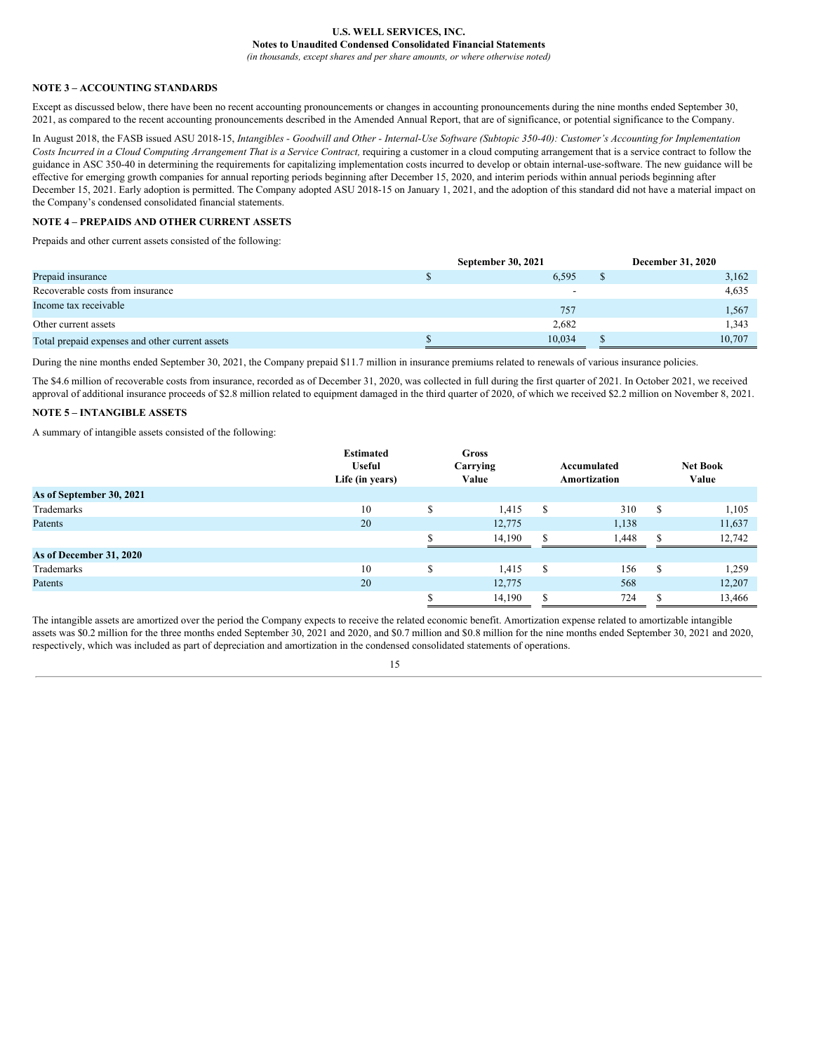*(in thousands, except shares and per share amounts, or where otherwise noted)*

### **NOTE 3 – ACCOUNTING STANDARDS**

Except as discussed below, there have been no recent accounting pronouncements or changes in accounting pronouncements during the nine months ended September 30, 2021, as compared to the recent accounting pronouncements described in the Amended Annual Report, that are of significance, or potential significance to the Company.

In August 2018, the FASB issued ASU 2018-15, Intangibles - Goodwill and Other - Internal-Use Software (Subtopic 350-40): Customer's Accounting for Implementation Costs Incurred in a Cloud Computing Arrangement That is a Service Contract, requiring a customer in a cloud computing arrangement that is a service contract to follow the guidance in ASC 350-40 in determining the requirements for capitalizing implementation costs incurred to develop or obtain internal-use-software. The new guidance will be effective for emerging growth companies for annual reporting periods beginning after December 15, 2020, and interim periods within annual periods beginning after December 15, 2021. Early adoption is permitted. The Company adopted ASU 2018-15 on January 1, 2021, and the adoption of this standard did not have a material impact on the Company's condensed consolidated financial statements.

### **NOTE 4 – PREPAIDS AND OTHER CURRENT ASSETS**

Prepaids and other current assets consisted of the following:

|                                                 | <b>September 30, 2021</b> | <b>December 31, 2020</b> |
|-------------------------------------------------|---------------------------|--------------------------|
| Prepaid insurance                               | 6,595                     | 3,162                    |
| Recoverable costs from insurance                |                           | 4,635                    |
| Income tax receivable                           | 757                       | 1,567                    |
| Other current assets                            | 2,682                     | 1.343                    |
| Total prepaid expenses and other current assets | 10.034                    | 10.707                   |

During the nine months ended September 30, 2021, the Company prepaid \$11.7 million in insurance premiums related to renewals of various insurance policies.

The \$4.6 million of recoverable costs from insurance, recorded as of December 31, 2020, was collected in full during the first quarter of 2021. In October 2021, we received approval of additional insurance proceeds of \$2.8 million related to equipment damaged in the third quarter of 2020, of which we received \$2.2 million on November 8, 2021.

### **NOTE 5 – INTANGIBLE ASSETS**

A summary of intangible assets consisted of the following:

|                          | <b>Estimated</b><br>Useful<br>Life (in years) |             | <b>Gross</b><br>Carrying<br>Value |    | Accumulated<br>Amortization |               | <b>Net Book</b><br>Value |
|--------------------------|-----------------------------------------------|-------------|-----------------------------------|----|-----------------------------|---------------|--------------------------|
| As of September 30, 2021 |                                               |             |                                   |    |                             |               |                          |
| Trademarks               | 10                                            |             | 1,415                             | \$ | 310                         | S             | 1,105                    |
| Patents                  | 20                                            |             | 12,775                            |    | 1,138                       |               | 11,637                   |
|                          |                                               | $\triangle$ | 14.190                            |    | 1,448                       | \$.           | 12,742                   |
| As of December 31, 2020  |                                               |             |                                   |    |                             |               |                          |
| Trademarks               | 10                                            |             | 1,415                             | S  | 156                         | <sup>\$</sup> | 1,259                    |
| Patents                  | 20                                            |             | 12,775                            |    | 568                         |               | 12,207                   |
|                          |                                               | $\triangle$ | 14,190                            | S  | 724                         | <sup>\$</sup> | 13,466                   |

The intangible assets are amortized over the period the Company expects to receive the related economic benefit. Amortization expense related to amortizable intangible assets was \$0.2 million for the three months ended September 30, 2021 and 2020, and \$0.7 million and \$0.8 million for the nine months ended September 30, 2021 and 2020, respectively, which was included as part of depreciation and amortization in the condensed consolidated statements of operations.

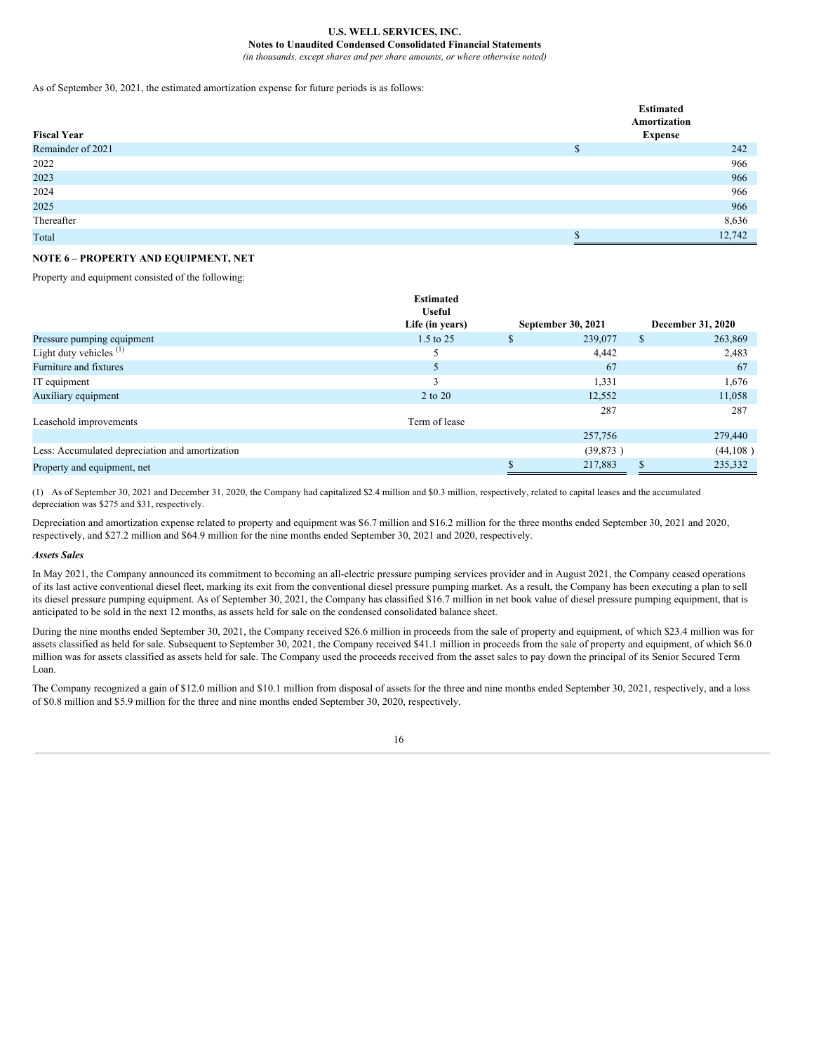*(in thousands, except shares and per share amounts, or where otherwise noted)*

As of September 30, 2021, the estimated amortization expense for future periods is as follows:

| <b>Fiscal Year</b> |        | <b>Estimated</b><br>Amortization<br><b>Expense</b> |
|--------------------|--------|----------------------------------------------------|
| Remainder of 2021  | ¢<br>D | 242                                                |
| 2022               |        | 966                                                |
| 2023               |        | 966                                                |
| 2024               |        | 966                                                |
| 2025               |        | 966                                                |
| Thereafter         |        | 8,636                                              |
| Total              | đ      | 12,742                                             |

### **NOTE 6 – PROPERTY AND EQUIPMENT, NET**

Property and equipment consisted of the following:

|                                                 | <b>Estimated</b><br><b>Useful</b> |   |                           |                          |
|-------------------------------------------------|-----------------------------------|---|---------------------------|--------------------------|
|                                                 | Life (in years)                   |   | <b>September 30, 2021</b> | <b>December 31, 2020</b> |
| Pressure pumping equipment                      | 1.5 to 25                         | S | 239,077                   | \$<br>263,869            |
| Light duty vehicles $(1)$                       | 5                                 |   | 4,442                     | 2,483                    |
| Furniture and fixtures                          |                                   |   | 67                        | 67                       |
| IT equipment                                    | 3                                 |   | 1,331                     | 1,676                    |
| Auxiliary equipment                             | 2 to 20                           |   | 12,552                    | 11,058                   |
| Leasehold improvements                          | Term of lease                     |   | 287                       | 287                      |
|                                                 |                                   |   | 257,756                   | 279,440                  |
| Less: Accumulated depreciation and amortization |                                   |   | (39,873)                  | (44,108)                 |
| Property and equipment, net                     |                                   |   | 217,883                   | 235,332                  |

(1) As of September 30, 2021 and December 31, 2020, the Company had capitalized \$2.4 million and \$0.3 million, respectively, related to capital leases and the accumulated depreciation was \$275 and \$31, respectively.

Depreciation and amortization expense related to property and equipment was \$6.7 million and \$16.2 million for the three months ended September 30, 2021 and 2020, respectively, and \$27.2 million and \$64.9 million for the nine months ended September 30, 2021 and 2020, respectively.

### *Assets Sales*

In May 2021, the Company announced its commitment to becoming an all-electric pressure pumping services provider and in August 2021, the Company ceased operations of its last active conventional diesel fleet, marking its exit from the conventional diesel pressure pumping market. As a result, the Company has been executing a plan to sell its diesel pressure pumping equipment. As of September 30, 2021, the Company has classified \$16.7 million in net book value of diesel pressure pumping equipment, that is anticipated to be sold in the next 12 months, as assets held for sale on the condensed consolidated balance sheet.

During the nine months ended September 30, 2021, the Company received \$26.6 million in proceeds from the sale of property and equipment, of which \$23.4 million was for assets classified as held for sale. Subsequent to September 30, 2021, the Company received \$41.1 million in proceeds from the sale of property and equipment, of which \$6.0 million was for assets classified as assets held for sale. The Company used the proceeds received from the asset sales to pay down the principal of its Senior Secured Term Loan.

The Company recognized a gain of \$12.0 million and \$10.1 million from disposal of assets for the three and nine months ended September 30, 2021, respectively, and a loss of \$0.8 million and \$5.9 million for the three and nine months ended September 30, 2020, respectively.

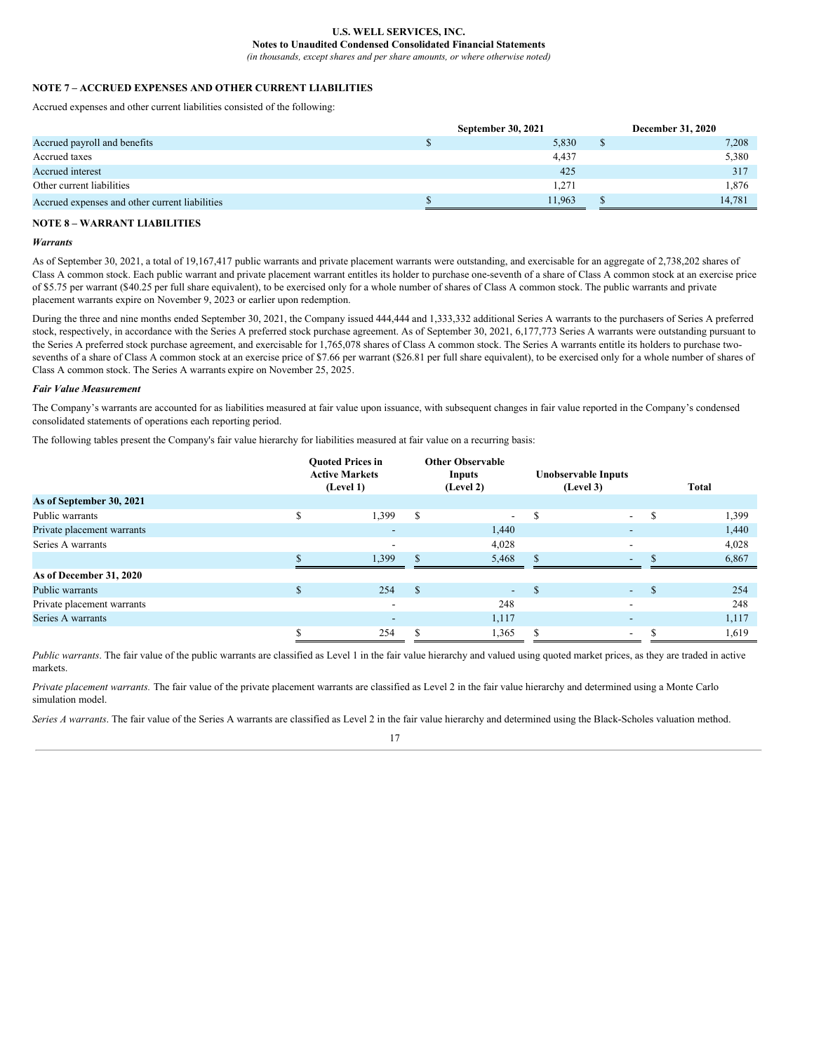*(in thousands, except shares and per share amounts, or where otherwise noted)*

### **NOTE 7 – ACCRUED EXPENSES AND OTHER CURRENT LIABILITIES**

Accrued expenses and other current liabilities consisted of the following:

|                                                | September 30, 2021 | <b>December 31, 2020</b> |
|------------------------------------------------|--------------------|--------------------------|
| Accrued payroll and benefits                   | 5,830              | 7,208                    |
| Accrued taxes                                  | 4,437              | 5,380                    |
| Accrued interest                               | 425                | 317                      |
| Other current liabilities                      | 1,271              | 1,876                    |
| Accrued expenses and other current liabilities | 11.963             | 14.781                   |

### **NOTE 8 – WARRANT LIABILITIES**

#### *Warrants*

As of September 30, 2021, a total of 19,167,417 public warrants and private placement warrants were outstanding, and exercisable for an aggregate of 2,738,202 shares of Class A common stock. Each public warrant and private placement warrant entitles its holder to purchase one-seventh of a share of Class A common stock at an exercise price of \$5.75 per warrant (\$40.25 per full share equivalent), to be exercised only for a whole number of shares of Class A common stock. The public warrants and private placement warrants expire on November 9, 2023 or earlier upon redemption.

During the three and nine months ended September 30, 2021, the Company issued 444,444 and 1,333,332 additional Series A warrants to the purchasers of Series A preferred stock, respectively, in accordance with the Series A preferred stock purchase agreement. As of September 30, 2021, 6,177,773 Series A warrants were outstanding pursuant to the Series A preferred stock purchase agreement, and exercisable for 1,765,078 shares of Class A common stock. The Series A warrants entitle its holders to purchase twosevenths of a share of Class A common stock at an exercise price of \$7.66 per warrant (\$26.81 per full share equivalent), to be exercised only for a whole number of shares of Class A common stock. The Series A warrants expire on November 25, 2025.

#### *Fair Value Measurement*

The Company's warrants are accounted for as liabilities measured at fair value upon issuance, with subsequent changes in fair value reported in the Company's condensed consolidated statements of operations each reporting period.

The following tables present the Company's fair value hierarchy for liabilities measured at fair value on a recurring basis:

|                            |     | <b>Ouoted Prices in</b><br><b>Active Markets</b><br>(Level 1) |     | <b>Other Observable</b><br>Inputs<br>(Level 2) |    | <b>Unobservable Inputs</b><br>(Level 3) |     | Total |
|----------------------------|-----|---------------------------------------------------------------|-----|------------------------------------------------|----|-----------------------------------------|-----|-------|
| As of September 30, 2021   |     |                                                               |     |                                                |    |                                         |     |       |
| Public warrants            | \$. | 1,399                                                         | -S  | $\sim$                                         | ъ  | $\sim$                                  | \$. | 1,399 |
| Private placement warrants |     |                                                               |     | 1,440                                          |    |                                         |     | 1,440 |
| Series A warrants          |     | $\overline{\phantom{a}}$                                      |     | 4,028                                          |    | $\overline{\phantom{a}}$                |     | 4,028 |
|                            |     | 1,399                                                         | \$. | 5,468                                          | S. | $\sim$                                  |     | 6,867 |
| As of December 31, 2020    |     |                                                               |     |                                                |    |                                         |     |       |
| Public warrants            | \$  | 254                                                           | \$  | $\sim$                                         | S  | $\sim$ $-$                              | J.  | 254   |
| Private placement warrants |     | $\overline{\phantom{a}}$                                      |     | 248                                            |    | $\overline{\phantom{a}}$                |     | 248   |
| Series A warrants          |     | $\overline{\phantom{a}}$                                      |     | 1,117                                          |    | $\overline{\phantom{a}}$                |     | 1,117 |
|                            | л.  | 254                                                           |     | 1,365                                          | S  | $\overline{\phantom{a}}$                |     | 1,619 |

*Public warrants*. The fair value of the public warrants are classified as Level 1 in the fair value hierarchy and valued using quoted market prices, as they are traded in active markets.

*Private placement warrants.* The fair value of the private placement warrants are classified as Level 2 in the fair value hierarchy and determined using a Monte Carlo simulation model.

*Series A warrants*. The fair value of the Series A warrants are classified as Level 2 in the fair value hierarchy and determined using the Black-Scholes valuation method.

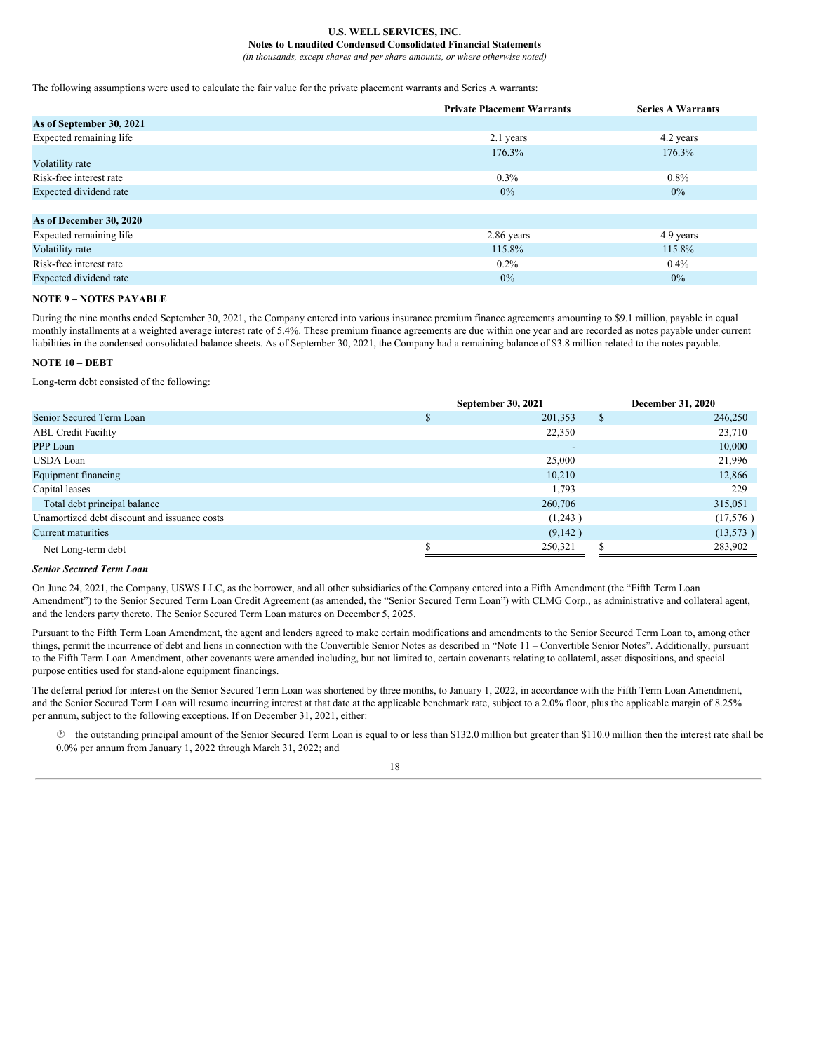**Notes to Unaudited Condensed Consolidated Financial Statements** *(in thousands, except shares and per share amounts, or where otherwise noted)*

The following assumptions were used to calculate the fair value for the private placement warrants and Series A warrants:

|                          | <b>Private Placement Warrants</b> | <b>Series A Warrants</b> |
|--------------------------|-----------------------------------|--------------------------|
| As of September 30, 2021 |                                   |                          |
| Expected remaining life  | 2.1 years                         | 4.2 years                |
|                          | 176.3%                            | 176.3%                   |
| Volatility rate          |                                   |                          |
| Risk-free interest rate  | $0.3\%$                           | $0.8\%$                  |
| Expected dividend rate   | $0\%$                             | $0\%$                    |
|                          |                                   |                          |
| As of December 30, 2020  |                                   |                          |
| Expected remaining life  | 2.86 years                        | 4.9 years                |
| Volatility rate          | 115.8%                            | 115.8%                   |
| Risk-free interest rate  | $0.2\%$                           | $0.4\%$                  |
| Expected dividend rate   | $0\%$                             | $0\%$                    |

### **NOTE 9 – NOTES PAYABLE**

During the nine months ended September 30, 2021, the Company entered into various insurance premium finance agreements amounting to \$9.1 million, payable in equal monthly installments at a weighted average interest rate of 5.4%. These premium finance agreements are due within one year and are recorded as notes payable under current liabilities in the condensed consolidated balance sheets. As of September 30, 2021, the Company had a remaining balance of \$3.8 million related to the notes payable.

#### **NOTE 10 – DEBT**

Long-term debt consisted of the following:

|                                              | September 30, 2021 | <b>December 31, 2020</b> |
|----------------------------------------------|--------------------|--------------------------|
| Senior Secured Term Loan                     | 201,353            | \$<br>246,250            |
| <b>ABL Credit Facility</b>                   | 22,350             | 23,710                   |
| PPP Loan                                     |                    | 10,000                   |
| USDA Loan                                    | 25,000             | 21,996                   |
| Equipment financing                          | 10,210             | 12,866                   |
| Capital leases                               | 1,793              | 229                      |
| Total debt principal balance                 | 260,706            | 315,051                  |
| Unamortized debt discount and issuance costs | (1,243)            | (17,576)                 |
| Current maturities                           | (9,142)            | (13,573)                 |
| Net Long-term debt                           | 250,321            | 283,902                  |

#### *Senior Secured Term Loan*

On June 24, 2021, the Company, USWS LLC, as the borrower, and all other subsidiaries of the Company entered into a Fifth Amendment (the "Fifth Term Loan Amendment") to the Senior Secured Term Loan Credit Agreement (as amended, the "Senior Secured Term Loan") with CLMG Corp., as administrative and collateral agent, and the lenders party thereto. The Senior Secured Term Loan matures on December 5, 2025.

Pursuant to the Fifth Term Loan Amendment, the agent and lenders agreed to make certain modifications and amendments to the Senior Secured Term Loan to, among other things, permit the incurrence of debt and liens in connection with the Convertible Senior Notes as described in "Note 11 – Convertible Senior Notes". Additionally, pursuant to the Fifth Term Loan Amendment, other covenants were amended including, but not limited to, certain covenants relating to collateral, asset dispositions, and special purpose entities used for stand-alone equipment financings.

The deferral period for interest on the Senior Secured Term Loan was shortened by three months, to January 1, 2022, in accordance with the Fifth Term Loan Amendment, and the Senior Secured Term Loan will resume incurring interest at that date at the applicable benchmark rate, subject to a 2.0% floor, plus the applicable margin of 8.25% per annum, subject to the following exceptions. If on December 31, 2021, either:

· the outstanding principal amount of the Senior Secured Term Loan is equal to or less than \$132.0 million but greater than \$110.0 million then the interest rate shall be 0.0% per annum from January 1, 2022 through March 31, 2022; and

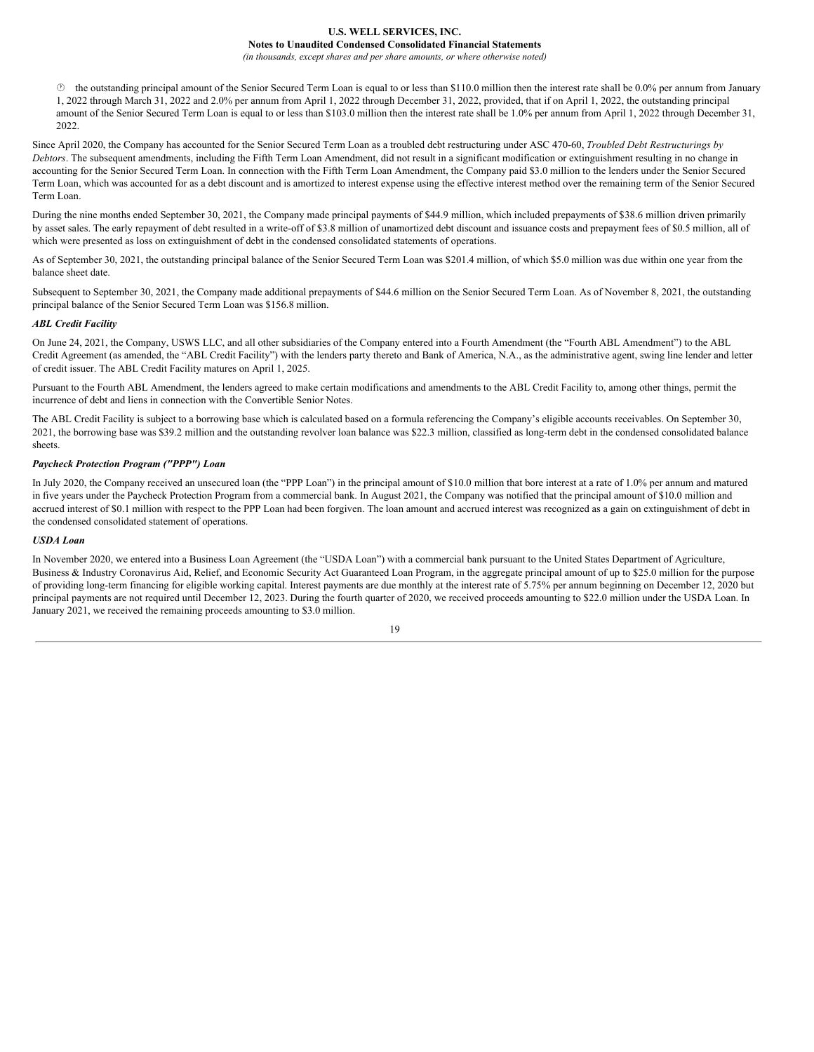# **Notes to Unaudited Condensed Consolidated Financial Statements**

*(in thousands, except shares and per share amounts, or where otherwise noted)*

 $\degree$  the outstanding principal amount of the Senior Secured Term Loan is equal to or less than \$110.0 million then the interest rate shall be 0.0% per annum from January 1, 2022 through March 31, 2022 and 2.0% per annum from April 1, 2022 through December 31, 2022, provided, that if on April 1, 2022, the outstanding principal amount of the Senior Secured Term Loan is equal to or less than \$103.0 million then the interest rate shall be 1.0% per annum from April 1, 2022 through December 31, 2022.

Since April 2020, the Company has accounted for the Senior Secured Term Loan as a troubled debt restructuring under ASC 470-60, *Troubled Debt Restructurings by Debtors*. The subsequent amendments, including the Fifth Term Loan Amendment, did not result in a significant modification or extinguishment resulting in no change in accounting for the Senior Secured Term Loan. In connection with the Fifth Term Loan Amendment, the Company paid \$3.0 million to the lenders under the Senior Secured Term Loan, which was accounted for as a debt discount and is amortized to interest expense using the effective interest method over the remaining term of the Senior Secured Term Loan.

During the nine months ended September 30, 2021, the Company made principal payments of \$44.9 million, which included prepayments of \$38.6 million driven primarily by asset sales. The early repayment of debt resulted in a write-off of \$3.8 million of unamortized debt discount and issuance costs and prepayment fees of \$0.5 million, all of which were presented as loss on extinguishment of debt in the condensed consolidated statements of operations.

As of September 30, 2021, the outstanding principal balance of the Senior Secured Term Loan was \$201.4 million, of which \$5.0 million was due within one year from the balance sheet date.

Subsequent to September 30, 2021, the Company made additional prepayments of \$44.6 million on the Senior Secured Term Loan. As of November 8, 2021, the outstanding principal balance of the Senior Secured Term Loan was \$156.8 million.

#### *ABL Credit Facility*

On June 24, 2021, the Company, USWS LLC, and all other subsidiaries of the Company entered into a Fourth Amendment (the "Fourth ABL Amendment") to the ABL Credit Agreement (as amended, the "ABL Credit Facility") with the lenders party thereto and Bank of America, N.A., as the administrative agent, swing line lender and letter of credit issuer. The ABL Credit Facility matures on April 1, 2025.

Pursuant to the Fourth ABL Amendment, the lenders agreed to make certain modifications and amendments to the ABL Credit Facility to, among other things, permit the incurrence of debt and liens in connection with the Convertible Senior Notes.

The ABL Credit Facility is subject to a borrowing base which is calculated based on a formula referencing the Company's eligible accounts receivables. On September 30, 2021, the borrowing base was \$39.2 million and the outstanding revolver loan balance was \$22.3 million, classified as long-term debt in the condensed consolidated balance sheets.

### *Paycheck Protection Program ("PPP") Loan*

In July 2020, the Company received an unsecured loan (the "PPP Loan") in the principal amount of \$10.0 million that bore interest at a rate of 1.0% per annum and matured in five years under the Paycheck Protection Program from a commercial bank. In August 2021, the Company was notified that the principal amount of \$10.0 million and accrued interest of \$0.1 million with respect to the PPP Loan had been forgiven. The loan amount and accrued interest was recognized as a gain on extinguishment of debt in the condensed consolidated statement of operations.

### *USDA Loan*

In November 2020, we entered into a Business Loan Agreement (the "USDA Loan") with a commercial bank pursuant to the United States Department of Agriculture, Business & Industry Coronavirus Aid, Relief, and Economic Security Act Guaranteed Loan Program, in the aggregate principal amount of up to \$25.0 million for the purpose of providing long-term financing for eligible working capital. Interest payments are due monthly at the interest rate of 5.75% per annum beginning on December 12, 2020 but principal payments are not required until December 12, 2023. During the fourth quarter of 2020, we received proceeds amounting to \$22.0 million under the USDA Loan. In January 2021, we received the remaining proceeds amounting to \$3.0 million.

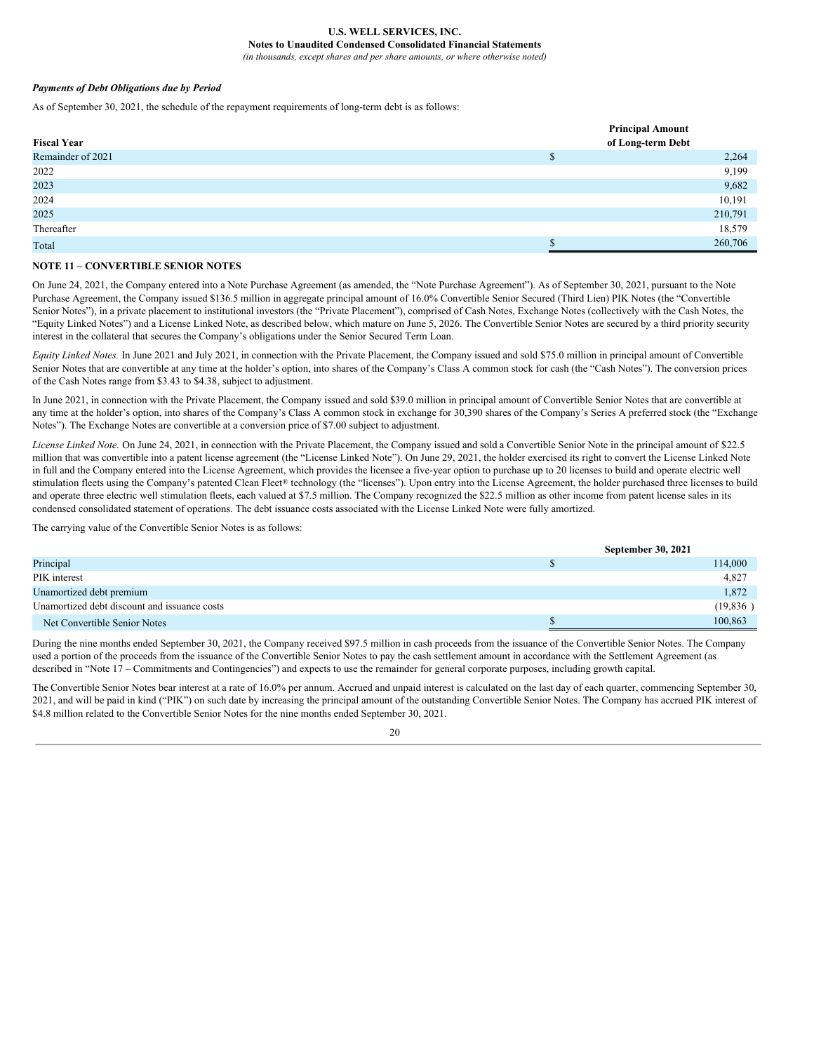*(in thousands, except shares and per share amounts, or where otherwise noted)*

### *Payments of Debt Obligations due by Period*

As of September 30, 2021, the schedule of the repayment requirements of long-term debt is as follows:

|                    | <b>Principal Amount</b> |         |
|--------------------|-------------------------|---------|
| <b>Fiscal Year</b> | of Long-term Debt       |         |
| Remainder of 2021  | S                       | 2,264   |
| 2022               |                         | 9,199   |
| 2023               |                         | 9,682   |
| 2024               |                         | 10,191  |
| 2025               |                         | 210,791 |
| Thereafter         |                         | 18,579  |
| Total              |                         | 260,706 |

#### **NOTE 11 – CONVERTIBLE SENIOR NOTES**

On June 24, 2021, the Company entered into a Note Purchase Agreement (as amended, the "Note Purchase Agreement"). As of September 30, 2021, pursuant to the Note Purchase Agreement, the Company issued \$136.5 million in aggregate principal amount of 16.0% Convertible Senior Secured (Third Lien) PIK Notes (the "Convertible Senior Notes"), in a private placement to institutional investors (the "Private Placement"), comprised of Cash Notes, Exchange Notes (collectively with the Cash Notes, the "Equity Linked Notes") and a License Linked Note, as described below, which mature on June 5, 2026. The Convertible Senior Notes are secured by a third priority security interest in the collateral that secures the Company's obligations under the Senior Secured Term Loan.

*Equity Linked Notes.* In June 2021 and July 2021, in connection with the Private Placement, the Company issued and sold \$75.0 million in principal amount of Convertible Senior Notes that are convertible at any time at the holder's option, into shares of the Company's Class A common stock for cash (the "Cash Notes"). The conversion prices of the Cash Notes range from \$3.43 to \$4.38, subject to adjustment.

In June 2021, in connection with the Private Placement, the Company issued and sold \$39.0 million in principal amount of Convertible Senior Notes that are convertible at any time at the holder's option, into shares of the Company's Class A common stock in exchange for 30,390 shares of the Company's Series A preferred stock (the "Exchange Notes"). The Exchange Notes are convertible at a conversion price of \$7.00 subject to adjustment.

*License Linked Note.* On June 24, 2021, in connection with the Private Placement, the Company issued and sold a Convertible Senior Note in the principal amount of \$22.5 million that was convertible into a patent license agreement (the "License Linked Note"). On June 29, 2021, the holder exercised its right to convert the License Linked Note in full and the Company entered into the License Agreement, which provides the licensee a five-year option to purchase up to 20 licenses to build and operate electric well stimulation fleets using the Company's patented Clean Fleet® technology (the "licenses"). Upon entry into the License Agreement, the holder purchased three licenses to build and operate three electric well stimulation fleets, each valued at \$7.5 million. The Company recognized the \$22.5 million as other income from patent license sales in its condensed consolidated statement of operations. The debt issuance costs associated with the License Linked Note were fully amortized.

The carrying value of the Convertible Senior Notes is as follows:

|                                              |   | <b>September 30, 2021</b> |
|----------------------------------------------|---|---------------------------|
| Principal                                    | D | 114,000                   |
| PIK interest                                 |   | 4,827                     |
| Unamortized debt premium                     |   | 1,872                     |
| Unamortized debt discount and issuance costs |   | (19, 836)                 |
| Net Convertible Senior Notes                 |   | 100,863                   |

During the nine months ended September 30, 2021, the Company received \$97.5 million in cash proceeds from the issuance of the Convertible Senior Notes. The Company used a portion of the proceeds from the issuance of the Convertible Senior Notes to pay the cash settlement amount in accordance with the Settlement Agreement (as described in "Note 17 – Commitments and Contingencies") and expects to use the remainder for general corporate purposes, including growth capital.

The Convertible Senior Notes bear interest at a rate of 16.0% per annum. Accrued and unpaid interest is calculated on the last day of each quarter, commencing September 30, 2021, and will be paid in kind ("PIK") on such date by increasing the principal amount of the outstanding Convertible Senior Notes. The Company has accrued PIK interest of \$4.8 million related to the Convertible Senior Notes for the nine months ended September 30, 2021.

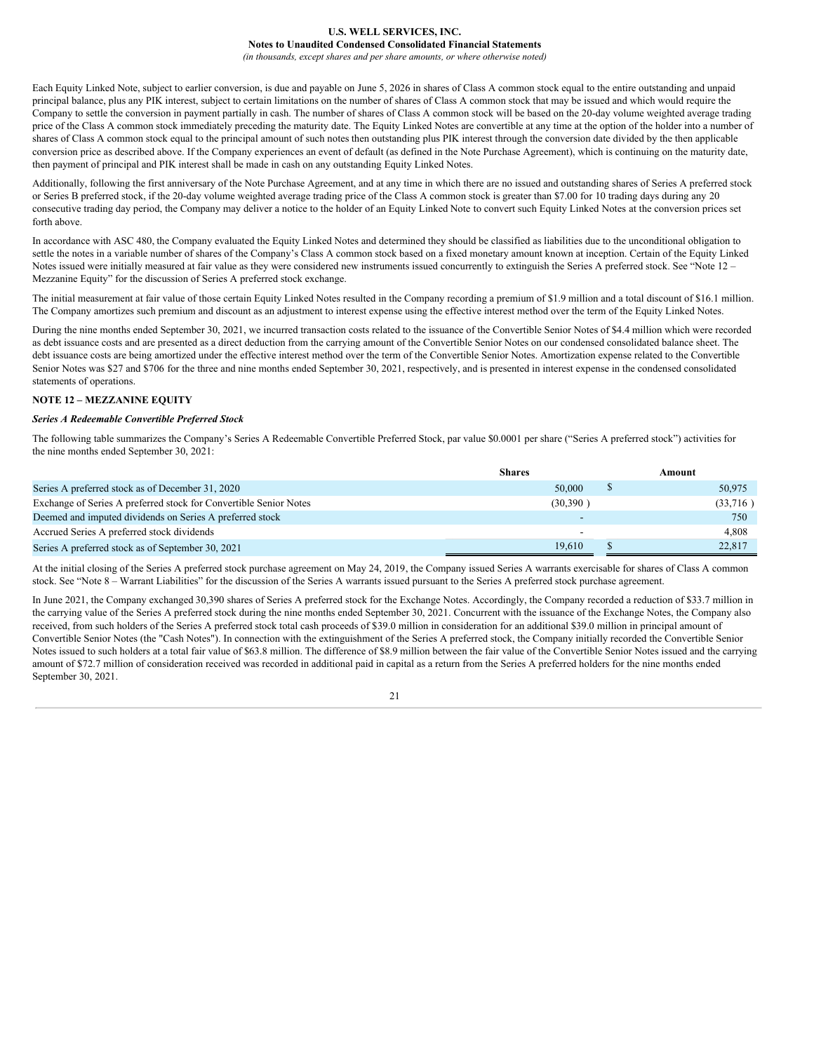#### **Notes to Unaudited Condensed Consolidated Financial Statements**

*(in thousands, except shares and per share amounts, or where otherwise noted)*

Each Equity Linked Note, subject to earlier conversion, is due and payable on June 5, 2026 in shares of Class A common stock equal to the entire outstanding and unpaid principal balance, plus any PIK interest, subject to certain limitations on the number of shares of Class A common stock that may be issued and which would require the Company to settle the conversion in payment partially in cash. The number of shares of Class A common stock will be based on the 20-day volume weighted average trading price of the Class A common stock immediately preceding the maturity date. The Equity Linked Notes are convertible at any time at the option of the holder into a number of shares of Class A common stock equal to the principal amount of such notes then outstanding plus PIK interest through the conversion date divided by the then applicable conversion price as described above. If the Company experiences an event of default (as defined in the Note Purchase Agreement), which is continuing on the maturity date, then payment of principal and PIK interest shall be made in cash on any outstanding Equity Linked Notes.

Additionally, following the first anniversary of the Note Purchase Agreement, and at any time in which there are no issued and outstanding shares of Series A preferred stock or Series B preferred stock, if the 20-day volume weighted average trading price of the Class A common stock is greater than \$7.00 for 10 trading days during any 20 consecutive trading day period, the Company may deliver a notice to the holder of an Equity Linked Note to convert such Equity Linked Notes at the conversion prices set forth above.

In accordance with ASC 480, the Company evaluated the Equity Linked Notes and determined they should be classified as liabilities due to the unconditional obligation to settle the notes in a variable number of shares of the Company's Class A common stock based on a fixed monetary amount known at inception. Certain of the Equity Linked Notes issued were initially measured at fair value as they were considered new instruments issued concurrently to extinguish the Series A preferred stock. See "Note 12 – Mezzanine Equity" for the discussion of Series A preferred stock exchange.

The initial measurement at fair value of those certain Equity Linked Notes resulted in the Company recording a premium of \$1.9 million and a total discount of \$16.1 million. The Company amortizes such premium and discount as an adjustment to interest expense using the effective interest method over the term of the Equity Linked Notes.

During the nine months ended September 30, 2021, we incurred transaction costs related to the issuance of the Convertible Senior Notes of \$4.4 million which were recorded as debt issuance costs and are presented as a direct deduction from the carrying amount of the Convertible Senior Notes on our condensed consolidated balance sheet. The debt issuance costs are being amortized under the effective interest method over the term of the Convertible Senior Notes. Amortization expense related to the Convertible Senior Notes was \$27 and \$706 for the three and nine months ended September 30, 2021, respectively, and is presented in interest expense in the condensed consolidated statements of operations.

#### **NOTE 12 – MEZZANINE EQUITY**

#### *Series A Redeemable Convertible Preferred Stock*

The following table summarizes the Company's Series A Redeemable Convertible Preferred Stock, par value \$0.0001 per share ("Series A preferred stock") activities for the nine months ended September 30, 2021:

|                                                                   | <b>Shares</b> | Amount   |
|-------------------------------------------------------------------|---------------|----------|
| Series A preferred stock as of December 31, 2020                  | 50,000        | 50,975   |
| Exchange of Series A preferred stock for Convertible Senior Notes | (30,390)      | (33,716) |
| Deemed and imputed dividends on Series A preferred stock          |               | 750      |
| Accrued Series A preferred stock dividends                        |               | 4.808    |
| Series A preferred stock as of September 30, 2021                 | 19.610        | 22,817   |

At the initial closing of the Series A preferred stock purchase agreement on May 24, 2019, the Company issued Series A warrants exercisable for shares of Class A common stock. See "Note 8 – Warrant Liabilities" for the discussion of the Series A warrants issued pursuant to the Series A preferred stock purchase agreement.

In June 2021, the Company exchanged 30,390 shares of Series A preferred stock for the Exchange Notes. Accordingly, the Company recorded a reduction of \$33.7 million in the carrying value of the Series A preferred stock during the nine months ended September 30, 2021. Concurrent with the issuance of the Exchange Notes, the Company also received, from such holders of the Series A preferred stock total cash proceeds of \$39.0 million in consideration for an additional \$39.0 million in principal amount of Convertible Senior Notes (the "Cash Notes"). In connection with the extinguishment of the Series A preferred stock, the Company initially recorded the Convertible Senior Notes issued to such holders at a total fair value of \$63.8 million. The difference of \$8.9 million between the fair value of the Convertible Senior Notes issued and the carrying amount of \$72.7 million of consideration received was recorded in additional paid in capital as a return from the Series A preferred holders for the nine months ended September 30, 2021.

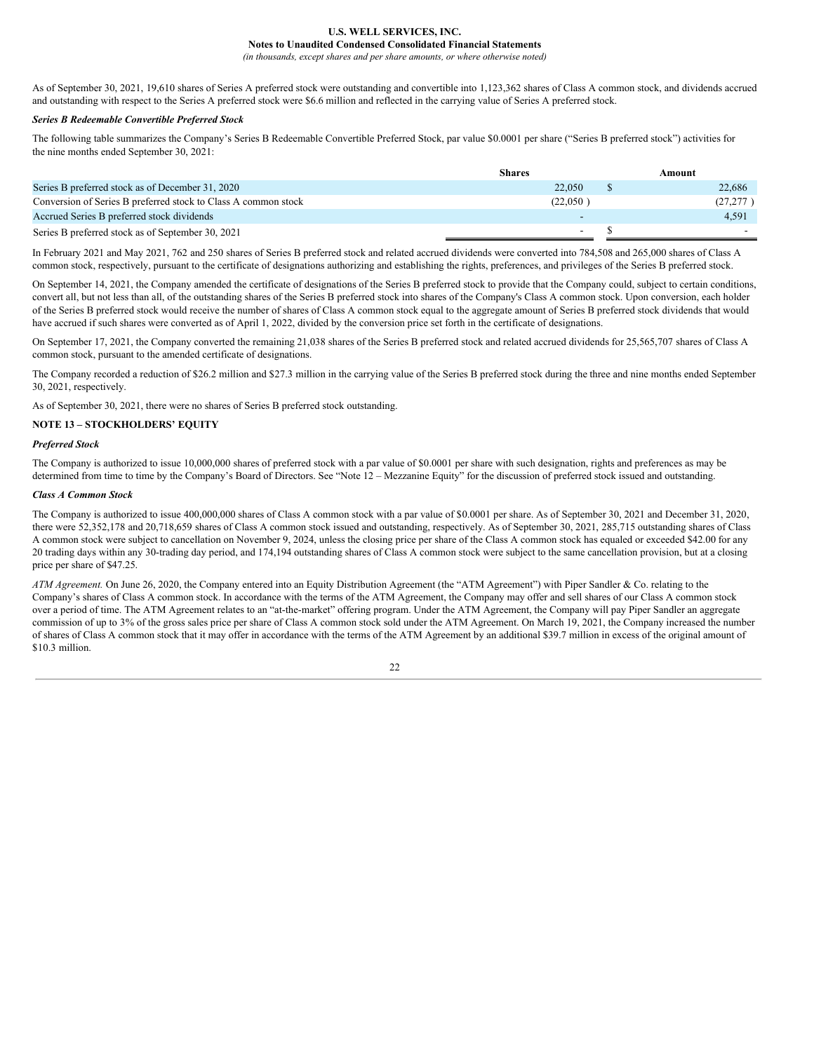# **Notes to Unaudited Condensed Consolidated Financial Statements**

*(in thousands, except shares and per share amounts, or where otherwise noted)*

As of September 30, 2021, 19,610 shares of Series A preferred stock were outstanding and convertible into 1,123,362 shares of Class A common stock, and dividends accrued and outstanding with respect to the Series A preferred stock were \$6.6 million and reflected in the carrying value of Series A preferred stock.

### *Series B Redeemable Convertible Preferred Stock*

The following table summarizes the Company's Series B Redeemable Convertible Preferred Stock, par value \$0.0001 per share ("Series B preferred stock") activities for the nine months ended September 30, 2021:

|                                                                | Shares     | Amount    |
|----------------------------------------------------------------|------------|-----------|
| Series B preferred stock as of December 31, 2020               | 22,050     | 22,686    |
| Conversion of Series B preferred stock to Class A common stock | (22,050)   | (27, 277) |
| Accrued Series B preferred stock dividends                     |            | 4.591     |
| Series B preferred stock as of September 30, 2021              | $\sim$ $-$ |           |

In February 2021 and May 2021, 762 and 250 shares of Series B preferred stock and related accrued dividends were converted into 784,508 and 265,000 shares of Class A common stock, respectively, pursuant to the certificate of designations authorizing and establishing the rights, preferences, and privileges of the Series B preferred stock.

On September 14, 2021, the Company amended the certificate of designations of the Series B preferred stock to provide that the Company could, subject to certain conditions, convert all, but not less than all, of the outstanding shares of the Series B preferred stock into shares of the Company's Class A common stock. Upon conversion, each holder of the Series B preferred stock would receive the number of shares of Class A common stock equal to the aggregate amount of Series B preferred stock dividends that would have accrued if such shares were converted as of April 1, 2022, divided by the conversion price set forth in the certificate of designations.

On September 17, 2021, the Company converted the remaining 21,038 shares of the Series B preferred stock and related accrued dividends for 25,565,707 shares of Class A common stock, pursuant to the amended certificate of designations.

The Company recorded a reduction of \$26.2 million and \$27.3 million in the carrying value of the Series B preferred stock during the three and nine months ended September 30, 2021, respectively.

As of September 30, 2021, there were no shares of Series B preferred stock outstanding.

### **NOTE 13 – STOCKHOLDERS' EQUITY**

#### *Preferred Stock*

The Company is authorized to issue 10,000,000 shares of preferred stock with a par value of \$0.0001 per share with such designation, rights and preferences as may be determined from time to time by the Company's Board of Directors. See "Note 12 – Mezzanine Equity" for the discussion of preferred stock issued and outstanding.

#### *Class A Common Stock*

The Company is authorized to issue 400,000,000 shares of Class A common stock with a par value of \$0.0001 per share. As of September 30, 2021 and December 31, 2020, there were 52,352,178 and 20,718,659 shares of Class A common stock issued and outstanding, respectively. As of September 30, 2021, 285,715 outstanding shares of Class A common stock were subject to cancellation on November 9, 2024, unless the closing price per share of the Class A common stock has equaled or exceeded \$42.00 for any 20 trading days within any 30-trading day period, and 174,194 outstanding shares of Class A common stock were subject to the same cancellation provision, but at a closing price per share of \$47.25.

*ATM Agreement.* On June 26, 2020, the Company entered into an Equity Distribution Agreement (the "ATM Agreement") with Piper Sandler & Co. relating to the Company's shares of Class A common stock. In accordance with the terms of the ATM Agreement, the Company may offer and sell shares of our Class A common stock over a period of time. The ATM Agreement relates to an "at-the-market" offering program. Under the ATM Agreement, the Company will pay Piper Sandler an aggregate commission of up to 3% of the gross sales price per share of Class A common stock sold under the ATM Agreement. On March 19, 2021, the Company increased the number of shares of Class A common stock that it may offer in accordance with the terms of the ATM Agreement by an additional \$39.7 million in excess of the original amount of \$10.3 million.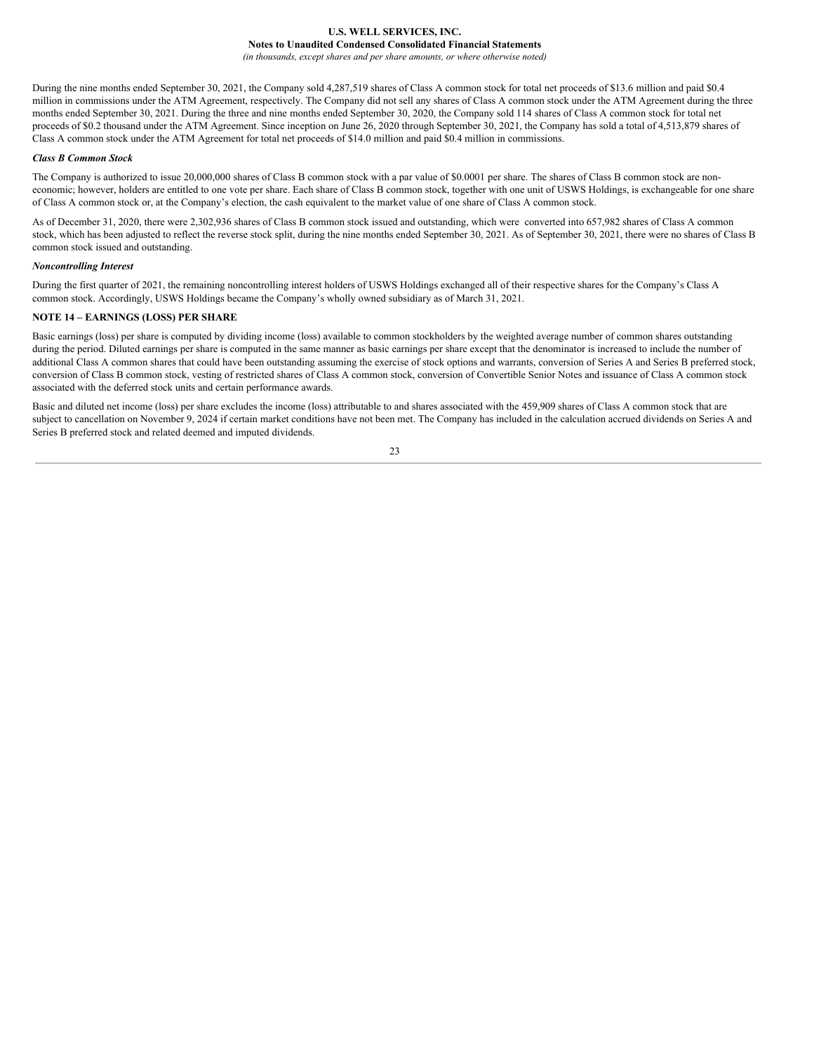**Notes to Unaudited Condensed Consolidated Financial Statements** *(in thousands, except shares and per share amounts, or where otherwise noted)*

During the nine months ended September 30, 2021, the Company sold 4,287,519 shares of Class A common stock for total net proceeds of \$13.6 million and paid \$0.4 million in commissions under the ATM Agreement, respectively. The Company did not sell any shares of Class A common stock under the ATM Agreement during the three months ended September 30, 2021. During the three and nine months ended September 30, 2020, the Company sold 114 shares of Class A common stock for total net proceeds of \$0.2 thousand under the ATM Agreement. Since inception on June 26, 2020 through September 30, 2021, the Company has sold a total of 4,513,879 shares of Class A common stock under the ATM Agreement for total net proceeds of \$14.0 million and paid \$0.4 million in commissions.

#### *Class B Common Stock*

The Company is authorized to issue 20,000,000 shares of Class B common stock with a par value of \$0.0001 per share. The shares of Class B common stock are noneconomic; however, holders are entitled to one vote per share. Each share of Class B common stock, together with one unit of USWS Holdings, is exchangeable for one share of Class A common stock or, at the Company's election, the cash equivalent to the market value of one share of Class A common stock.

As of December 31, 2020, there were 2,302,936 shares of Class B common stock issued and outstanding, which were converted into 657,982 shares of Class A common stock, which has been adjusted to reflect the reverse stock split, during the nine months ended September 30, 2021. As of September 30, 2021, there were no shares of Class B common stock issued and outstanding.

#### *Noncontrolling Interest*

During the first quarter of 2021, the remaining noncontrolling interest holders of USWS Holdings exchanged all of their respective shares for the Company's Class A common stock. Accordingly, USWS Holdings became the Company's wholly owned subsidiary as of March 31, 2021.

#### **NOTE 14 – EARNINGS (LOSS) PER SHARE**

Basic earnings (loss) per share is computed by dividing income (loss) available to common stockholders by the weighted average number of common shares outstanding during the period. Diluted earnings per share is computed in the same manner as basic earnings per share except that the denominator is increased to include the number of additional Class A common shares that could have been outstanding assuming the exercise of stock options and warrants, conversion of Series A and Series B preferred stock, conversion of Class B common stock, vesting of restricted shares of Class A common stock, conversion of Convertible Senior Notes and issuance of Class A common stock associated with the deferred stock units and certain performance awards.

Basic and diluted net income (loss) per share excludes the income (loss) attributable to and shares associated with the 459,909 shares of Class A common stock that are subject to cancellation on November 9, 2024 if certain market conditions have not been met. The Company has included in the calculation accrued dividends on Series A and Series B preferred stock and related deemed and imputed dividends.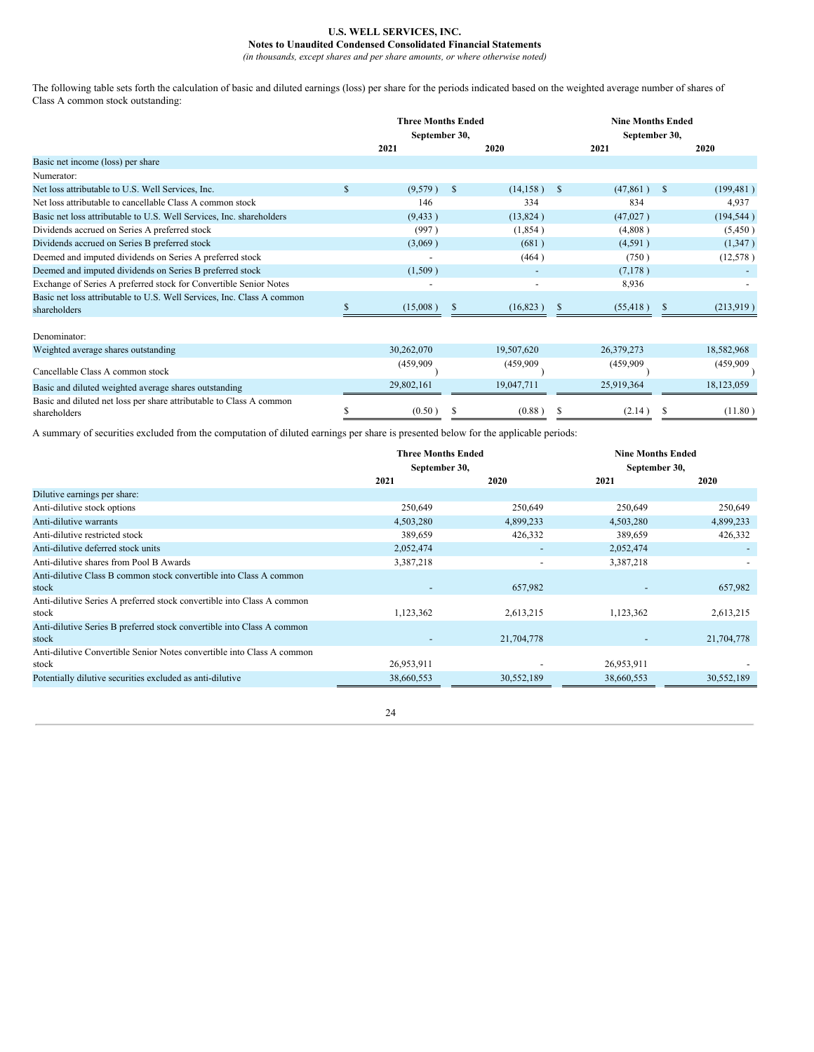**Notes to Unaudited Condensed Consolidated Financial Statements** *(in thousands, except shares and per share amounts, or where otherwise noted)*

The following table sets forth the calculation of basic and diluted earnings (loss) per share for the periods indicated based on the weighted average number of shares of Class A common stock outstanding:

|                                                                                        | <b>Three Months Ended</b> |                          |               |            |               | <b>Nine Months Ended</b> |               |            |  |
|----------------------------------------------------------------------------------------|---------------------------|--------------------------|---------------|------------|---------------|--------------------------|---------------|------------|--|
|                                                                                        | September 30,             |                          |               |            | September 30, |                          |               |            |  |
|                                                                                        |                           | 2021                     |               | 2020       |               | 2021                     |               | 2020       |  |
| Basic net income (loss) per share                                                      |                           |                          |               |            |               |                          |               |            |  |
| Numerator:                                                                             |                           |                          |               |            |               |                          |               |            |  |
| Net loss attributable to U.S. Well Services, Inc.                                      | \$                        | (9,579)                  | <sup>S</sup>  | (14, 158)  | <sup>\$</sup> | (47, 861)                | <sup>\$</sup> | (199, 481) |  |
| Net loss attributable to cancellable Class A common stock                              |                           | 146                      |               | 334        |               | 834                      |               | 4,937      |  |
| Basic net loss attributable to U.S. Well Services, Inc. shareholders                   |                           | (9, 433)                 |               | (13,824)   |               | (47,027)                 |               | (194, 544) |  |
| Dividends accrued on Series A preferred stock                                          |                           | (997)                    |               | (1,854)    |               | (4,808)                  |               | (5,450)    |  |
| Dividends accrued on Series B preferred stock                                          |                           | (3,069)                  |               | (681)      |               | (4,591)                  |               | (1, 347)   |  |
| Deemed and imputed dividends on Series A preferred stock                               |                           | $\overline{\phantom{0}}$ |               | (464)      |               | (750)                    |               | (12,578)   |  |
| Deemed and imputed dividends on Series B preferred stock                               |                           | (1,509)                  |               |            |               | (7,178)                  |               |            |  |
| Exchange of Series A preferred stock for Convertible Senior Notes                      |                           |                          |               |            |               | 8,936                    |               |            |  |
| Basic net loss attributable to U.S. Well Services, Inc. Class A common<br>shareholders |                           | (15,008)                 | <sup>\$</sup> | (16,823)   | <sup>\$</sup> | (55, 418)                | <sup>\$</sup> | (213,919)  |  |
|                                                                                        |                           |                          |               |            |               |                          |               |            |  |
| Denominator:                                                                           |                           |                          |               |            |               |                          |               |            |  |
| Weighted average shares outstanding                                                    |                           | 30,262,070               |               | 19,507,620 |               | 26,379,273               |               | 18,582,968 |  |
| Cancellable Class A common stock                                                       |                           | (459,909)                |               | (459,909)  |               | (459,909)                |               | (459,909)  |  |
| Basic and diluted weighted average shares outstanding                                  |                           | 29,802,161               |               | 19,047,711 |               | 25,919,364               |               | 18,123,059 |  |
| Basic and diluted net loss per share attributable to Class A common<br>shareholders    |                           | (0.50)                   | S             | (0.88)     |               | (2.14)                   | -S            | (11.80)    |  |

A summary of securities excluded from the computation of diluted earnings per share is presented below for the applicable periods:

|                                                                        | <b>Three Months Ended</b> |            | <b>Nine Months Ended</b> |            |  |
|------------------------------------------------------------------------|---------------------------|------------|--------------------------|------------|--|
|                                                                        | September 30,             |            | September 30,            |            |  |
|                                                                        | 2021                      | 2020       | 2021                     | 2020       |  |
| Dilutive earnings per share:                                           |                           |            |                          |            |  |
| Anti-dilutive stock options                                            | 250,649                   | 250,649    | 250,649                  | 250,649    |  |
| Anti-dilutive warrants                                                 | 4,503,280                 | 4,899,233  | 4,503,280                | 4,899,233  |  |
| Anti-dilutive restricted stock                                         | 389,659                   | 426,332    | 389,659                  | 426,332    |  |
| Anti-dilutive deferred stock units                                     | 2,052,474                 |            | 2,052,474                |            |  |
| Anti-dilutive shares from Pool B Awards                                | 3,387,218                 |            | 3,387,218                |            |  |
| Anti-dilutive Class B common stock convertible into Class A common     |                           |            |                          |            |  |
| stock                                                                  |                           | 657,982    |                          | 657,982    |  |
| Anti-dilutive Series A preferred stock convertible into Class A common |                           |            |                          |            |  |
| stock                                                                  | 1,123,362                 | 2,613,215  | 1,123,362                | 2,613,215  |  |
| Anti-dilutive Series B preferred stock convertible into Class A common |                           |            |                          |            |  |
| stock                                                                  |                           | 21,704,778 |                          | 21,704,778 |  |
| Anti-dilutive Convertible Senior Notes convertible into Class A common |                           |            |                          |            |  |
| stock                                                                  | 26,953,911                |            | 26,953,911               |            |  |
| Potentially dilutive securities excluded as anti-dilutive              | 38,660,553                | 30,552,189 | 38,660,553               | 30,552,189 |  |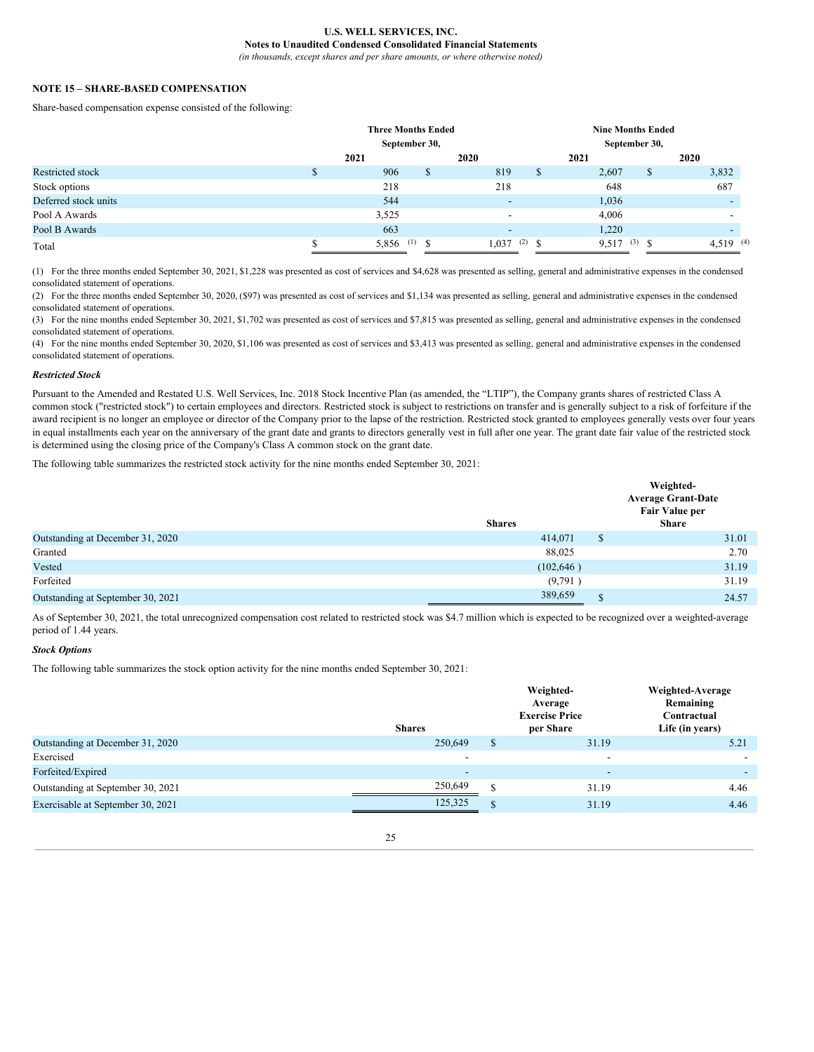*(in thousands, except shares and per share amounts, or where otherwise noted)*

### **NOTE 15 – SHARE-BASED COMPENSATION**

Share-based compensation expense consisted of the following:

|                      | <b>Three Months Ended</b> |               |                           |               | <b>Nine Months Ended</b>  |             |
|----------------------|---------------------------|---------------|---------------------------|---------------|---------------------------|-------------|
|                      | September 30,             |               |                           | September 30, |                           |             |
|                      | 2021                      |               | 2020                      | 2021          |                           | 2020        |
| Restricted stock     | 906                       | <sup>\$</sup> | 819                       | 2,607         | \$                        | 3,832       |
| Stock options        | 218                       |               | 218                       | 648           |                           | 687         |
| Deferred stock units | 544                       |               |                           | 1,036         |                           |             |
| Pool A Awards        | 3,525                     |               | $\overline{\phantom{a}}$  | 4,006         |                           |             |
| Pool B Awards        | 663                       |               | $\overline{\phantom{0}}$  | 1,220         |                           |             |
| Total                | 5,856 $(1)$ \$            |               | $1,037$ <sup>(2)</sup> \$ |               | $9,517$ <sup>(3)</sup> \$ | 4,519 $(4)$ |

(1) For the three months ended September 30, 2021, \$1,228 was presented as cost of services and \$4,628 was presented as selling, general and administrative expenses in the condensed consolidated statement of operations.

(2) For the three months ended September 30, 2020, (\$97) was presented as cost of services and \$1,134 was presented as selling, general and administrative expenses in the condensed consolidated statement of operations.

(3) For the nine months ended September 30, 2021, \$1,702 was presented as cost of services and \$7,815 was presented as selling, general and administrative expenses in the condensed consolidated statement of operations.

(4) For the nine months ended September 30, 2020, \$1,106 was presented as cost of services and \$3,413 was presented as selling, general and administrative expenses in the condensed consolidated statement of operations.

### *Restricted Stock*

Pursuant to the Amended and Restated U.S. Well Services, Inc. 2018 Stock Incentive Plan (as amended, the "LTIP"), the Company grants shares of restricted Class A common stock ("restricted stock") to certain employees and directors. Restricted stock is subject to restrictions on transfer and is generally subject to a risk of forfeiture if the award recipient is no longer an employee or director of the Company prior to the lapse of the restriction. Restricted stock granted to employees generally vests over four years in equal installments each year on the anniversary of the grant date and grants to directors generally vest in full after one year. The grant date fair value of the restricted stock is determined using the closing price of the Company's Class A common stock on the grant date.

The following table summarizes the restricted stock activity for the nine months ended September 30, 2021:

|                                   | <b>Shares</b> |               | Weighted-<br><b>Average Grant-Date</b><br>Fair Value per<br><b>Share</b> |
|-----------------------------------|---------------|---------------|--------------------------------------------------------------------------|
| Outstanding at December 31, 2020  | 414,071       | <sup>\$</sup> | 31.01                                                                    |
| Granted                           | 88,025        |               | 2.70                                                                     |
| Vested                            | (102, 646)    |               | 31.19                                                                    |
| Forfeited                         | (9,791)       |               | 31.19                                                                    |
| Outstanding at September 30, 2021 | 389,659       | <sup>\$</sup> | 24.57                                                                    |

As of September 30, 2021, the total unrecognized compensation cost related to restricted stock was \$4.7 million which is expected to be recognized over a weighted-average period of 1.44 years.

### *Stock Options*

The following table summarizes the stock option activity for the nine months ended September 30, 2021:

|                                   | <b>Shares</b>            |               | Weighted-<br>Average<br><b>Exercise Price</b><br>per Share | Weighted-Average<br>Remaining<br>Contractual<br>Life (in years) |
|-----------------------------------|--------------------------|---------------|------------------------------------------------------------|-----------------------------------------------------------------|
| Outstanding at December 31, 2020  | 250,649                  | S             | 31.19                                                      | 5.21                                                            |
| Exercised                         | $\overline{\phantom{a}}$ |               | $\overline{\phantom{a}}$                                   | $\overline{\phantom{0}}$                                        |
| Forfeited/Expired                 | $\overline{\phantom{0}}$ |               | $\overline{\phantom{0}}$                                   | $\overline{\phantom{0}}$                                        |
| Outstanding at September 30, 2021 | 250,649                  | S             | 31.19                                                      | 4.46                                                            |
| Exercisable at September 30, 2021 | 125,325                  | $\mathcal{S}$ | 31.19                                                      | 4.46                                                            |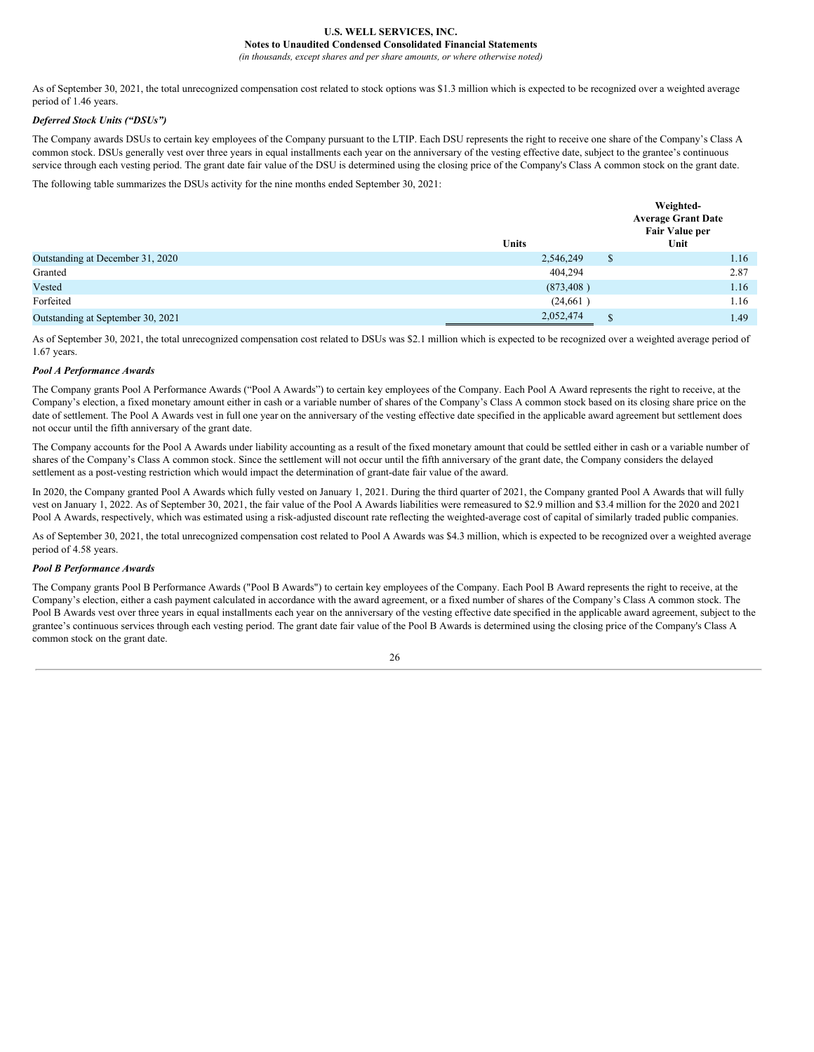#### **Notes to Unaudited Condensed Consolidated Financial Statements** *(in thousands, except shares and per share amounts, or where otherwise noted)*

As of September 30, 2021, the total unrecognized compensation cost related to stock options was \$1.3 million which is expected to be recognized over a weighted average period of 1.46 years.

#### *Deferred Stock Units ("DSUs")*

The Company awards DSUs to certain key employees of the Company pursuant to the LTIP. Each DSU represents the right to receive one share of the Company's Class A common stock. DSUs generally vest over three years in equal installments each year on the anniversary of the vesting effective date, subject to the grantee's continuous service through each vesting period. The grant date fair value of the DSU is determined using the closing price of the Company's Class A common stock on the grant date.

The following table summarizes the DSUs activity for the nine months ended September 30, 2021:

|                                   | <b>Units</b> |   | Weighted-<br><b>Average Grant Date</b><br><b>Fair Value per</b><br>Unit |
|-----------------------------------|--------------|---|-------------------------------------------------------------------------|
| Outstanding at December 31, 2020  | 2,546,249    | S | 1.16                                                                    |
| Granted                           | 404,294      |   | 2.87                                                                    |
| Vested                            | (873, 408)   |   | 1.16                                                                    |
| Forfeited                         | (24, 661)    |   | 1.16                                                                    |
| Outstanding at September 30, 2021 | 2,052,474    | S | 1.49                                                                    |

As of September 30, 2021, the total unrecognized compensation cost related to DSUs was \$2.1 million which is expected to be recognized over a weighted average period of 1.67 years.

#### *Pool A Performance Awards*

The Company grants Pool A Performance Awards ("Pool A Awards") to certain key employees of the Company. Each Pool A Award represents the right to receive, at the Company's election, a fixed monetary amount either in cash or a variable number of shares of the Company's Class A common stock based on its closing share price on the date of settlement. The Pool A Awards vest in full one year on the anniversary of the vesting effective date specified in the applicable award agreement but settlement does not occur until the fifth anniversary of the grant date.

The Company accounts for the Pool A Awards under liability accounting as a result of the fixed monetary amount that could be settled either in cash or a variable number of shares of the Company's Class A common stock. Since the settlement will not occur until the fifth anniversary of the grant date, the Company considers the delayed settlement as a post-vesting restriction which would impact the determination of grant-date fair value of the award.

In 2020, the Company granted Pool A Awards which fully vested on January 1, 2021. During the third quarter of 2021, the Company granted Pool A Awards that will fully vest on January 1, 2022. As of September 30, 2021, the fair value of the Pool A Awards liabilities were remeasured to \$2.9 million and \$3.4 million for the 2020 and 2021 Pool A Awards, respectively, which was estimated using a risk-adjusted discount rate reflecting the weighted-average cost of capital of similarly traded public companies.

As of September 30, 2021, the total unrecognized compensation cost related to Pool A Awards was \$4.3 million, which is expected to be recognized over a weighted average period of 4.58 years.

#### *Pool B Performance Awards*

The Company grants Pool B Performance Awards ("Pool B Awards") to certain key employees of the Company. Each Pool B Award represents the right to receive, at the Company's election, either a cash payment calculated in accordance with the award agreement, or a fixed number of shares of the Company's Class A common stock. The Pool B Awards vest over three years in equal installments each year on the anniversary of the vesting effective date specified in the applicable award agreement, subject to the grantee's continuous services through each vesting period. The grant date fair value of the Pool B Awards is determined using the closing price of the Company's Class A common stock on the grant date.

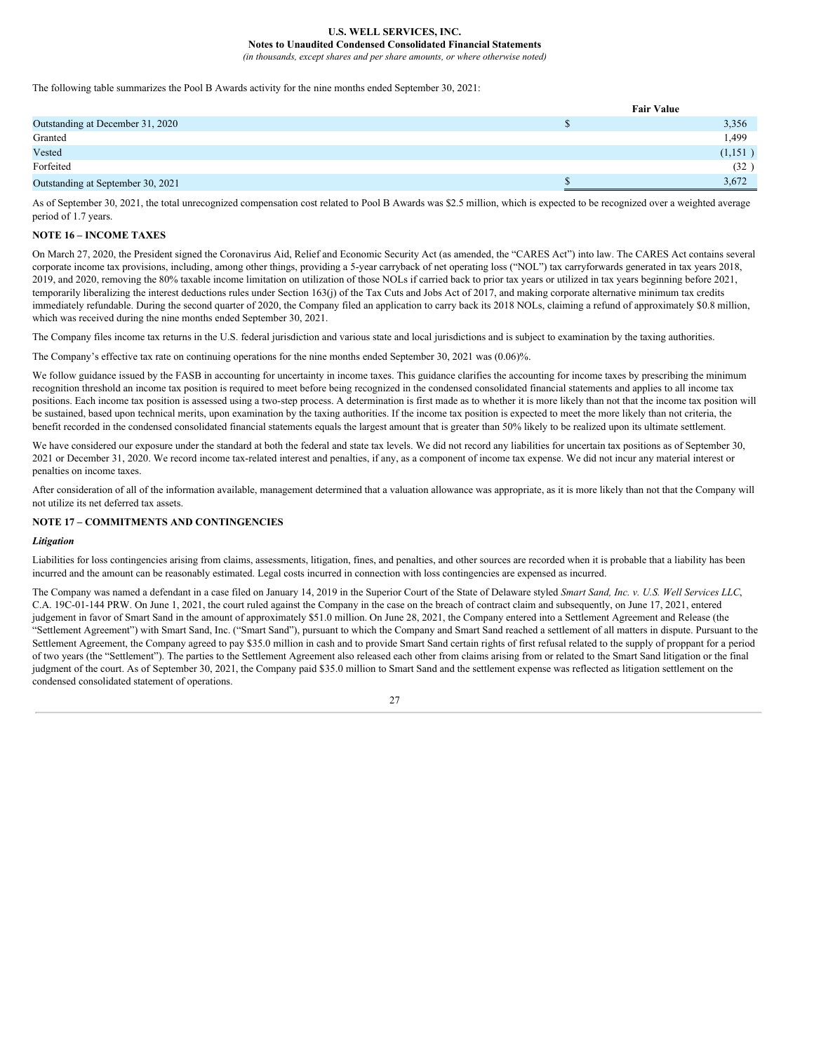**Notes to Unaudited Condensed Consolidated Financial Statements** *(in thousands, except shares and per share amounts, or where otherwise noted)*

The following table summarizes the Pool B Awards activity for the nine months ended September 30, 2021:

|                                   | <b>Fair Value</b> |
|-----------------------------------|-------------------|
| Outstanding at December 31, 2020  | 3,356             |
| Granted                           | 1,499             |
| Vested                            | (1,151)           |
| Forfeited                         | (32)              |
| Outstanding at September 30, 2021 | 3,672             |

As of September 30, 2021, the total unrecognized compensation cost related to Pool B Awards was \$2.5 million, which is expected to be recognized over a weighted average period of 1.7 years.

### **NOTE 16 – INCOME TAXES**

On March 27, 2020, the President signed the Coronavirus Aid, Relief and Economic Security Act (as amended, the "CARES Act") into law. The CARES Act contains several corporate income tax provisions, including, among other things, providing a 5-year carryback of net operating loss ("NOL") tax carryforwards generated in tax years 2018, 2019, and 2020, removing the 80% taxable income limitation on utilization of those NOLs if carried back to prior tax years or utilized in tax years beginning before 2021, temporarily liberalizing the interest deductions rules under Section 163(j) of the Tax Cuts and Jobs Act of 2017, and making corporate alternative minimum tax credits immediately refundable. During the second quarter of 2020, the Company filed an application to carry back its 2018 NOLs, claiming a refund of approximately \$0.8 million, which was received during the nine months ended September 30, 2021.

The Company files income tax returns in the U.S. federal jurisdiction and various state and local jurisdictions and is subject to examination by the taxing authorities.

The Company's effective tax rate on continuing operations for the nine months ended September 30, 2021 was (0.06)%.

We follow guidance issued by the FASB in accounting for uncertainty in income taxes. This guidance clarifies the accounting for income taxes by prescribing the minimum recognition threshold an income tax position is required to meet before being recognized in the condensed consolidated financial statements and applies to all income tax positions. Each income tax position is assessed using a two-step process. A determination is first made as to whether it is more likely than not that the income tax position will be sustained, based upon technical merits, upon examination by the taxing authorities. If the income tax position is expected to meet the more likely than not criteria, the benefit recorded in the condensed consolidated financial statements equals the largest amount that is greater than 50% likely to be realized upon its ultimate settlement.

We have considered our exposure under the standard at both the federal and state tax levels. We did not record any liabilities for uncertain tax positions as of September 30, 2021 or December 31, 2020. We record income tax-related interest and penalties, if any, as a component of income tax expense. We did not incur any material interest or penalties on income taxes.

After consideration of all of the information available, management determined that a valuation allowance was appropriate, as it is more likely than not that the Company will not utilize its net deferred tax assets.

### **NOTE 17 – COMMITMENTS AND CONTINGENCIES**

#### *Litigation*

Liabilities for loss contingencies arising from claims, assessments, litigation, fines, and penalties, and other sources are recorded when it is probable that a liability has been incurred and the amount can be reasonably estimated. Legal costs incurred in connection with loss contingencies are expensed as incurred.

The Company was named a defendant in a case filed on January 14, 2019 in the Superior Court of the State of Delaware styled *Smart Sand, Inc. v. U.S. Well Services LLC*, C.A. 19C-01-144 PRW. On June 1, 2021, the court ruled against the Company in the case on the breach of contract claim and subsequently, on June 17, 2021, entered judgement in favor of Smart Sand in the amount of approximately \$51.0 million. On June 28, 2021, the Company entered into a Settlement Agreement and Release (the "Settlement Agreement") with Smart Sand, Inc. ("Smart Sand"), pursuant to which the Company and Smart Sand reached a settlement of all matters in dispute. Pursuant to the Settlement Agreement, the Company agreed to pay \$35.0 million in cash and to provide Smart Sand certain rights of first refusal related to the supply of proppant for a period of two years (the "Settlement"). The parties to the Settlement Agreement also released each other from claims arising from or related to the Smart Sand litigation or the final judgment of the court. As of September 30, 2021, the Company paid \$35.0 million to Smart Sand and the settlement expense was reflected as litigation settlement on the condensed consolidated statement of operations.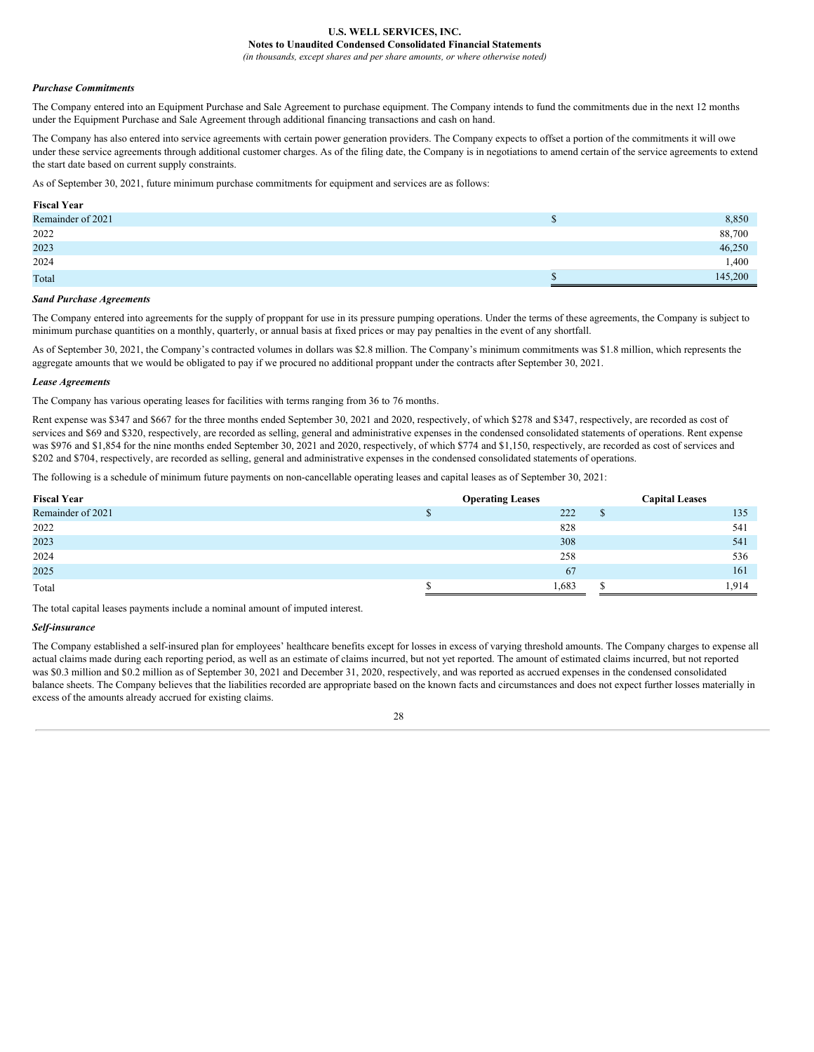# **Notes to Unaudited Condensed Consolidated Financial Statements**

*(in thousands, except shares and per share amounts, or where otherwise noted)*

#### *Purchase Commitments*

The Company entered into an Equipment Purchase and Sale Agreement to purchase equipment. The Company intends to fund the commitments due in the next 12 months under the Equipment Purchase and Sale Agreement through additional financing transactions and cash on hand.

The Company has also entered into service agreements with certain power generation providers. The Company expects to offset a portion of the commitments it will owe under these service agreements through additional customer charges. As of the filing date, the Company is in negotiations to amend certain of the service agreements to extend the start date based on current supply constraints.

As of September 30, 2021, future minimum purchase commitments for equipment and services are as follows:

#### **Fiscal Year**

| Remainder of 2021 | 8,850   |
|-------------------|---------|
| 2022              | 88,700  |
| 2023              | 46,250  |
| 2024              | 1,400   |
| Total             | 145,200 |

#### *Sand Purchase Agreements*

The Company entered into agreements for the supply of proppant for use in its pressure pumping operations. Under the terms of these agreements, the Company is subject to minimum purchase quantities on a monthly, quarterly, or annual basis at fixed prices or may pay penalties in the event of any shortfall.

As of September 30, 2021, the Company's contracted volumes in dollars was \$2.8 million. The Company's minimum commitments was \$1.8 million, which represents the aggregate amounts that we would be obligated to pay if we procured no additional proppant under the contracts after September 30, 2021.

#### *Lease Agreements*

The Company has various operating leases for facilities with terms ranging from 36 to 76 months.

Rent expense was \$347 and \$667 for the three months ended September 30, 2021 and 2020, respectively, of which \$278 and \$347, respectively, are recorded as cost of services and \$69 and \$320, respectively, are recorded as selling, general and administrative expenses in the condensed consolidated statements of operations. Rent expense was \$976 and \$1,854 for the nine months ended September 30, 2021 and 2020, respectively, of which \$774 and \$1,150, respectively, are recorded as cost of services and \$202 and \$704, respectively, are recorded as selling, general and administrative expenses in the condensed consolidated statements of operations.

The following is a schedule of minimum future payments on non-cancellable operating leases and capital leases as of September 30, 2021:

| <b>Fiscal Year</b> | <b>Operating Leases</b> | <b>Capital Leases</b> |
|--------------------|-------------------------|-----------------------|
| Remainder of 2021  | 222                     | 135                   |
| 2022               | 828                     | 541                   |
| 2023               | 308                     | 541                   |
| 2024               | 258                     | 536                   |
| 2025               | 67                      | 161                   |
| Total              | 1.683                   | l.914                 |

The total capital leases payments include a nominal amount of imputed interest.

#### *Self-insurance*

The Company established a self-insured plan for employees' healthcare benefits except for losses in excess of varying threshold amounts. The Company charges to expense all actual claims made during each reporting period, as well as an estimate of claims incurred, but not yet reported. The amount of estimated claims incurred, but not reported was \$0.3 million and \$0.2 million as of September 30, 2021 and December 31, 2020, respectively, and was reported as accrued expenses in the condensed consolidated balance sheets. The Company believes that the liabilities recorded are appropriate based on the known facts and circumstances and does not expect further losses materially in excess of the amounts already accrued for existing claims.

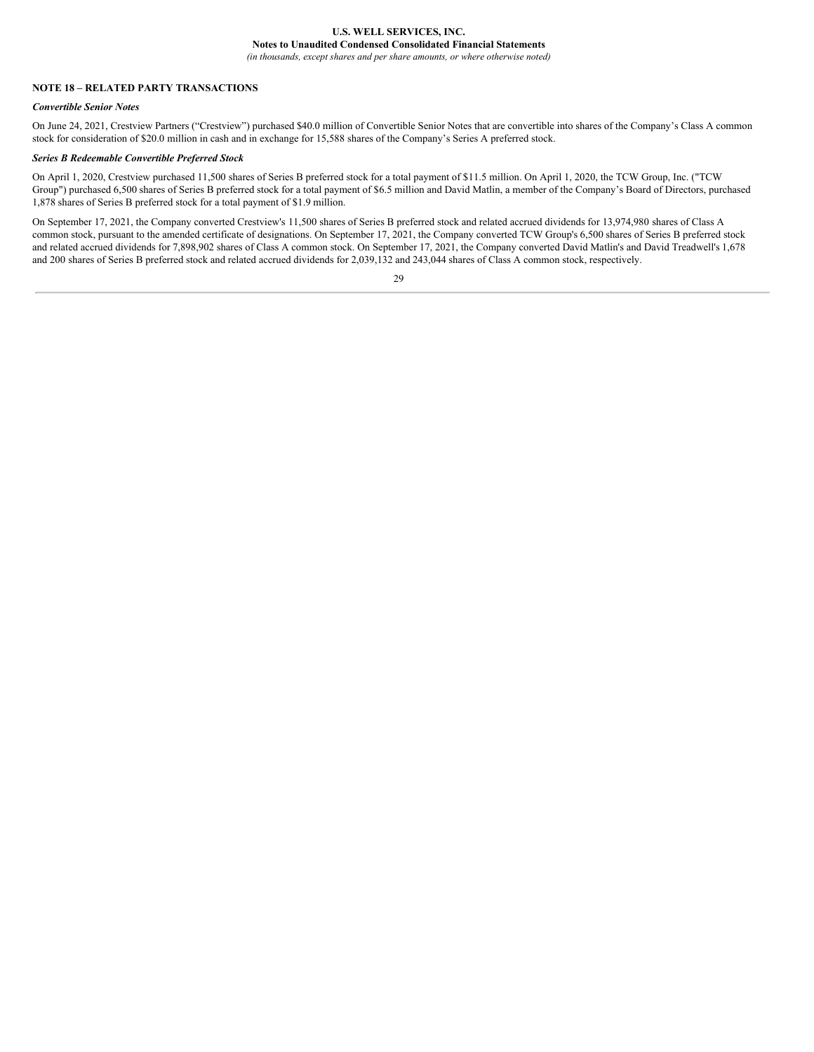*(in thousands, except shares and per share amounts, or where otherwise noted)*

### **NOTE 18 – RELATED PARTY TRANSACTIONS**

### *Convertible Senior Notes*

On June 24, 2021, Crestview Partners ("Crestview") purchased \$40.0 million of Convertible Senior Notes that are convertible into shares of the Company's Class A common stock for consideration of \$20.0 million in cash and in exchange for 15,588 shares of the Company's Series A preferred stock.

### *Series B Redeemable Convertible Preferred Stock*

On April 1, 2020, Crestview purchased 11,500 shares of Series B preferred stock for a total payment of \$11.5 million. On April 1, 2020, the TCW Group, Inc. ("TCW Group") purchased 6,500 shares of Series B preferred stock for a total payment of \$6.5 million and David Matlin, a member of the Company's Board of Directors, purchased 1,878 shares of Series B preferred stock for a total payment of \$1.9 million.

On September 17, 2021, the Company converted Crestview's 11,500 shares of Series B preferred stock and related accrued dividends for 13,974,980 shares of Class A common stock, pursuant to the amended certificate of designations. On September 17, 2021, the Company converted TCW Group's 6,500 shares of Series B preferred stock and related accrued dividends for 7,898,902 shares of Class A common stock. On September 17, 2021, the Company converted David Matlin's and David Treadwell's 1,678 and 200 shares of Series B preferred stock and related accrued dividends for 2,039,132 and 243,044 shares of Class A common stock, respectively.

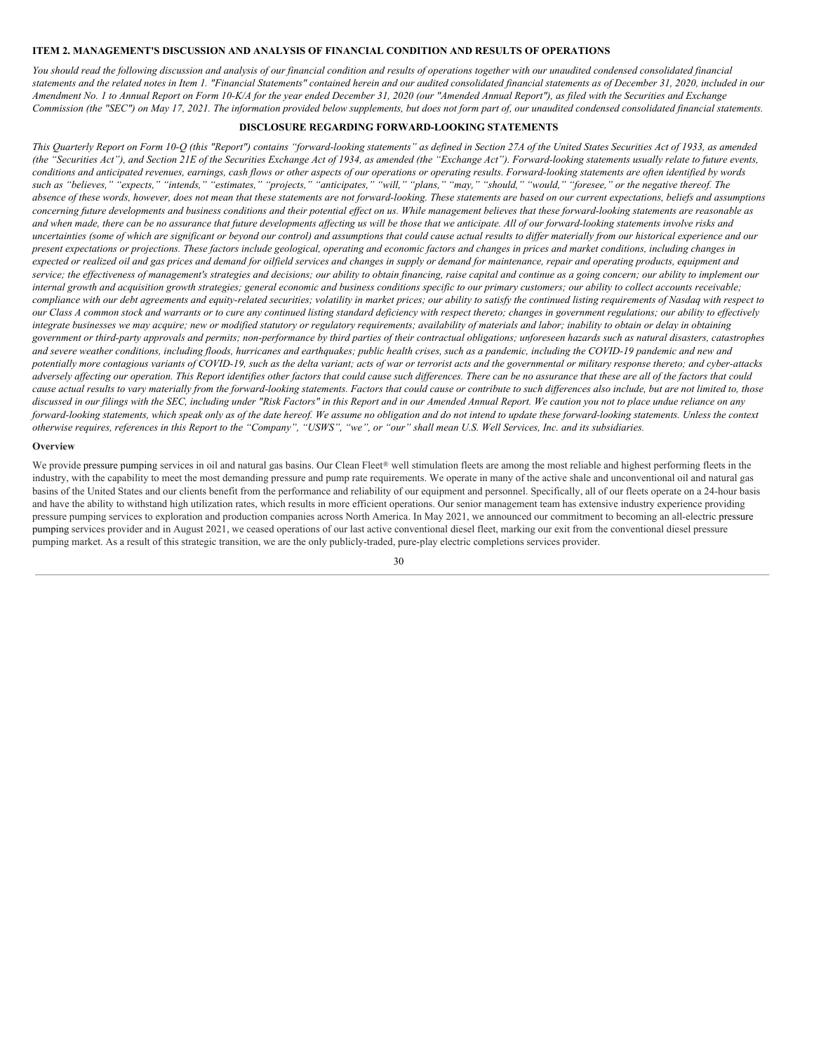#### <span id="page-29-0"></span>**ITEM 2. MANAGEMENT'S DISCUSSION AND ANALYSIS OF FINANCIAL CONDITION AND RESULTS OF OPERATIONS**

You should read the following discussion and analysis of our financial condition and results of operations together with our unaudited condensed consolidated financial statements and the related notes in Item 1. "Financial Statements" contained herein and our audited consolidated financial statements as of December 31, 2020, included in our Amendment No. 1 to Annual Report on Form 10-K/A for the year ended December 31, 2020 (our "Amended Annual Report"), as filed with the Securities and Exchange Commission (the "SEC") on May 17, 2021. The information provided below supplements, but does not form part of, our unaudited condensed consolidated financial statements.

### **DISCLOSURE REGARDING FORWARD-LOOKING STATEMENTS**

This Quarterly Report on Form 10-Q (this "Report") contains "forward-looking statements" as defined in Section 27A of the United States Securities Act of 1933, as amended (the "Securities Act"), and Section 21E of the Securities Exchange Act of 1934, as amended (the "Exchange Act"). Forward-looking statements usually relate to future events, conditions and anticipated revenues, earnings, cash flows or other aspects of our operations or operating results. Forward-looking statements are often identified by words such as "believes," "expects," "intends," "estimates," "projects," "anticipates," "will," "plans," "may," "should," "would," "foresee," or the negative thereof. The absence of these words, however, does not mean that these statements are not forward-looking. These statements are based on our current expectations, beliefs and assumptions concerning future developments and business conditions and their potential effect on us. While management believes that these forward-looking statements are reasonable as and when made, there can be no assurance that future developments affecting us will be those that we anticipate. All of our forward-looking statements involve risks and uncertainties (some of which are significant or beyond our control) and assumptions that could cause actual results to differ materially from our historical experience and our present expectations or projections. These factors include geological, operating and economic factors and changes in prices and market conditions, including changes in expected or realized oil and gas prices and demand for oilfield services and changes in supply or demand for maintenance, repair and operating products, equipment and service; the effectiveness of management's strategies and decisions; our ability to obtain financing, raise capital and continue as a going concern; our ability to implement our internal growth and acquisition growth strategies; general economic and business conditions specific to our primary customers; our ability to collect accounts receivable; compliance with our debt agreements and equity-related securities; volatility in market prices; our ability to satisfy the continued listing requirements of Nasdaq with respect to our Class A common stock and warrants or to cure any continued listing standard deficiency with respect thereto; changes in government regulations; our ability to effectively integrate businesses we may acquire; new or modified statutory or regulatory requirements; availability of materials and labor; inability to obtain or delay in obtaining government or third-party approvals and permits; non-performance by third parties of their contractual obligations; unforeseen hazards such as natural disasters, catastrophes and severe weather conditions, including floods, hurricanes and earthquakes; public health crises, such as a pandemic, including the COVID-19 pandemic and new and potentially more contagious variants of COVID-19, such as the delta variant; acts of war or terrorist acts and the governmental or military response thereto; and cyber-attacks adversely affecting our operation. This Report identifies other factors that could cause such differences. There can be no assurance that these are all of the factors that could cause actual results to vary materially from the forward-looking statements. Factors that could cause or contribute to such differences also include, but are not limited to, those discussed in our filings with the SEC, including under "Risk Factors" in this Report and in our Amended Annual Report. We caution you not to place undue reliance on any forward-looking statements, which speak only as of the date hereof. We assume no obligation and do not intend to update these forward-looking statements. Unless the context otherwise requires, references in this Report to the "Company", "USWS", "we", or "our" shall mean U.S. Well Services, Inc. and its subsidiaries.

#### **Overview**

We provide pressure pumping services in oil and natural gas basins. Our Clean Fleet® well stimulation fleets are among the most reliable and highest performing fleets in the industry, with the capability to meet the most demanding pressure and pump rate requirements. We operate in many of the active shale and unconventional oil and natural gas basins of the United States and our clients benefit from the performance and reliability of our equipment and personnel. Specifically, all of our fleets operate on a 24-hour basis and have the ability to withstand high utilization rates, which results in more efficient operations. Our senior management team has extensive industry experience providing pressure pumping services to exploration and production companies across North America. In May 2021, we announced our commitment to becoming an all-electric pressure pumping services provider and in August 2021, we ceased operations of our last active conventional diesel fleet, marking our exit from the conventional diesel pressure pumping market. As a result of this strategic transition, we are the only publicly-traded, pure-play electric completions services provider.

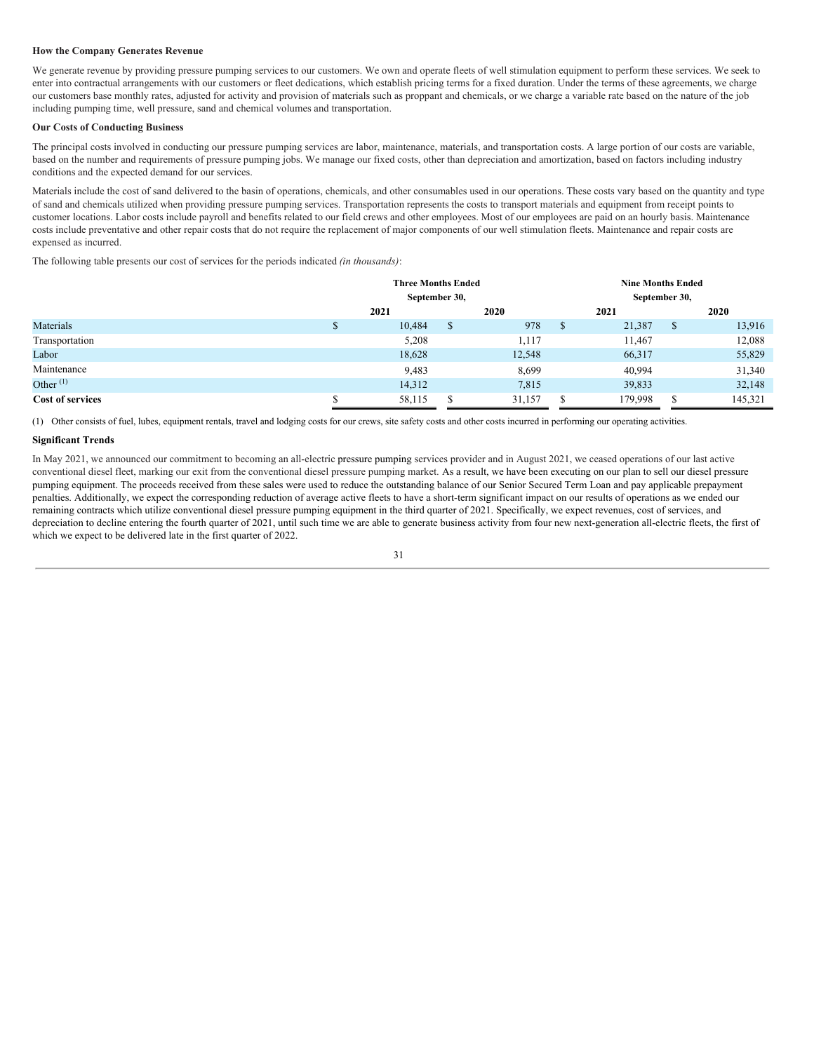### **How the Company Generates Revenue**

We generate revenue by providing pressure pumping services to our customers. We own and operate fleets of well stimulation equipment to perform these services. We seek to enter into contractual arrangements with our customers or fleet dedications, which establish pricing terms for a fixed duration. Under the terms of these agreements, we charge our customers base monthly rates, adjusted for activity and provision of materials such as proppant and chemicals, or we charge a variable rate based on the nature of the job including pumping time, well pressure, sand and chemical volumes and transportation.

### **Our Costs of Conducting Business**

The principal costs involved in conducting our pressure pumping services are labor, maintenance, materials, and transportation costs. A large portion of our costs are variable, based on the number and requirements of pressure pumping jobs. We manage our fixed costs, other than depreciation and amortization, based on factors including industry conditions and the expected demand for our services.

Materials include the cost of sand delivered to the basin of operations, chemicals, and other consumables used in our operations. These costs vary based on the quantity and type of sand and chemicals utilized when providing pressure pumping services. Transportation represents the costs to transport materials and equipment from receipt points to customer locations. Labor costs include payroll and benefits related to our field crews and other employees. Most of our employees are paid on an hourly basis. Maintenance costs include preventative and other repair costs that do not require the replacement of major components of our well stimulation fleets. Maintenance and repair costs are expensed as incurred.

The following table presents our cost of services for the periods indicated *(in thousands)*:

|                         |         | <b>Three Months Ended</b> |              |        | <b>Nine Months Ended</b><br>September 30, |         |   |         |
|-------------------------|---------|---------------------------|--------------|--------|-------------------------------------------|---------|---|---------|
|                         |         | September 30,             |              |        |                                           |         |   |         |
|                         |         | 2021                      |              | 2020   |                                           | 2021    |   | 2020    |
| Materials               | D       | 10,484                    | $\mathbb{S}$ | 978    | <sup>S</sup>                              | 21,387  | S | 13,916  |
| Transportation          |         | 5,208                     |              | 1,117  |                                           | 11,467  |   | 12,088  |
| Labor                   |         | 18,628                    |              | 12,548 |                                           | 66,317  |   | 55,829  |
| Maintenance             |         | 9,483                     |              | 8,699  |                                           | 40,994  |   | 31,340  |
| Other $(1)$             |         | 14,312                    |              | 7,815  |                                           | 39,833  |   | 32,148  |
| <b>Cost of services</b> | œ<br>J. | 58,115                    | S            | 31,157 | S                                         | 179,998 |   | 145,321 |

(1) Other consists of fuel, lubes, equipment rentals, travel and lodging costs for our crews, site safety costs and other costs incurred in performing our operating activities.

### **Significant Trends**

In May 2021, we announced our commitment to becoming an all-electric pressure pumping services provider and in August 2021, we ceased operations of our last active conventional diesel fleet, marking our exit from the conventional diesel pressure pumping market. As a result, we have been executing on our plan to sell our diesel pressure pumping equipment. The proceeds received from these sales were used to reduce the outstanding balance of our Senior Secured Term Loan and pay applicable prepayment penalties. Additionally, we expect the corresponding reduction of average active fleets to have a short-term significant impact on our results of operations as we ended our remaining contracts which utilize conventional diesel pressure pumping equipment in the third quarter of 2021. Specifically, we expect revenues, cost of services, and depreciation to decline entering the fourth quarter of 2021, until such time we are able to generate business activity from four new next-generation all-electric fleets, the first of which we expect to be delivered late in the first quarter of 2022.

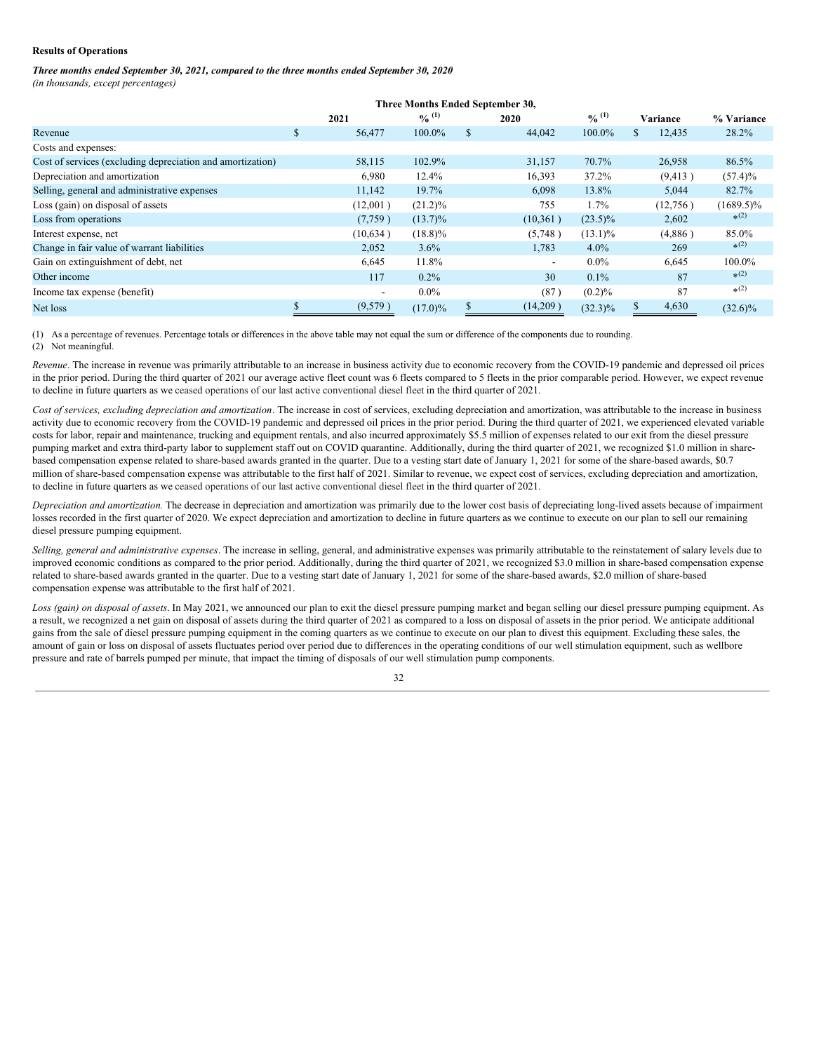### **Results of Operations**

*Three months ended September 30, 2021, compared to the three months ended September 30, 2020*

*(in thousands, except percentages)*

|                                                            |                          |                   | Three Months Ended September 30, |                   |  |          |              |  |  |
|------------------------------------------------------------|--------------------------|-------------------|----------------------------------|-------------------|--|----------|--------------|--|--|
|                                                            | 2021                     | $\frac{0}{0}$ (1) | 2020                             | $\frac{9}{6}$ (1) |  | Variance | % Variance   |  |  |
| Revenue                                                    | \$<br>56,477             | 100.0%            | \$<br>44,042                     | 100.0%            |  | 12,435   | 28.2%        |  |  |
| Costs and expenses:                                        |                          |                   |                                  |                   |  |          |              |  |  |
| Cost of services (excluding depreciation and amortization) | 58,115                   | 102.9%            | 31,157                           | 70.7%             |  | 26,958   | 86.5%        |  |  |
| Depreciation and amortization                              | 6,980                    | $12.4\%$          | 16,393                           | $37.2\%$          |  | (9, 413) | $(57.4)\%$   |  |  |
| Selling, general and administrative expenses               | 11,142                   | 19.7%             | 6,098                            | 13.8%             |  | 5,044    | 82.7%        |  |  |
| Loss (gain) on disposal of assets                          | (12,001)                 | $(21.2)\%$        | 755                              | $1.7\%$           |  | (12,756) | $(1689.5)\%$ |  |  |
| Loss from operations                                       | (7,759)                  | $(13.7)\%$        | (10, 361)                        | $(23.5)\%$        |  | 2,602    | $*(2)$       |  |  |
| Interest expense, net                                      | (10,634)                 | $(18.8)\%$        | (5,748)                          | $(13.1)\%$        |  | (4,886)  | 85.0%        |  |  |
| Change in fair value of warrant liabilities                | 2,052                    | $3.6\%$           | 1,783                            | $4.0\%$           |  | 269      | $*(2)$       |  |  |
| Gain on extinguishment of debt, net                        | 6,645                    | 11.8%             | $\overline{\phantom{a}}$         | $0.0\%$           |  | 6,645    | 100.0%       |  |  |
| Other income                                               | 117                      | $0.2\%$           | 30                               | $0.1\%$           |  | 87       | $*(2)$       |  |  |
| Income tax expense (benefit)                               | $\overline{\phantom{0}}$ | $0.0\%$           | (87)                             | $(0.2)\%$         |  | 87       | $*(2)$       |  |  |
| Net loss                                                   | (9,579)                  | $(17.0)\%$        | (14,209)                         | $(32.3)\%$        |  | 4,630    | $(32.6)\%$   |  |  |

(1) As a percentage of revenues. Percentage totals or differences in the above table may not equal the sum or difference of the components due to rounding. (2) Not meaningful.

*Revenue*. The increase in revenue was primarily attributable to an increase in business activity due to economic recovery from the COVID-19 pandemic and depressed oil prices in the prior period. During the third quarter of 2021 our average active fleet count was 6 fleets compared to 5 fleets in the prior comparable period. However, we expect revenue to decline in future quarters as we ceased operations of our last active conventional diesel fleet in the third quarter of 2021.

Cost of services, excluding depreciation and amortization. The increase in cost of services, excluding depreciation and amortization, was attributable to the increase in business activity due to economic recovery from the COVID-19 pandemic and depressed oil prices in the prior period. During the third quarter of 2021, we experienced elevated variable costs for labor, repair and maintenance, trucking and equipment rentals, and also incurred approximately \$5.5 million of expenses related to our exit from the diesel pressure pumping market and extra third-party labor to supplement staff out on COVID quarantine. Additionally, during the third quarter of 2021, we recognized \$1.0 million in sharebased compensation expense related to share-based awards granted in the quarter. Due to a vesting start date of January 1, 2021 for some of the share-based awards, \$0.7 million of share-based compensation expense was attributable to the first half of 2021. Similar to revenue, we expect cost of services, excluding depreciation and amortization, to decline in future quarters as we ceased operations of our last active conventional diesel fleet in the third quarter of 2021.

*Depreciation and amortization.* The decrease in depreciation and amortization was primarily due to the lower cost basis of depreciating long-lived assets because of impairment losses recorded in the first quarter of 2020. We expect depreciation and amortization to decline in future quarters as we continue to execute on our plan to sell our remaining diesel pressure pumping equipment.

*Selling, general and administrative expenses*. The increase in selling, general, and administrative expenses was primarily attributable to the reinstatement of salary levels due to improved economic conditions as compared to the prior period. Additionally, during the third quarter of 2021, we recognized \$3.0 million in share-based compensation expense related to share-based awards granted in the quarter. Due to a vesting start date of January 1, 2021 for some of the share-based awards, \$2.0 million of share-based compensation expense was attributable to the first half of 2021.

*Loss (gain) on disposal of assets*. In May 2021, we announced our plan to exit the diesel pressure pumping market and began selling our diesel pressure pumping equipment. As a result, we recognized a net gain on disposal of assets during the third quarter of 2021 as compared to a loss on disposal of assets in the prior period. We anticipate additional gains from the sale of diesel pressure pumping equipment in the coming quarters as we continue to execute on our plan to divest this equipment. Excluding these sales, the amount of gain or loss on disposal of assets fluctuates period over period due to differences in the operating conditions of our well stimulation equipment, such as wellbore pressure and rate of barrels pumped per minute, that impact the timing of disposals of our well stimulation pump components.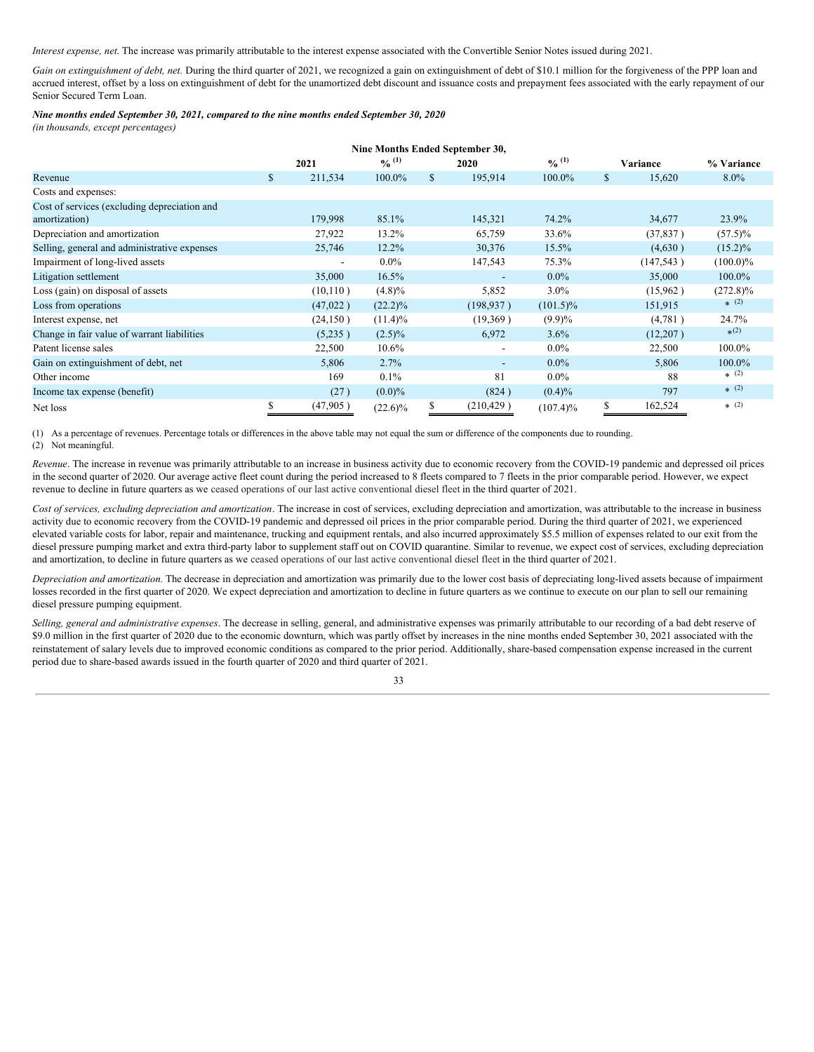*Interest expense, net*. The increase was primarily attributable to the interest expense associated with the Convertible Senior Notes issued during 2021.

Gain on extinguishment of debt, net. During the third quarter of 2021, we recognized a gain on extinguishment of debt of \$10.1 million for the forgiveness of the PPP loan and accrued interest, offset by a loss on extinguishment of debt for the unamortized debt discount and issuance costs and prepayment fees associated with the early repayment of our Senior Secured Term Loan.

### *Nine months ended September 30, 2021, compared to the nine months ended September 30, 2020*

*(in thousands, except percentages)*

| Nine Months Ended September 30,              |    |                          |                   |    |                          |             |    |            |             |  |
|----------------------------------------------|----|--------------------------|-------------------|----|--------------------------|-------------|----|------------|-------------|--|
|                                              |    | 2021                     | $\frac{0}{0}$ (1) |    | 2020                     | $O_{0}$ (1) |    | Variance   | % Variance  |  |
| Revenue                                      | \$ | 211,534                  | 100.0%            | \$ | 195,914                  | 100.0%      | S. | 15,620     | $8.0\%$     |  |
| Costs and expenses:                          |    |                          |                   |    |                          |             |    |            |             |  |
| Cost of services (excluding depreciation and |    |                          |                   |    |                          |             |    |            |             |  |
| amortization)                                |    | 179,998                  | 85.1%             |    | 145,321                  | 74.2%       |    | 34,677     | 23.9%       |  |
| Depreciation and amortization                |    | 27,922                   | 13.2%             |    | 65,759                   | 33.6%       |    | (37, 837)  | $(57.5)\%$  |  |
| Selling, general and administrative expenses |    | 25,746                   | $12.2\%$          |    | 30,376                   | 15.5%       |    | (4,630)    | $(15.2)\%$  |  |
| Impairment of long-lived assets              |    | $\overline{\phantom{a}}$ | $0.0\%$           |    | 147,543                  | 75.3%       |    | (147, 543) | $(100.0)\%$ |  |
| Litigation settlement                        |    | 35,000                   | 16.5%             |    | $\overline{\phantom{a}}$ | $0.0\%$     |    | 35,000     | 100.0%      |  |
| Loss (gain) on disposal of assets            |    | (10, 110)                | $(4.8)\%$         |    | 5,852                    | $3.0\%$     |    | (15,962)   | $(272.8)\%$ |  |
| Loss from operations                         |    | (47,022)                 | $(22.2)\%$        |    | (198, 937)               | $(101.5)\%$ |    | 151,915    | $* (2)$     |  |
| Interest expense, net                        |    | (24, 150)                | $(11.4)\%$        |    | (19,369)                 | $(9.9)\%$   |    | (4,781)    | 24.7%       |  |
| Change in fair value of warrant liabilities  |    | (5,235)                  | $(2.5)\%$         |    | 6,972                    | $3.6\%$     |    | (12,207)   | $*(2)$      |  |
| Patent license sales                         |    | 22,500                   | 10.6%             |    | $\blacksquare$           | $0.0\%$     |    | 22,500     | 100.0%      |  |
| Gain on extinguishment of debt, net          |    | 5,806                    | 2.7%              |    | $\overline{\phantom{a}}$ | $0.0\%$     |    | 5,806      | 100.0%      |  |
| Other income                                 |    | 169                      | $0.1\%$           |    | 81                       | $0.0\%$     |    | 88         | $*$ (2)     |  |
| Income tax expense (benefit)                 |    | (27)                     | $(0.0)\%$         |    | (824)                    | $(0.4)\%$   |    | 797        | $* (2)$     |  |
| Net loss                                     |    | (47,905)                 | $(22.6)\%$        | \$ | (210, 429)               | $(107.4)\%$ | S  | 162,524    | $* (2)$     |  |

(1) As a percentage of revenues. Percentage totals or differences in the above table may not equal the sum or difference of the components due to rounding.

*Revenue*. The increase in revenue was primarily attributable to an increase in business activity due to economic recovery from the COVID-19 pandemic and depressed oil prices in the second quarter of 2020. Our average active fleet count during the period increased to 8 fleets compared to 7 fleets in the prior comparable period. However, we expect revenue to decline in future quarters as we ceased operations of our last active conventional diesel fleet in the third quarter of 2021.

Cost of services, excluding depreciation and amortization. The increase in cost of services, excluding depreciation and amortization, was attributable to the increase in business activity due to economic recovery from the COVID-19 pandemic and depressed oil prices in the prior comparable period. During the third quarter of 2021, we experienced elevated variable costs for labor, repair and maintenance, trucking and equipment rentals, and also incurred approximately \$5.5 million of expenses related to our exit from the diesel pressure pumping market and extra third-party labor to supplement staff out on COVID quarantine. Similar to revenue, we expect cost of services, excluding depreciation and amortization, to decline in future quarters as we ceased operations of our last active conventional diesel fleet in the third quarter of 2021.

*Depreciation and amortization.* The decrease in depreciation and amortization was primarily due to the lower cost basis of depreciating long-lived assets because of impairment losses recorded in the first quarter of 2020. We expect depreciation and amortization to decline in future quarters as we continue to execute on our plan to sell our remaining diesel pressure pumping equipment.

*Selling, general and administrative expenses*. The decrease in selling, general, and administrative expenses was primarily attributable to our recording of a bad debt reserve of \$9.0 million in the first quarter of 2020 due to the economic downturn, which was partly offset by increases in the nine months ended September 30, 2021 associated with the reinstatement of salary levels due to improved economic conditions as compared to the prior period. Additionally, share-based compensation expense increased in the current period due to share-based awards issued in the fourth quarter of 2020 and third quarter of 2021.



<sup>(2)</sup> Not meaningful.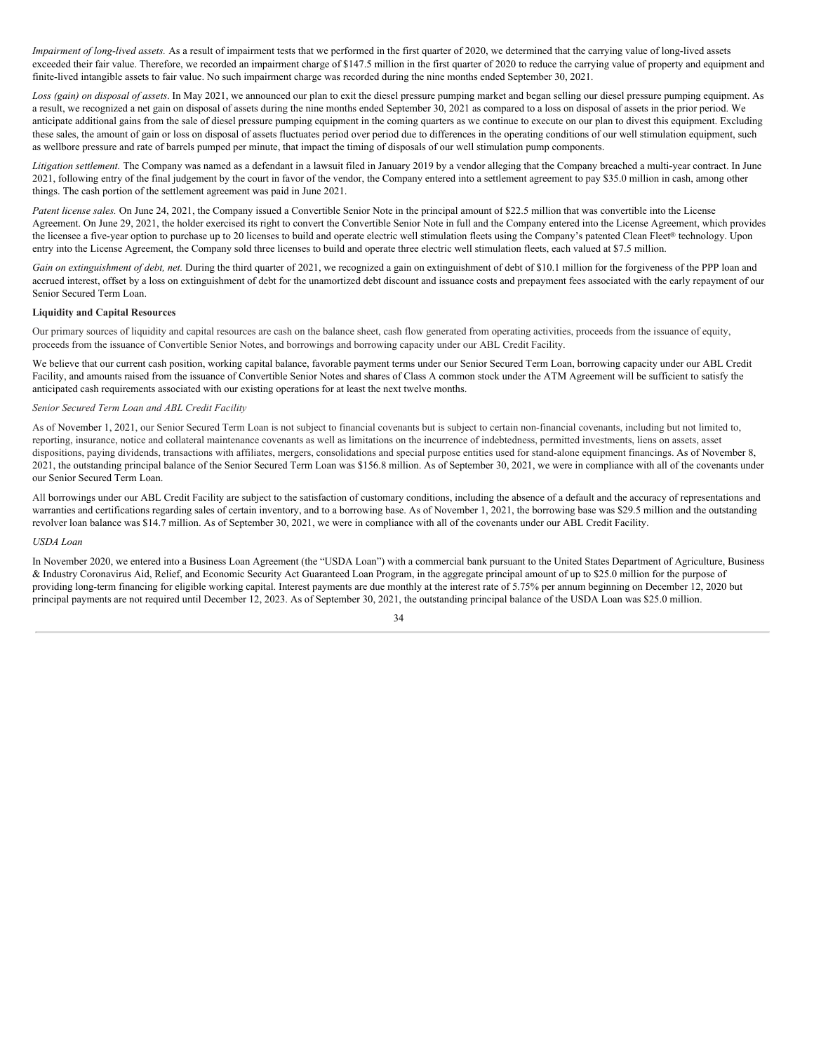*Impairment of long-lived assets.* As a result of impairment tests that we performed in the first quarter of 2020, we determined that the carrying value of long-lived assets exceeded their fair value. Therefore, we recorded an impairment charge of \$147.5 million in the first quarter of 2020 to reduce the carrying value of property and equipment and finite-lived intangible assets to fair value. No such impairment charge was recorded during the nine months ended September 30, 2021.

*Loss (gain) on disposal of assets*. In May 2021, we announced our plan to exit the diesel pressure pumping market and began selling our diesel pressure pumping equipment. As a result, we recognized a net gain on disposal of assets during the nine months ended September 30, 2021 as compared to a loss on disposal of assets in the prior period. We anticipate additional gains from the sale of diesel pressure pumping equipment in the coming quarters as we continue to execute on our plan to divest this equipment. Excluding these sales, the amount of gain or loss on disposal of assets fluctuates period over period due to differences in the operating conditions of our well stimulation equipment, such as wellbore pressure and rate of barrels pumped per minute, that impact the timing of disposals of our well stimulation pump components.

*Litigation settlement.* The Company was named as a defendant in a lawsuit filed in January 2019 by a vendor alleging that the Company breached a multi-year contract. In June 2021, following entry of the final judgement by the court in favor of the vendor, the Company entered into a settlement agreement to pay \$35.0 million in cash, among other things. The cash portion of the settlement agreement was paid in June 2021.

*Patent license sales.* On June 24, 2021, the Company issued a Convertible Senior Note in the principal amount of \$22.5 million that was convertible into the License Agreement. On June 29, 2021, the holder exercised its right to convert the Convertible Senior Note in full and the Company entered into the License Agreement, which provides the licensee a five-year option to purchase up to 20 licenses to build and operate electric well stimulation fleets using the Company's patented Clean Fleet® technology. Upon entry into the License Agreement, the Company sold three licenses to build and operate three electric well stimulation fleets, each valued at \$7.5 million.

*Gain on extinguishment of debt, net.* During the third quarter of 2021, we recognized a gain on extinguishment of debt of \$10.1 million for the forgiveness of the PPP loan and accrued interest, offset by a loss on extinguishment of debt for the unamortized debt discount and issuance costs and prepayment fees associated with the early repayment of our Senior Secured Term Loan.

#### **Liquidity and Capital Resources**

Our primary sources of liquidity and capital resources are cash on the balance sheet, cash flow generated from operating activities, proceeds from the issuance of equity, proceeds from the issuance of Convertible Senior Notes, and borrowings and borrowing capacity under our ABL Credit Facility.

We believe that our current cash position, working capital balance, favorable payment terms under our Senior Secured Term Loan, borrowing capacity under our ABL Credit Facility, and amounts raised from the issuance of Convertible Senior Notes and shares of Class A common stock under the ATM Agreement will be sufficient to satisfy the anticipated cash requirements associated with our existing operations for at least the next twelve months.

### *Senior Secured Term Loan and ABL Credit Facility*

As of November 1, 2021, our Senior Secured Term Loan is not subject to financial covenants but is subject to certain non-financial covenants, including but not limited to, reporting, insurance, notice and collateral maintenance covenants as well as limitations on the incurrence of indebtedness, permitted investments, liens on assets, asset dispositions, paying dividends, transactions with affiliates, mergers, consolidations and special purpose entities used for stand-alone equipment financings. As of November 8, 2021, the outstanding principal balance of the Senior Secured Term Loan was \$156.8 million. As of September 30, 2021, we were in compliance with all of the covenants under our Senior Secured Term Loan.

All borrowings under our ABL Credit Facility are subject to the satisfaction of customary conditions, including the absence of a default and the accuracy of representations and warranties and certifications regarding sales of certain inventory, and to a borrowing base. As of November 1, 2021, the borrowing base was \$29.5 million and the outstanding revolver loan balance was \$14.7 million. As of September 30, 2021, we were in compliance with all of the covenants under our ABL Credit Facility.

#### *USDA Loan*

In November 2020, we entered into a Business Loan Agreement (the "USDA Loan") with a commercial bank pursuant to the United States Department of Agriculture, Business & Industry Coronavirus Aid, Relief, and Economic Security Act Guaranteed Loan Program, in the aggregate principal amount of up to \$25.0 million for the purpose of providing long-term financing for eligible working capital. Interest payments are due monthly at the interest rate of 5.75% per annum beginning on December 12, 2020 but principal payments are not required until December 12, 2023. As of September 30, 2021, the outstanding principal balance of the USDA Loan was \$25.0 million.

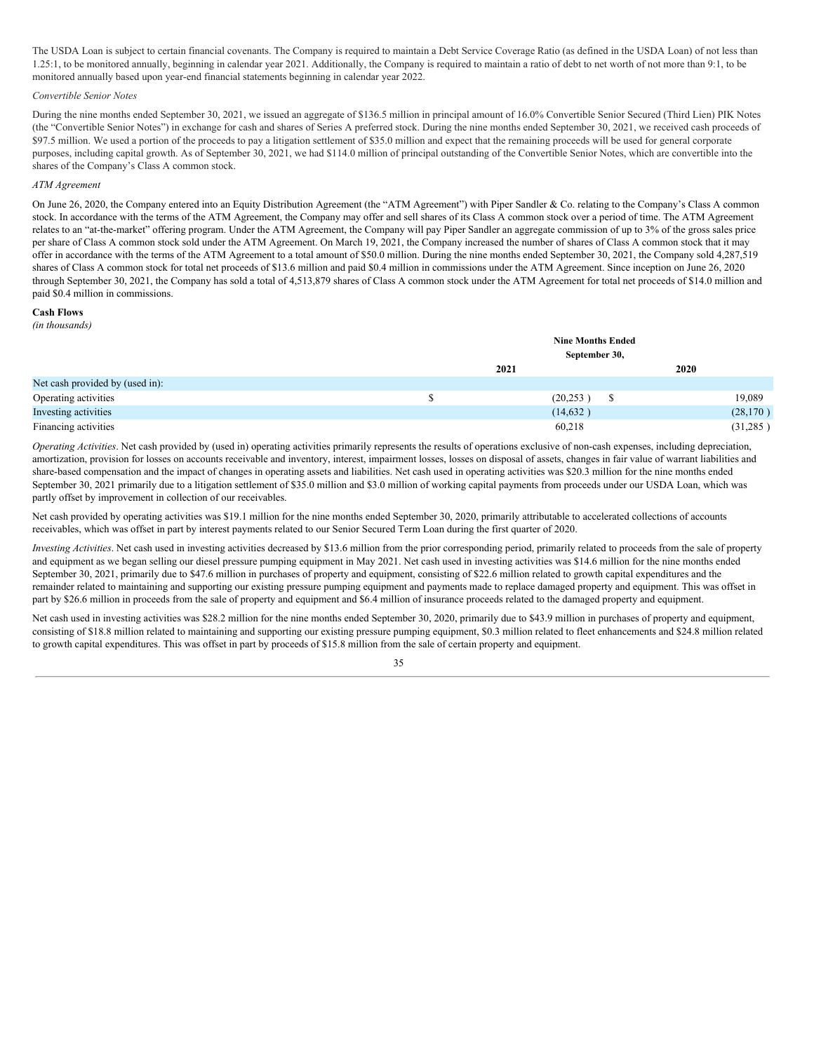The USDA Loan is subject to certain financial covenants. The Company is required to maintain a Debt Service Coverage Ratio (as defined in the USDA Loan) of not less than 1.25:1, to be monitored annually, beginning in calendar year 2021. Additionally, the Company is required to maintain a ratio of debt to net worth of not more than 9:1, to be monitored annually based upon year-end financial statements beginning in calendar year 2022.

### *Convertible Senior Notes*

During the nine months ended September 30, 2021, we issued an aggregate of \$136.5 million in principal amount of 16.0% Convertible Senior Secured (Third Lien) PIK Notes (the "Convertible Senior Notes") in exchange for cash and shares of Series A preferred stock. During the nine months ended September 30, 2021, we received cash proceeds of \$97.5 million. We used a portion of the proceeds to pay a litigation settlement of \$35.0 million and expect that the remaining proceeds will be used for general corporate purposes, including capital growth. As of September 30, 2021, we had \$114.0 million of principal outstanding of the Convertible Senior Notes, which are convertible into the shares of the Company's Class A common stock.

#### *ATM Agreement*

On June 26, 2020, the Company entered into an Equity Distribution Agreement (the "ATM Agreement") with Piper Sandler & Co. relating to the Company's Class A common stock. In accordance with the terms of the ATM Agreement, the Company may offer and sell shares of its Class A common stock over a period of time. The ATM Agreement relates to an "at-the-market" offering program. Under the ATM Agreement, the Company will pay Piper Sandler an aggregate commission of up to 3% of the gross sales price per share of Class A common stock sold under the ATM Agreement. On March 19, 2021, the Company increased the number of shares of Class A common stock that it may offer in accordance with the terms of the ATM Agreement to a total amount of \$50.0 million. During the nine months ended September 30, 2021, the Company sold 4,287,519 shares of Class A common stock for total net proceeds of \$13.6 million and paid \$0.4 million in commissions under the ATM Agreement. Since inception on June 26, 2020 through September 30, 2021, the Company has sold a total of 4,513,879 shares of Class A common stock under the ATM Agreement for total net proceeds of \$14.0 million and paid \$0.4 million in commissions.

### **Cash Flows**

*(in thousands)*

|                                 |      | <b>Nine Months Ended</b> |           |  |  |  |  |  |  |
|---------------------------------|------|--------------------------|-----------|--|--|--|--|--|--|
|                                 |      | September 30,            |           |  |  |  |  |  |  |
|                                 | 2021 |                          | 2020      |  |  |  |  |  |  |
| Net cash provided by (used in): |      |                          |           |  |  |  |  |  |  |
| Operating activities            | ъ    | (20, 253)<br>S           | 19,089    |  |  |  |  |  |  |
| Investing activities            |      | (14, 632)                | (28,170)  |  |  |  |  |  |  |
| Financing activities            |      | 60,218                   | (31, 285) |  |  |  |  |  |  |

*Operating Activities*. Net cash provided by (used in) operating activities primarily represents the results of operations exclusive of non-cash expenses, including depreciation, amortization, provision for losses on accounts receivable and inventory, interest, impairment losses, losses on disposal of assets, changes in fair value of warrant liabilities and share-based compensation and the impact of changes in operating assets and liabilities. Net cash used in operating activities was \$20.3 million for the nine months ended September 30, 2021 primarily due to a litigation settlement of \$35.0 million and \$3.0 million of working capital payments from proceeds under our USDA Loan, which was partly offset by improvement in collection of our receivables.

Net cash provided by operating activities was \$19.1 million for the nine months ended September 30, 2020, primarily attributable to accelerated collections of accounts receivables, which was offset in part by interest payments related to our Senior Secured Term Loan during the first quarter of 2020.

*Investing Activities*. Net cash used in investing activities decreased by \$13.6 million from the prior corresponding period, primarily related to proceeds from the sale of property and equipment as we began selling our diesel pressure pumping equipment in May 2021. Net cash used in investing activities was \$14.6 million for the nine months ended September 30, 2021, primarily due to \$47.6 million in purchases of property and equipment, consisting of \$22.6 million related to growth capital expenditures and the remainder related to maintaining and supporting our existing pressure pumping equipment and payments made to replace damaged property and equipment. This was offset in part by \$26.6 million in proceeds from the sale of property and equipment and \$6.4 million of insurance proceeds related to the damaged property and equipment.

Net cash used in investing activities was \$28.2 million for the nine months ended September 30, 2020, primarily due to \$43.9 million in purchases of property and equipment, consisting of \$18.8 million related to maintaining and supporting our existing pressure pumping equipment, \$0.3 million related to fleet enhancements and \$24.8 million related to growth capital expenditures. This was offset in part by proceeds of \$15.8 million from the sale of certain property and equipment.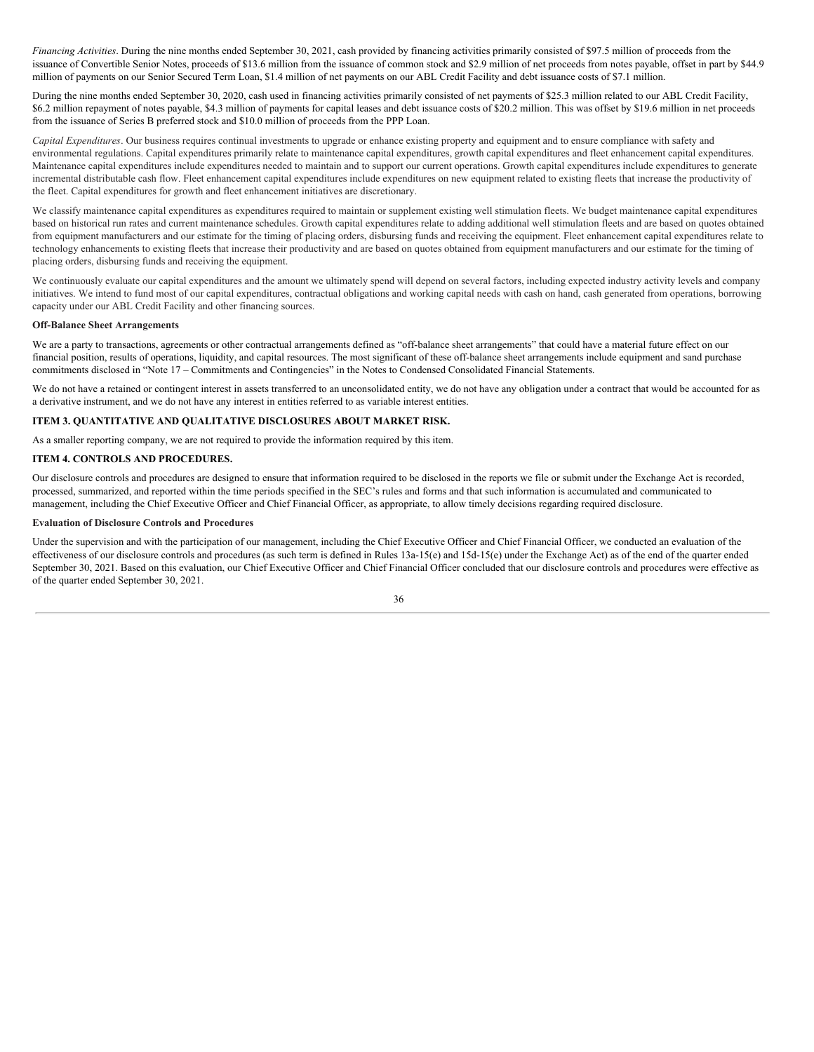*Financing Activities*. During the nine months ended September 30, 2021, cash provided by financing activities primarily consisted of \$97.5 million of proceeds from the issuance of Convertible Senior Notes, proceeds of \$13.6 million from the issuance of common stock and \$2.9 million of net proceeds from notes payable, offset in part by \$44.9 million of payments on our Senior Secured Term Loan, \$1.4 million of net payments on our ABL Credit Facility and debt issuance costs of \$7.1 million.

During the nine months ended September 30, 2020, cash used in financing activities primarily consisted of net payments of \$25.3 million related to our ABL Credit Facility, \$6.2 million repayment of notes payable, \$4.3 million of payments for capital leases and debt issuance costs of \$20.2 million. This was offset by \$19.6 million in net proceeds from the issuance of Series B preferred stock and \$10.0 million of proceeds from the PPP Loan.

*Capital Expenditures*. Our business requires continual investments to upgrade or enhance existing property and equipment and to ensure compliance with safety and environmental regulations. Capital expenditures primarily relate to maintenance capital expenditures, growth capital expenditures and fleet enhancement capital expenditures. Maintenance capital expenditures include expenditures needed to maintain and to support our current operations. Growth capital expenditures include expenditures to generate incremental distributable cash flow. Fleet enhancement capital expenditures include expenditures on new equipment related to existing fleets that increase the productivity of the fleet. Capital expenditures for growth and fleet enhancement initiatives are discretionary.

We classify maintenance capital expenditures as expenditures required to maintain or supplement existing well stimulation fleets. We budget maintenance capital expenditures based on historical run rates and current maintenance schedules. Growth capital expenditures relate to adding additional well stimulation fleets and are based on quotes obtained from equipment manufacturers and our estimate for the timing of placing orders, disbursing funds and receiving the equipment. Fleet enhancement capital expenditures relate to technology enhancements to existing fleets that increase their productivity and are based on quotes obtained from equipment manufacturers and our estimate for the timing of placing orders, disbursing funds and receiving the equipment.

We continuously evaluate our capital expenditures and the amount we ultimately spend will depend on several factors, including expected industry activity levels and company initiatives. We intend to fund most of our capital expenditures, contractual obligations and working capital needs with cash on hand, cash generated from operations, borrowing capacity under our ABL Credit Facility and other financing sources.

#### **Off-Balance Sheet Arrangements**

We are a party to transactions, agreements or other contractual arrangements defined as "off-balance sheet arrangements" that could have a material future effect on our financial position, results of operations, liquidity, and capital resources. The most significant of these off-balance sheet arrangements include equipment and sand purchase commitments disclosed in "Note 17 – Commitments and Contingencies" in the Notes to Condensed Consolidated Financial Statements.

We do not have a retained or contingent interest in assets transferred to an unconsolidated entity, we do not have any obligation under a contract that would be accounted for as a derivative instrument, and we do not have any interest in entities referred to as variable interest entities.

### <span id="page-35-0"></span>**ITEM 3. QUANTITATIVE AND QUALITATIVE DISCLOSURES ABOUT MARKET RISK.**

As a smaller reporting company, we are not required to provide the information required by this item.

### <span id="page-35-1"></span>**ITEM 4. CONTROLS AND PROCEDURES.**

Our disclosure controls and procedures are designed to ensure that information required to be disclosed in the reports we file or submit under the Exchange Act is recorded, processed, summarized, and reported within the time periods specified in the SEC's rules and forms and that such information is accumulated and communicated to management, including the Chief Executive Officer and Chief Financial Officer, as appropriate, to allow timely decisions regarding required disclosure.

### **Evaluation of Disclosure Controls and Procedures**

Under the supervision and with the participation of our management, including the Chief Executive Officer and Chief Financial Officer, we conducted an evaluation of the effectiveness of our disclosure controls and procedures (as such term is defined in Rules 13a-15(e) and 15d-15(e) under the Exchange Act) as of the end of the quarter ended September 30, 2021. Based on this evaluation, our Chief Executive Officer and Chief Financial Officer concluded that our disclosure controls and procedures were effective as of the quarter ended September 30, 2021.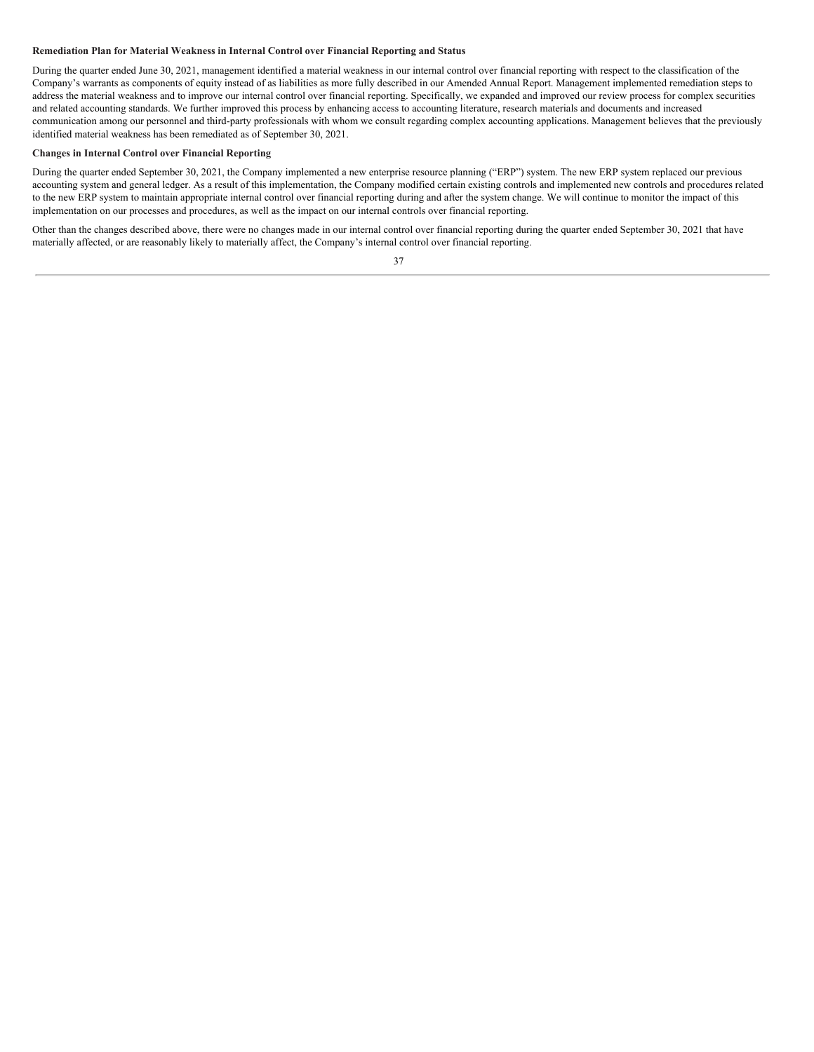#### **Remediation Plan for Material Weakness in Internal Control over Financial Reporting and Status**

During the quarter ended June 30, 2021, management identified a material weakness in our internal control over financial reporting with respect to the classification of the Company's warrants as components of equity instead of as liabilities as more fully described in our Amended Annual Report. Management implemented remediation steps to address the material weakness and to improve our internal control over financial reporting. Specifically, we expanded and improved our review process for complex securities and related accounting standards. We further improved this process by enhancing access to accounting literature, research materials and documents and increased communication among our personnel and third-party professionals with whom we consult regarding complex accounting applications. Management believes that the previously identified material weakness has been remediated as of September 30, 2021.

### **Changes in Internal Control over Financial Reporting**

During the quarter ended September 30, 2021, the Company implemented a new enterprise resource planning ("ERP") system. The new ERP system replaced our previous accounting system and general ledger. As a result of this implementation, the Company modified certain existing controls and implemented new controls and procedures related to the new ERP system to maintain appropriate internal control over financial reporting during and after the system change. We will continue to monitor the impact of this implementation on our processes and procedures, as well as the impact on our internal controls over financial reporting.

Other than the changes described above, there were no changes made in our internal control over financial reporting during the quarter ended September 30, 2021 that have materially affected, or are reasonably likely to materially affect, the Company's internal control over financial reporting.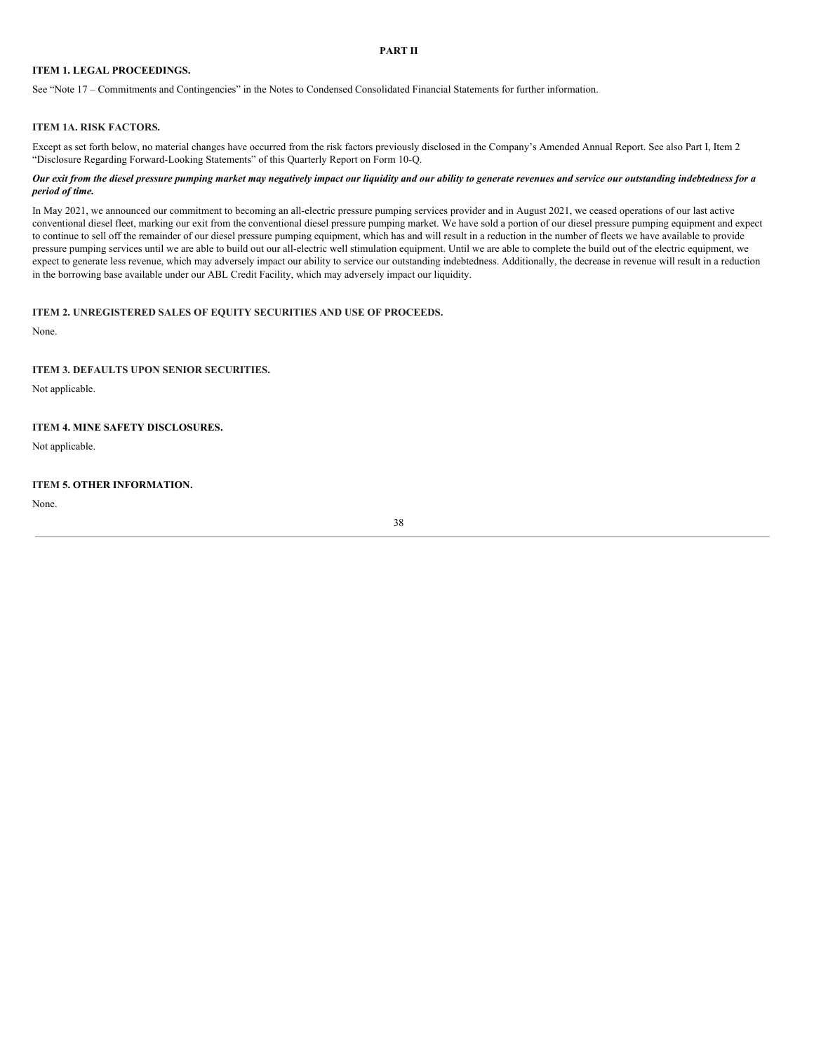### **PART II**

### <span id="page-37-1"></span><span id="page-37-0"></span>**ITEM 1. LEGAL PROCEEDINGS.**

See "Note 17 – Commitments and Contingencies" in the Notes to Condensed Consolidated Financial Statements for further information.

# <span id="page-37-2"></span>**ITEM 1A. RISK FACTORS.**

Except as set forth below, no material changes have occurred from the risk factors previously disclosed in the Company's Amended Annual Report. See also Part I, Item 2 "Disclosure Regarding Forward-Looking Statements" of this Quarterly Report on Form 10-Q.

### Our exit from the diesel pressure pumping market may negatively impact our liquidity and our ability to generate revenues and service our outstanding indebtedness for a *period of time.*

In May 2021, we announced our commitment to becoming an all-electric pressure pumping services provider and in August 2021, we ceased operations of our last active conventional diesel fleet, marking our exit from the conventional diesel pressure pumping market. We have sold a portion of our diesel pressure pumping equipment and expect to continue to sell off the remainder of our diesel pressure pumping equipment, which has and will result in a reduction in the number of fleets we have available to provide pressure pumping services until we are able to build out our all-electric well stimulation equipment. Until we are able to complete the build out of the electric equipment, we expect to generate less revenue, which may adversely impact our ability to service our outstanding indebtedness. Additionally, the decrease in revenue will result in a reduction in the borrowing base available under our ABL Credit Facility, which may adversely impact our liquidity.

### <span id="page-37-3"></span>**ITEM 2. UNREGISTERED SALES OF EQUITY SECURITIES AND USE OF PROCEEDS.**

None.

### <span id="page-37-4"></span>**ITEM 3. DEFAULTS UPON SENIOR SECURITIES.**

Not applicable.

#### <span id="page-37-5"></span>**ITEM 4. MINE SAFETY DISCLOSURES.**

Not applicable.

### <span id="page-37-6"></span>**ITEM 5. OTHER INFORMATION.**

None.

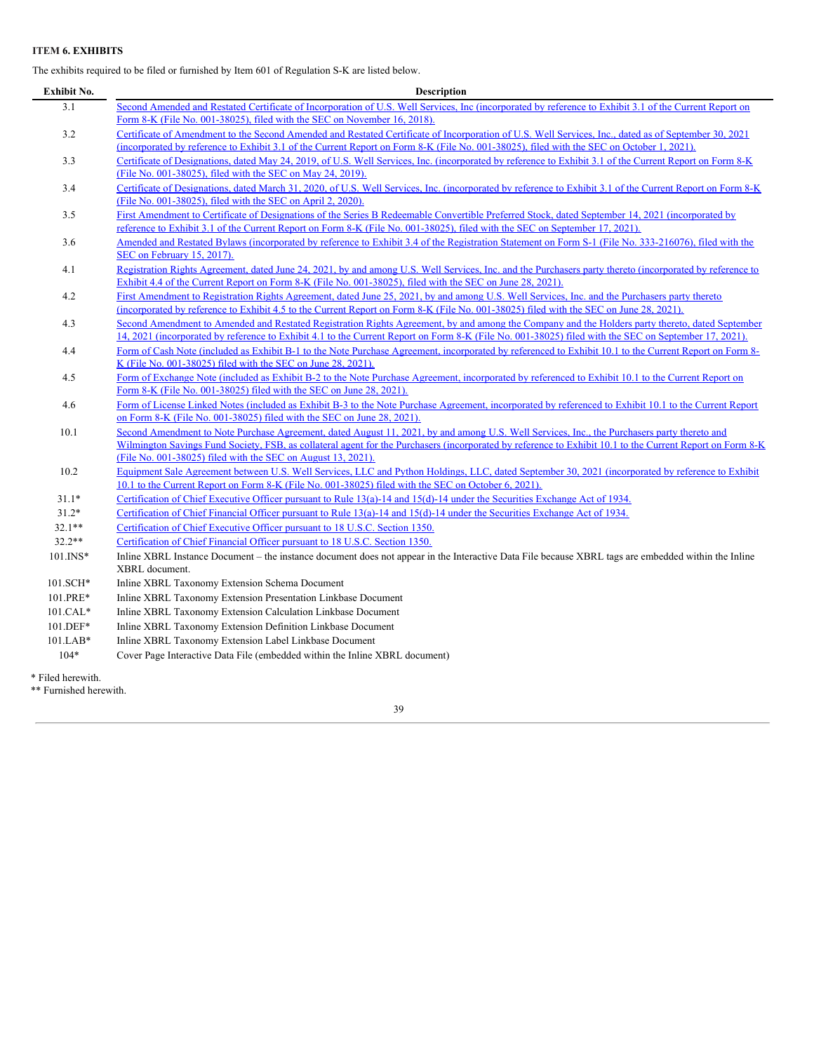# <span id="page-38-0"></span>**ITEM 6. EXHIBITS**

The exhibits required to be filed or furnished by Item 601 of Regulation S-K are listed below.

| Second Amended and Restated Certificate of Incorporation of U.S. Well Services, Inc (incorporated by reference to Exhibit 3.1 of the Current Report on<br>3.1<br>Form 8-K (File No. 001-38025), filed with the SEC on November 16, 2018).<br>3.2<br>Certificate of Amendment to the Second Amended and Restated Certificate of Incorporation of U.S. Well Services, Inc., dated as of September 30, 2021<br>(incorporated by reference to Exhibit 3.1 of the Current Report on Form 8-K (File No. 001-38025), filed with the SEC on October 1, 2021).<br>Certificate of Designations, dated May 24, 2019, of U.S. Well Services, Inc. (incorporated by reference to Exhibit 3.1 of the Current Report on Form 8-K<br>3.3<br>(File No. 001-38025), filed with the SEC on May 24, 2019).<br>Certificate of Designations, dated March 31, 2020, of U.S. Well Services, Inc. (incorporated by reference to Exhibit 3.1 of the Current Report on Form 8-K<br>3.4<br>(File No. 001-38025), filed with the SEC on April 2, 2020).<br>First Amendment to Certificate of Designations of the Series B Redeemable Convertible Preferred Stock, dated September 14, 2021 (incorporated by<br>3.5<br>reference to Exhibit 3.1 of the Current Report on Form 8-K (File No. 001-38025), filed with the SEC on September 17, 2021).<br>Amended and Restated Bylaws (incorporated by reference to Exhibit 3.4 of the Registration Statement on Form S-1 (File No. 333-216076), filed with the<br>3.6 |  |
|--------------------------------------------------------------------------------------------------------------------------------------------------------------------------------------------------------------------------------------------------------------------------------------------------------------------------------------------------------------------------------------------------------------------------------------------------------------------------------------------------------------------------------------------------------------------------------------------------------------------------------------------------------------------------------------------------------------------------------------------------------------------------------------------------------------------------------------------------------------------------------------------------------------------------------------------------------------------------------------------------------------------------------------------------------------------------------------------------------------------------------------------------------------------------------------------------------------------------------------------------------------------------------------------------------------------------------------------------------------------------------------------------------------------------------------------------------------------------------------|--|
|                                                                                                                                                                                                                                                                                                                                                                                                                                                                                                                                                                                                                                                                                                                                                                                                                                                                                                                                                                                                                                                                                                                                                                                                                                                                                                                                                                                                                                                                                      |  |
|                                                                                                                                                                                                                                                                                                                                                                                                                                                                                                                                                                                                                                                                                                                                                                                                                                                                                                                                                                                                                                                                                                                                                                                                                                                                                                                                                                                                                                                                                      |  |
|                                                                                                                                                                                                                                                                                                                                                                                                                                                                                                                                                                                                                                                                                                                                                                                                                                                                                                                                                                                                                                                                                                                                                                                                                                                                                                                                                                                                                                                                                      |  |
|                                                                                                                                                                                                                                                                                                                                                                                                                                                                                                                                                                                                                                                                                                                                                                                                                                                                                                                                                                                                                                                                                                                                                                                                                                                                                                                                                                                                                                                                                      |  |
|                                                                                                                                                                                                                                                                                                                                                                                                                                                                                                                                                                                                                                                                                                                                                                                                                                                                                                                                                                                                                                                                                                                                                                                                                                                                                                                                                                                                                                                                                      |  |
|                                                                                                                                                                                                                                                                                                                                                                                                                                                                                                                                                                                                                                                                                                                                                                                                                                                                                                                                                                                                                                                                                                                                                                                                                                                                                                                                                                                                                                                                                      |  |
|                                                                                                                                                                                                                                                                                                                                                                                                                                                                                                                                                                                                                                                                                                                                                                                                                                                                                                                                                                                                                                                                                                                                                                                                                                                                                                                                                                                                                                                                                      |  |
|                                                                                                                                                                                                                                                                                                                                                                                                                                                                                                                                                                                                                                                                                                                                                                                                                                                                                                                                                                                                                                                                                                                                                                                                                                                                                                                                                                                                                                                                                      |  |
|                                                                                                                                                                                                                                                                                                                                                                                                                                                                                                                                                                                                                                                                                                                                                                                                                                                                                                                                                                                                                                                                                                                                                                                                                                                                                                                                                                                                                                                                                      |  |
|                                                                                                                                                                                                                                                                                                                                                                                                                                                                                                                                                                                                                                                                                                                                                                                                                                                                                                                                                                                                                                                                                                                                                                                                                                                                                                                                                                                                                                                                                      |  |
| SEC on February 15, 2017).                                                                                                                                                                                                                                                                                                                                                                                                                                                                                                                                                                                                                                                                                                                                                                                                                                                                                                                                                                                                                                                                                                                                                                                                                                                                                                                                                                                                                                                           |  |
| 4.1<br>Registration Rights Agreement, dated June 24, 2021, by and among U.S. Well Services, Inc. and the Purchasers party thereto (incorporated by reference to                                                                                                                                                                                                                                                                                                                                                                                                                                                                                                                                                                                                                                                                                                                                                                                                                                                                                                                                                                                                                                                                                                                                                                                                                                                                                                                      |  |
| Exhibit 4.4 of the Current Report on Form 8-K (File No. 001-38025), filed with the SEC on June 28, 2021).                                                                                                                                                                                                                                                                                                                                                                                                                                                                                                                                                                                                                                                                                                                                                                                                                                                                                                                                                                                                                                                                                                                                                                                                                                                                                                                                                                            |  |
| First Amendment to Registration Rights Agreement, dated June 25, 2021, by and among U.S. Well Services, Inc. and the Purchasers party thereto<br>4.2                                                                                                                                                                                                                                                                                                                                                                                                                                                                                                                                                                                                                                                                                                                                                                                                                                                                                                                                                                                                                                                                                                                                                                                                                                                                                                                                 |  |
| (incorporated by reference to Exhibit 4.5 to the Current Report on Form 8-K (File No. 001-38025) filed with the SEC on June 28, 2021).                                                                                                                                                                                                                                                                                                                                                                                                                                                                                                                                                                                                                                                                                                                                                                                                                                                                                                                                                                                                                                                                                                                                                                                                                                                                                                                                               |  |
| Second Amendment to Amended and Restated Registration Rights Agreement, by and among the Company and the Holders party thereto, dated September<br>4.3<br>14, 2021 (incorporated by reference to Exhibit 4.1 to the Current Report on Form 8-K (File No. 001-38025) filed with the SEC on September 17, 2021).                                                                                                                                                                                                                                                                                                                                                                                                                                                                                                                                                                                                                                                                                                                                                                                                                                                                                                                                                                                                                                                                                                                                                                       |  |
| Form of Cash Note (included as Exhibit B-1 to the Note Purchase Agreement, incorporated by referenced to Exhibit 10.1 to the Current Report on Form 8-<br>4.4                                                                                                                                                                                                                                                                                                                                                                                                                                                                                                                                                                                                                                                                                                                                                                                                                                                                                                                                                                                                                                                                                                                                                                                                                                                                                                                        |  |
| K (File No. 001-38025) filed with the SEC on June 28, 2021).                                                                                                                                                                                                                                                                                                                                                                                                                                                                                                                                                                                                                                                                                                                                                                                                                                                                                                                                                                                                                                                                                                                                                                                                                                                                                                                                                                                                                         |  |
| Form of Exchange Note (included as Exhibit B-2 to the Note Purchase Agreement, incorporated by referenced to Exhibit 10.1 to the Current Report on<br>4.5<br>Form 8-K (File No. 001-38025) filed with the SEC on June 28, 2021).                                                                                                                                                                                                                                                                                                                                                                                                                                                                                                                                                                                                                                                                                                                                                                                                                                                                                                                                                                                                                                                                                                                                                                                                                                                     |  |
| Form of License Linked Notes (included as Exhibit B-3 to the Note Purchase Agreement, incorporated by referenced to Exhibit 10.1 to the Current Report<br>4.6                                                                                                                                                                                                                                                                                                                                                                                                                                                                                                                                                                                                                                                                                                                                                                                                                                                                                                                                                                                                                                                                                                                                                                                                                                                                                                                        |  |
| on Form 8-K (File No. 001-38025) filed with the SEC on June 28, 2021).                                                                                                                                                                                                                                                                                                                                                                                                                                                                                                                                                                                                                                                                                                                                                                                                                                                                                                                                                                                                                                                                                                                                                                                                                                                                                                                                                                                                               |  |
| Second Amendment to Note Purchase Agreement, dated August 11, 2021, by and among U.S. Well Services, Inc., the Purchasers party thereto and<br>10.1                                                                                                                                                                                                                                                                                                                                                                                                                                                                                                                                                                                                                                                                                                                                                                                                                                                                                                                                                                                                                                                                                                                                                                                                                                                                                                                                  |  |
| Wilmington Savings Fund Society, FSB, as collateral agent for the Purchasers (incorporated by reference to Exhibit 10.1 to the Current Report on Form 8-K                                                                                                                                                                                                                                                                                                                                                                                                                                                                                                                                                                                                                                                                                                                                                                                                                                                                                                                                                                                                                                                                                                                                                                                                                                                                                                                            |  |
| (File No. 001-38025) filed with the SEC on August 13, 2021).                                                                                                                                                                                                                                                                                                                                                                                                                                                                                                                                                                                                                                                                                                                                                                                                                                                                                                                                                                                                                                                                                                                                                                                                                                                                                                                                                                                                                         |  |
| 10.2<br>Equipment Sale Agreement between U.S. Well Services, LLC and Python Holdings, LLC, dated September 30, 2021 (incorporated by reference to Exhibit                                                                                                                                                                                                                                                                                                                                                                                                                                                                                                                                                                                                                                                                                                                                                                                                                                                                                                                                                                                                                                                                                                                                                                                                                                                                                                                            |  |
| 10.1 to the Current Report on Form 8-K (File No. 001-38025) filed with the SEC on October 6, 2021).                                                                                                                                                                                                                                                                                                                                                                                                                                                                                                                                                                                                                                                                                                                                                                                                                                                                                                                                                                                                                                                                                                                                                                                                                                                                                                                                                                                  |  |
| $31.1*$<br>Certification of Chief Executive Officer pursuant to Rule 13(a)-14 and 15(d)-14 under the Securities Exchange Act of 1934.                                                                                                                                                                                                                                                                                                                                                                                                                                                                                                                                                                                                                                                                                                                                                                                                                                                                                                                                                                                                                                                                                                                                                                                                                                                                                                                                                |  |
| Certification of Chief Financial Officer pursuant to Rule 13(a)-14 and 15(d)-14 under the Securities Exchange Act of 1934.<br>$31.2*$                                                                                                                                                                                                                                                                                                                                                                                                                                                                                                                                                                                                                                                                                                                                                                                                                                                                                                                                                                                                                                                                                                                                                                                                                                                                                                                                                |  |
| $32.1**$<br>Certification of Chief Executive Officer pursuant to 18 U.S.C. Section 1350.                                                                                                                                                                                                                                                                                                                                                                                                                                                                                                                                                                                                                                                                                                                                                                                                                                                                                                                                                                                                                                                                                                                                                                                                                                                                                                                                                                                             |  |
| $32.2**$<br>Certification of Chief Financial Officer pursuant to 18 U.S.C. Section 1350.                                                                                                                                                                                                                                                                                                                                                                                                                                                                                                                                                                                                                                                                                                                                                                                                                                                                                                                                                                                                                                                                                                                                                                                                                                                                                                                                                                                             |  |
| Inline XBRL Instance Document - the instance document does not appear in the Interactive Data File because XBRL tags are embedded within the Inline<br>101.INS*<br>XBRL document.                                                                                                                                                                                                                                                                                                                                                                                                                                                                                                                                                                                                                                                                                                                                                                                                                                                                                                                                                                                                                                                                                                                                                                                                                                                                                                    |  |
| 101.SCH*<br>Inline XBRL Taxonomy Extension Schema Document                                                                                                                                                                                                                                                                                                                                                                                                                                                                                                                                                                                                                                                                                                                                                                                                                                                                                                                                                                                                                                                                                                                                                                                                                                                                                                                                                                                                                           |  |
| 101.PRE*<br>Inline XBRL Taxonomy Extension Presentation Linkbase Document                                                                                                                                                                                                                                                                                                                                                                                                                                                                                                                                                                                                                                                                                                                                                                                                                                                                                                                                                                                                                                                                                                                                                                                                                                                                                                                                                                                                            |  |
| 101.CAL*<br>Inline XBRL Taxonomy Extension Calculation Linkbase Document                                                                                                                                                                                                                                                                                                                                                                                                                                                                                                                                                                                                                                                                                                                                                                                                                                                                                                                                                                                                                                                                                                                                                                                                                                                                                                                                                                                                             |  |
| 101.DEF*<br>Inline XBRL Taxonomy Extension Definition Linkbase Document                                                                                                                                                                                                                                                                                                                                                                                                                                                                                                                                                                                                                                                                                                                                                                                                                                                                                                                                                                                                                                                                                                                                                                                                                                                                                                                                                                                                              |  |
| $101.LAB*$<br>Inline XBRL Taxonomy Extension Label Linkbase Document                                                                                                                                                                                                                                                                                                                                                                                                                                                                                                                                                                                                                                                                                                                                                                                                                                                                                                                                                                                                                                                                                                                                                                                                                                                                                                                                                                                                                 |  |

104\* Cover Page Interactive Data File (embedded within the Inline XBRL document)

\* Filed herewith.

\*\* Furnished herewith.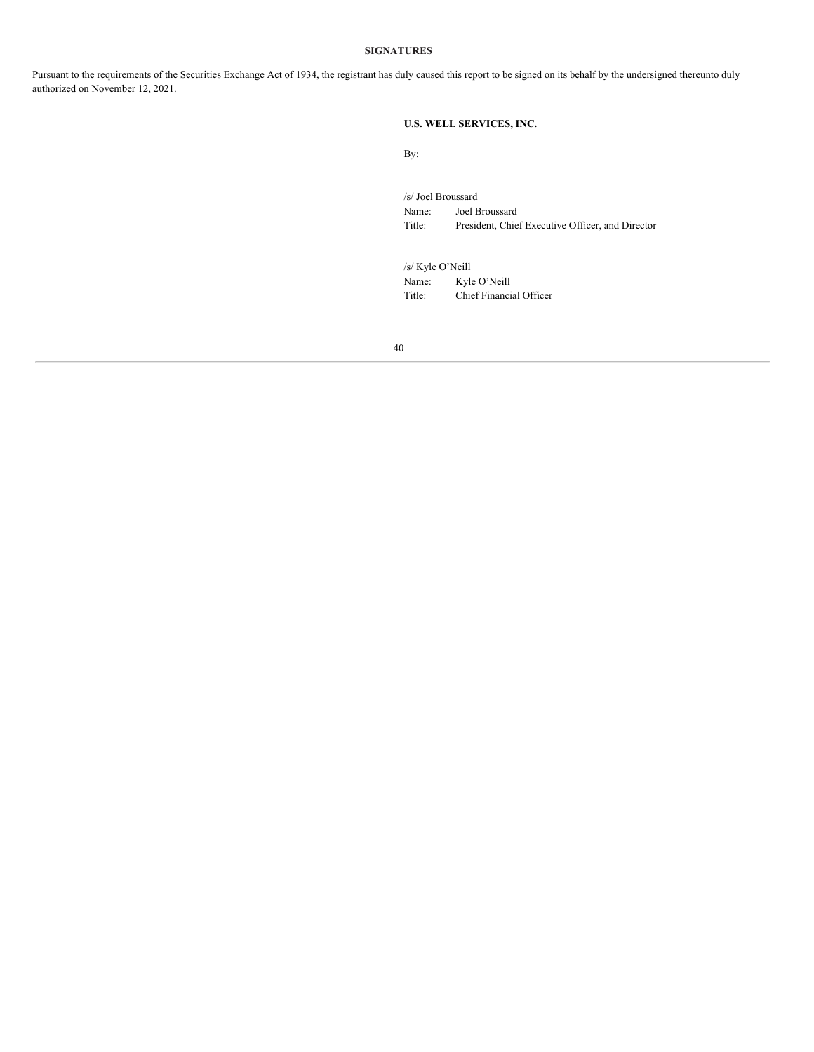### **SIGNATURES**

<span id="page-39-0"></span>Pursuant to the requirements of the Securities Exchange Act of 1934, the registrant has duly caused this report to be signed on its behalf by the undersigned thereunto duly authorized on November 12, 2021.

# **U.S. WELL SERVICES, INC.**

By:

/s/ Joel Broussard Name: Joel Broussard Title: President, Chief Executive Officer, and Director

/s/ Kyle O'Neill Name: Kyle O'Neill Title: Chief Financial Officer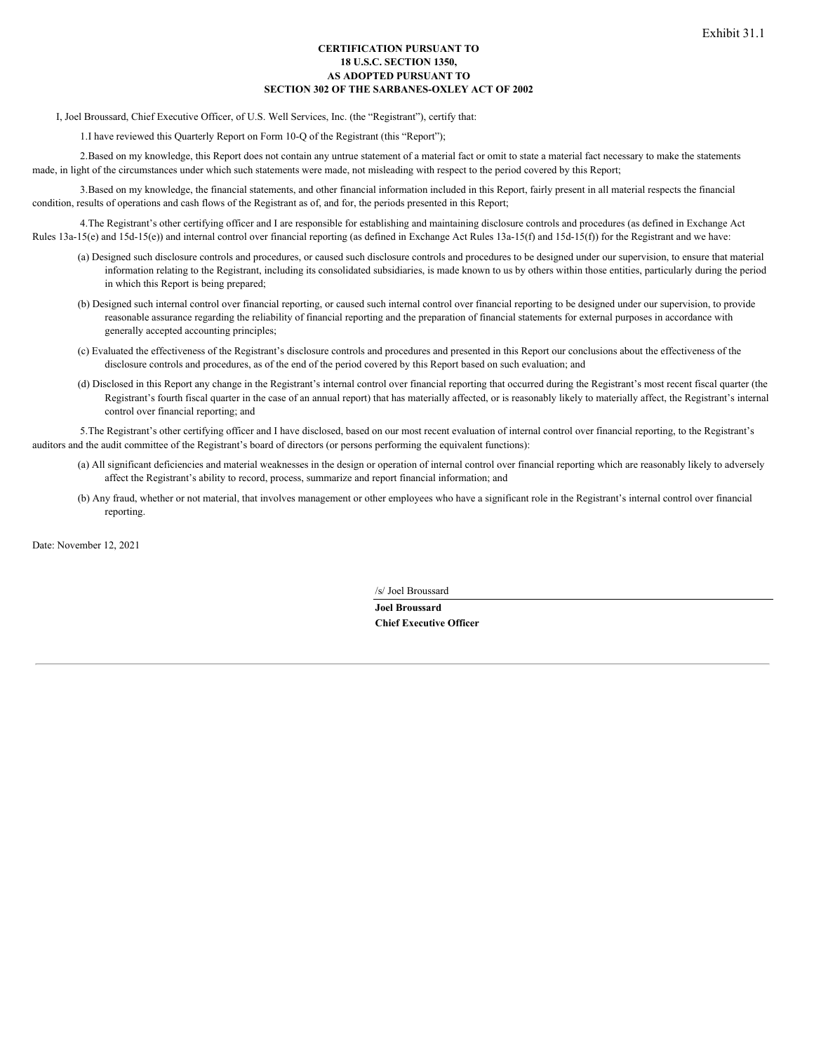### **CERTIFICATION PURSUANT TO 18 U.S.C. SECTION 1350, AS ADOPTED PURSUANT TO SECTION 302 OF THE SARBANES-OXLEY ACT OF 2002**

<span id="page-41-0"></span>I, Joel Broussard, Chief Executive Officer, of U.S. Well Services, Inc. (the "Registrant"), certify that:

1.I have reviewed this Quarterly Report on Form 10-Q of the Registrant (this "Report");

2.Based on my knowledge, this Report does not contain any untrue statement of a material fact or omit to state a material fact necessary to make the statements made, in light of the circumstances under which such statements were made, not misleading with respect to the period covered by this Report;

3.Based on my knowledge, the financial statements, and other financial information included in this Report, fairly present in all material respects the financial condition, results of operations and cash flows of the Registrant as of, and for, the periods presented in this Report;

4.The Registrant's other certifying officer and I are responsible for establishing and maintaining disclosure controls and procedures (as defined in Exchange Act Rules 13a-15(e) and 15d-15(e)) and internal control over financial reporting (as defined in Exchange Act Rules 13a-15(f) and 15d-15(f)) for the Registrant and we have:

- (a) Designed such disclosure controls and procedures, or caused such disclosure controls and procedures to be designed under our supervision, to ensure that material information relating to the Registrant, including its consolidated subsidiaries, is made known to us by others within those entities, particularly during the period in which this Report is being prepared;
- (b) Designed such internal control over financial reporting, or caused such internal control over financial reporting to be designed under our supervision, to provide reasonable assurance regarding the reliability of financial reporting and the preparation of financial statements for external purposes in accordance with generally accepted accounting principles;
- (c) Evaluated the effectiveness of the Registrant's disclosure controls and procedures and presented in this Report our conclusions about the effectiveness of the disclosure controls and procedures, as of the end of the period covered by this Report based on such evaluation; and
- (d) Disclosed in this Report any change in the Registrant's internal control over financial reporting that occurred during the Registrant's most recent fiscal quarter (the Registrant's fourth fiscal quarter in the case of an annual report) that has materially affected, or is reasonably likely to materially affect, the Registrant's internal control over financial reporting; and

5.The Registrant's other certifying officer and I have disclosed, based on our most recent evaluation of internal control over financial reporting, to the Registrant's auditors and the audit committee of the Registrant's board of directors (or persons performing the equivalent functions):

- (a) All significant deficiencies and material weaknesses in the design or operation of internal control over financial reporting which are reasonably likely to adversely affect the Registrant's ability to record, process, summarize and report financial information; and
- (b) Any fraud, whether or not material, that involves management or other employees who have a significant role in the Registrant's internal control over financial reporting.

Date: November 12, 2021

/s/ Joel Broussard

**Joel Broussard Chief Executive Officer**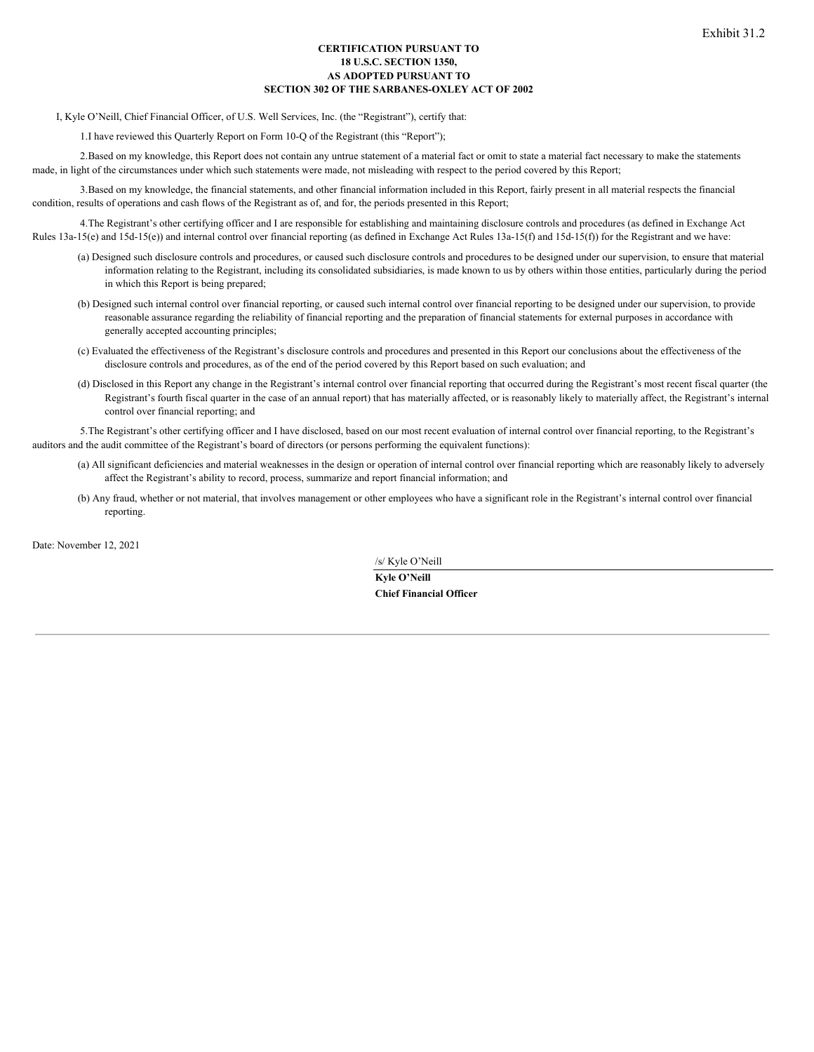### **CERTIFICATION PURSUANT TO 18 U.S.C. SECTION 1350, AS ADOPTED PURSUANT TO SECTION 302 OF THE SARBANES-OXLEY ACT OF 2002**

<span id="page-43-0"></span>I, Kyle O'Neill, Chief Financial Officer, of U.S. Well Services, Inc. (the "Registrant"), certify that:

1.I have reviewed this Quarterly Report on Form 10-Q of the Registrant (this "Report");

2.Based on my knowledge, this Report does not contain any untrue statement of a material fact or omit to state a material fact necessary to make the statements made, in light of the circumstances under which such statements were made, not misleading with respect to the period covered by this Report;

3.Based on my knowledge, the financial statements, and other financial information included in this Report, fairly present in all material respects the financial condition, results of operations and cash flows of the Registrant as of, and for, the periods presented in this Report;

4.The Registrant's other certifying officer and I are responsible for establishing and maintaining disclosure controls and procedures (as defined in Exchange Act Rules 13a-15(e) and 15d-15(e)) and internal control over financial reporting (as defined in Exchange Act Rules 13a-15(f) and 15d-15(f)) for the Registrant and we have:

- (a) Designed such disclosure controls and procedures, or caused such disclosure controls and procedures to be designed under our supervision, to ensure that material information relating to the Registrant, including its consolidated subsidiaries, is made known to us by others within those entities, particularly during the period in which this Report is being prepared;
- (b) Designed such internal control over financial reporting, or caused such internal control over financial reporting to be designed under our supervision, to provide reasonable assurance regarding the reliability of financial reporting and the preparation of financial statements for external purposes in accordance with generally accepted accounting principles;
- (c) Evaluated the effectiveness of the Registrant's disclosure controls and procedures and presented in this Report our conclusions about the effectiveness of the disclosure controls and procedures, as of the end of the period covered by this Report based on such evaluation; and
- (d) Disclosed in this Report any change in the Registrant's internal control over financial reporting that occurred during the Registrant's most recent fiscal quarter (the Registrant's fourth fiscal quarter in the case of an annual report) that has materially affected, or is reasonably likely to materially affect, the Registrant's internal control over financial reporting; and

5.The Registrant's other certifying officer and I have disclosed, based on our most recent evaluation of internal control over financial reporting, to the Registrant's auditors and the audit committee of the Registrant's board of directors (or persons performing the equivalent functions):

- (a) All significant deficiencies and material weaknesses in the design or operation of internal control over financial reporting which are reasonably likely to adversely affect the Registrant's ability to record, process, summarize and report financial information; and
- (b) Any fraud, whether or not material, that involves management or other employees who have a significant role in the Registrant's internal control over financial reporting.

Date: November 12, 2021

/s/ Kyle O'Neill

**Kyle O'Neill Chief Financial Officer**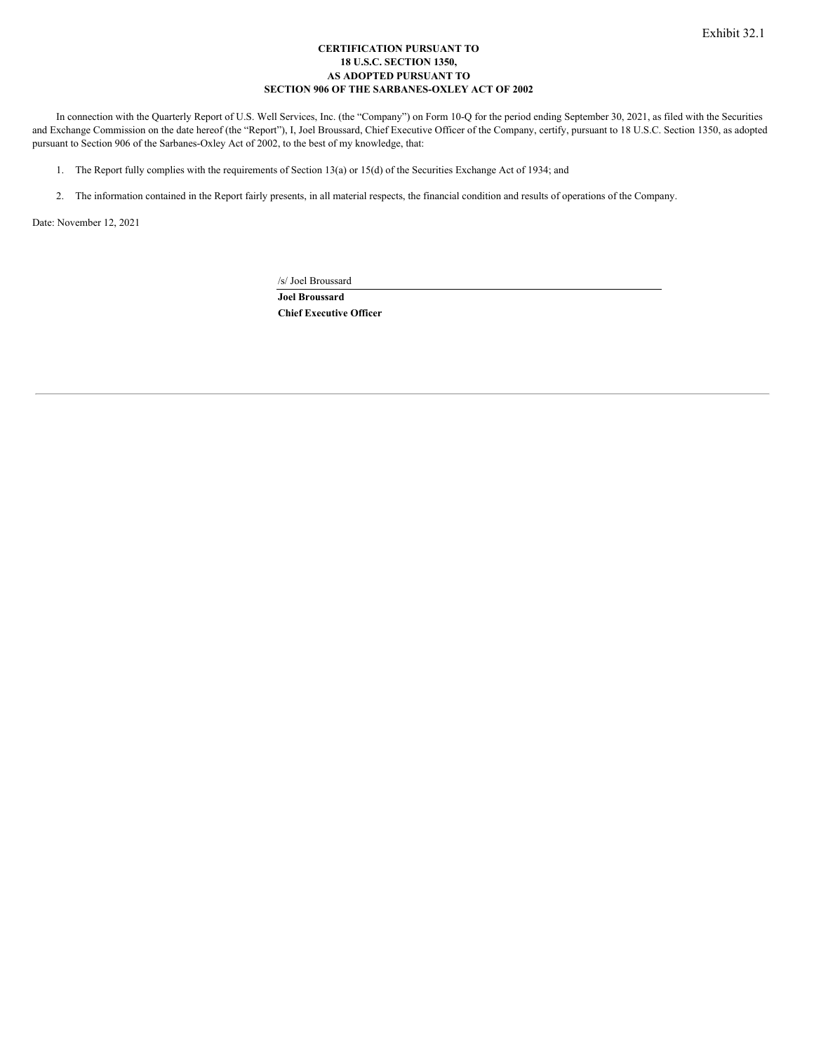### **CERTIFICATION PURSUANT TO 18 U.S.C. SECTION 1350, AS ADOPTED PURSUANT TO SECTION 906 OF THE SARBANES-OXLEY ACT OF 2002**

<span id="page-45-0"></span>In connection with the Quarterly Report of U.S. Well Services, Inc. (the "Company") on Form 10-Q for the period ending September 30, 2021, as filed with the Securities and Exchange Commission on the date hereof (the "Report"), I, Joel Broussard, Chief Executive Officer of the Company, certify, pursuant to 18 U.S.C. Section 1350, as adopted pursuant to Section 906 of the Sarbanes-Oxley Act of 2002, to the best of my knowledge, that:

1. The Report fully complies with the requirements of Section 13(a) or 15(d) of the Securities Exchange Act of 1934; and

2. The information contained in the Report fairly presents, in all material respects, the financial condition and results of operations of the Company.

Date: November 12, 2021

/s/ Joel Broussard

**Joel Broussard Chief Executive Officer**